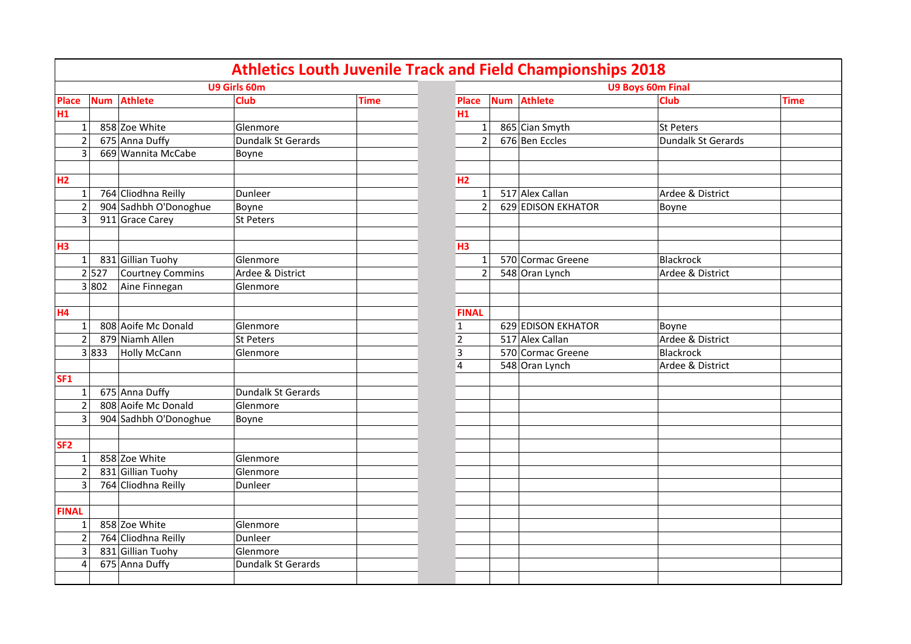|                          |            |                       |                    |             |                |                |            | <b>Athletics Louth Juvenile Track and Field Championships 2018</b> |                          |             |
|--------------------------|------------|-----------------------|--------------------|-------------|----------------|----------------|------------|--------------------------------------------------------------------|--------------------------|-------------|
|                          |            |                       | U9 Girls 60m       |             |                |                |            |                                                                    | <b>U9 Boys 60m Final</b> |             |
| <b>Place</b>             | <b>Num</b> | <b>Athlete</b>        | Club               | <b>Time</b> | Place          |                | <b>Num</b> | <b>Athlete</b>                                                     | <b>Club</b>              | <b>Time</b> |
| H1                       |            |                       |                    |             | H <sub>1</sub> |                |            |                                                                    |                          |             |
| $1\vert$                 |            | 858 Zoe White         | Glenmore           |             |                | $\mathbf{1}$   |            | 865 Cian Smyth                                                     | St Peters                |             |
| $\overline{2}$           |            | 675 Anna Duffy        | Dundalk St Gerards |             |                | 2              |            | 676 Ben Eccles                                                     | Dundalk St Gerards       |             |
| $\overline{3}$           |            | 669 Wannita McCabe    | Boyne              |             |                |                |            |                                                                    |                          |             |
|                          |            |                       |                    |             |                |                |            |                                                                    |                          |             |
| H <sub>2</sub>           |            |                       |                    |             | H2             |                |            |                                                                    |                          |             |
| $\mathbf{1}$             |            | 764 Cliodhna Reilly   | Dunleer            |             |                | $\mathbf{1}$   |            | 517 Alex Callan                                                    | Ardee & District         |             |
| $\overline{\phantom{a}}$ |            | 904 Sadhbh O'Donoghue | Boyne              |             |                | $\overline{2}$ |            | 629 EDISON EKHATOR                                                 | Boyne                    |             |
| $\overline{3}$           |            | 911 Grace Carey       | St Peters          |             |                |                |            |                                                                    |                          |             |
|                          |            |                       |                    |             |                |                |            |                                                                    |                          |             |
| <b>H3</b>                |            |                       |                    |             | H <sub>3</sub> |                |            |                                                                    |                          |             |
| $1\vert$                 |            | 831 Gillian Tuohy     | Glenmore           |             |                | 1              |            | 570 Cormac Greene                                                  | Blackrock                |             |
|                          | 2 527      | Courtney Commins      | Ardee & District   |             |                | $\overline{2}$ |            | 548 Oran Lynch                                                     | Ardee & District         |             |
|                          | 3 802      | Aine Finnegan         | Glenmore           |             |                |                |            |                                                                    |                          |             |
|                          |            |                       |                    |             |                |                |            |                                                                    |                          |             |
| <b>H4</b>                |            |                       |                    |             | <b>FINAL</b>   |                |            |                                                                    |                          |             |
| $\mathbf{1}$             |            | 808 Aoife Mc Donald   | Glenmore           |             | $\mathbf{1}$   |                |            | 629 EDISON EKHATOR                                                 | Boyne                    |             |
| $\overline{2}$           |            | 879 Niamh Allen       | St Peters          |             | $\overline{2}$ |                |            | 517 Alex Callan                                                    | Ardee & District         |             |
|                          | 3 833      | Holly McCann          | Glenmore           |             | 3              |                |            | 570 Cormac Greene                                                  | Blackrock                |             |
|                          |            |                       |                    |             | $\overline{4}$ |                |            | 548 Oran Lynch                                                     | Ardee & District         |             |
| SF <sub>1</sub>          |            |                       |                    |             |                |                |            |                                                                    |                          |             |
| $\mathbf{1}$             |            | 675 Anna Duffy        | Dundalk St Gerards |             |                |                |            |                                                                    |                          |             |
| $\overline{2}$           |            | 808 Aoife Mc Donald   | Glenmore           |             |                |                |            |                                                                    |                          |             |
| $\overline{3}$           |            | 904 Sadhbh O'Donoghue | Boyne              |             |                |                |            |                                                                    |                          |             |
|                          |            |                       |                    |             |                |                |            |                                                                    |                          |             |
| SF <sub>2</sub>          |            |                       |                    |             |                |                |            |                                                                    |                          |             |
| 1                        |            | 858 Zoe White         | Glenmore           |             |                |                |            |                                                                    |                          |             |
| $\overline{2}$           |            | 831 Gillian Tuohy     | Glenmore           |             |                |                |            |                                                                    |                          |             |
| 3                        |            | 764 Cliodhna Reilly   | Dunleer            |             |                |                |            |                                                                    |                          |             |
|                          |            |                       |                    |             |                |                |            |                                                                    |                          |             |
| <b>FINAL</b>             |            |                       |                    |             |                |                |            |                                                                    |                          |             |
| $\mathbf{1}$             |            | 858 Zoe White         | Glenmore           |             |                |                |            |                                                                    |                          |             |
| $\overline{2}$           |            | 764 Cliodhna Reilly   | Dunleer            |             |                |                |            |                                                                    |                          |             |
| 3                        |            | 831 Gillian Tuohy     | Glenmore           |             |                |                |            |                                                                    |                          |             |
| $\overline{4}$           |            | 675 Anna Duffy        | Dundalk St Gerards |             |                |                |            |                                                                    |                          |             |
|                          |            |                       |                    |             |                |                |            |                                                                    |                          |             |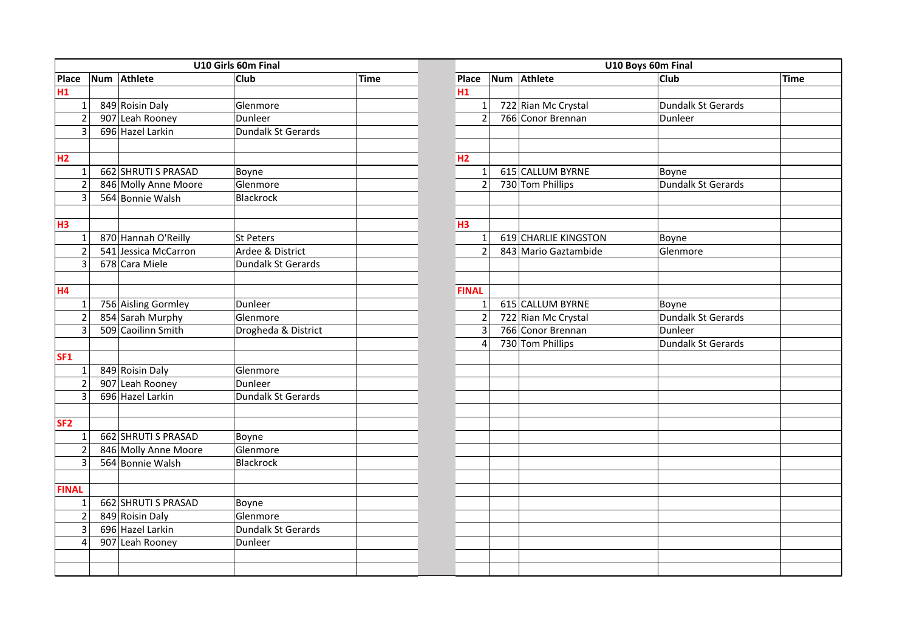|                 | Num Athlete |                      | U10 Girls 60m Final |             |                |                         | U10 Boys 60m Final |                      |                    |      |
|-----------------|-------------|----------------------|---------------------|-------------|----------------|-------------------------|--------------------|----------------------|--------------------|------|
| Place           |             |                      | <b>Club</b>         | <b>Time</b> |                | Place                   |                    | Num Athlete          | <b>Club</b>        | Time |
| H1              |             |                      |                     |             | H1             |                         |                    |                      |                    |      |
| $\mathbf{1}$    |             | 849 Roisin Daly      | Glenmore            |             |                | $\mathbf{1}$            |                    | 722 Rian Mc Crystal  | Dundalk St Gerards |      |
| $\overline{2}$  |             | 907 Leah Rooney      | Dunleer             |             |                | $\overline{2}$          |                    | 766 Conor Brennan    | Dunleer            |      |
| $\overline{3}$  |             | 696 Hazel Larkin     | Dundalk St Gerards  |             |                |                         |                    |                      |                    |      |
|                 |             |                      |                     |             |                |                         |                    |                      |                    |      |
| H2              |             |                      |                     |             | H <sub>2</sub> |                         |                    |                      |                    |      |
| $\mathbf{1}$    |             | 662 SHRUTI S PRASAD  | Boyne               |             |                | $\mathbf{1}$            |                    | 615 CALLUM BYRNE     | Boyne              |      |
| $\overline{2}$  |             | 846 Molly Anne Moore | Glenmore            |             |                | $\overline{2}$          |                    | 730 Tom Phillips     | Dundalk St Gerards |      |
| 3               |             | 564 Bonnie Walsh     | Blackrock           |             |                |                         |                    |                      |                    |      |
|                 |             |                      |                     |             |                |                         |                    |                      |                    |      |
| H3              |             |                      |                     |             | H <sub>3</sub> |                         |                    |                      |                    |      |
| $\mathbf 1$     |             | 870 Hannah O'Reilly  | St Peters           |             |                | $\mathbf 1$             |                    | 619 CHARLIE KINGSTON | Boyne              |      |
| $\overline{2}$  |             | 541 Jessica McCarron | Ardee & District    |             |                | $\overline{2}$          |                    | 843 Mario Gaztambide | Glenmore           |      |
| 3               |             | 678 Cara Miele       | Dundalk St Gerards  |             |                |                         |                    |                      |                    |      |
|                 |             |                      |                     |             |                |                         |                    |                      |                    |      |
| <b>H4</b>       |             |                      |                     |             |                | <b>FINAL</b>            |                    |                      |                    |      |
| $\mathbf{1}$    |             | 756 Aisling Gormley  | Dunleer             |             |                | $\mathbf 1$             |                    | 615 CALLUM BYRNE     | Boyne              |      |
| $\overline{2}$  |             | 854 Sarah Murphy     | Glenmore            |             |                | $\overline{2}$          |                    | 722 Rian Mc Crystal  | Dundalk St Gerards |      |
| $\overline{3}$  |             | 509 Caoilinn Smith   | Drogheda & District |             |                | $\overline{\mathbf{3}}$ |                    | 766 Conor Brennan    | Dunleer            |      |
|                 |             |                      |                     |             |                | 4                       |                    | 730 Tom Phillips     | Dundalk St Gerards |      |
| <b>SF1</b>      |             |                      |                     |             |                |                         |                    |                      |                    |      |
| $\mathbf{1}$    |             | 849 Roisin Daly      | Glenmore            |             |                |                         |                    |                      |                    |      |
| $\overline{2}$  |             | 907 Leah Rooney      | Dunleer             |             |                |                         |                    |                      |                    |      |
| 3               |             | 696 Hazel Larkin     | Dundalk St Gerards  |             |                |                         |                    |                      |                    |      |
|                 |             |                      |                     |             |                |                         |                    |                      |                    |      |
| SF <sub>2</sub> |             |                      |                     |             |                |                         |                    |                      |                    |      |
| $\mathbf{1}$    |             | 662 SHRUTI S PRASAD  | Boyne               |             |                |                         |                    |                      |                    |      |
| $\overline{2}$  |             | 846 Molly Anne Moore | Glenmore            |             |                |                         |                    |                      |                    |      |
| 3               |             | 564 Bonnie Walsh     | Blackrock           |             |                |                         |                    |                      |                    |      |
|                 |             |                      |                     |             |                |                         |                    |                      |                    |      |
| <b>FINAL</b>    |             |                      |                     |             |                |                         |                    |                      |                    |      |
| $\mathbf{1}$    |             | 662 SHRUTI S PRASAD  | Boyne               |             |                |                         |                    |                      |                    |      |
| $\overline{2}$  |             | 849 Roisin Daly      | Glenmore            |             |                |                         |                    |                      |                    |      |
| 3               |             | 696 Hazel Larkin     | Dundalk St Gerards  |             |                |                         |                    |                      |                    |      |
| $\overline{4}$  |             | 907 Leah Rooney      | Dunleer             |             |                |                         |                    |                      |                    |      |
|                 |             |                      |                     |             |                |                         |                    |                      |                    |      |
|                 |             |                      |                     |             |                |                         |                    |                      |                    |      |

|                | U10 Boys 60m Final   |                           |             |
|----------------|----------------------|---------------------------|-------------|
| Place          | Num Athlete          | $\overline{Cl}$ ub        | <b>Time</b> |
| H1             |                      |                           |             |
| $\mathbf{1}$   | 722 Rian Mc Crystal  | Dundalk St Gerards        |             |
| $\overline{2}$ | 766 Conor Brennan    | Dunleer                   |             |
|                |                      |                           |             |
|                |                      |                           |             |
| H <sub>2</sub> |                      |                           |             |
| $\mathbf{1}$   | 615 CALLUM BYRNE     | Boyne                     |             |
| $\overline{2}$ | 730 Tom Phillips     | <b>Dundalk St Gerards</b> |             |
|                |                      |                           |             |
|                |                      |                           |             |
| H <sub>3</sub> |                      |                           |             |
| $\mathbf{1}$   | 619 CHARLIE KINGSTON | Boyne                     |             |
| $\overline{2}$ | 843 Mario Gaztambide | Glenmore                  |             |
|                |                      |                           |             |
|                |                      |                           |             |
| <b>FINAL</b>   |                      |                           |             |
| $\mathbf{1}$   | 615 CALLUM BYRNE     | Boyne                     |             |
| $\overline{2}$ | 722 Rian Mc Crystal  | <b>Dundalk St Gerards</b> |             |
| $\overline{3}$ | 766 Conor Brennan    | Dunleer                   |             |
| $\overline{4}$ | 730 Tom Phillips     | <b>Dundalk St Gerards</b> |             |
|                |                      |                           |             |
|                |                      |                           |             |
|                |                      |                           |             |
|                |                      |                           |             |
|                |                      |                           |             |
|                |                      |                           |             |
|                |                      |                           |             |
|                |                      |                           |             |
|                |                      |                           |             |
|                |                      |                           |             |
|                |                      |                           |             |
|                |                      |                           |             |
|                |                      |                           |             |
|                |                      |                           |             |
|                |                      |                           |             |
|                |                      |                           |             |
|                |                      |                           |             |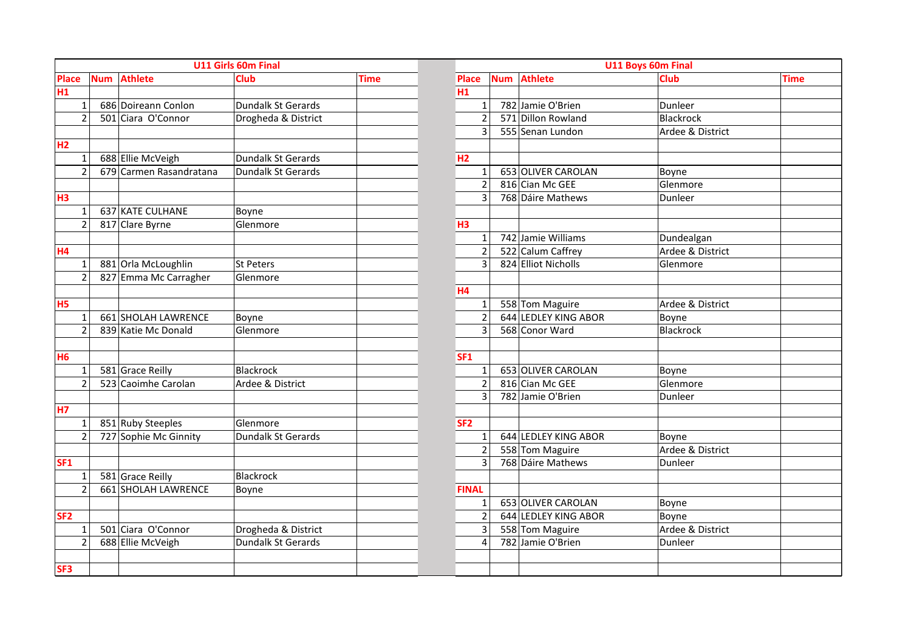|                 |            |                         | <b>U11 Girls 60m Final</b> |             |                 |                |            |                      | U11 Boys 60m Final |             |
|-----------------|------------|-------------------------|----------------------------|-------------|-----------------|----------------|------------|----------------------|--------------------|-------------|
| <b>Place</b>    | <b>Num</b> | <b>Athlete</b>          | <b>Club</b>                | <b>Time</b> | <b>Place</b>    |                | <b>Num</b> | <b>Athlete</b>       | <b>Club</b>        | <b>Time</b> |
| H1              |            |                         |                            |             | H1              |                |            |                      |                    |             |
| $\mathbf{1}$    |            | 686 Doireann Conlon     | Dundalk St Gerards         |             |                 | $\mathbf{1}$   |            | 782 Jamie O'Brien    | Dunleer            |             |
| $\overline{2}$  |            | 501 Ciara O'Connor      | Drogheda & District        |             |                 | $\overline{2}$ |            | 571 Dillon Rowland   | <b>Blackrock</b>   |             |
|                 |            |                         |                            |             |                 | $\overline{3}$ |            | 555 Senan Lundon     | Ardee & District   |             |
| H <sub>2</sub>  |            |                         |                            |             |                 |                |            |                      |                    |             |
| $\mathbf{1}$    |            | 688 Ellie McVeigh       | Dundalk St Gerards         |             | H2              |                |            |                      |                    |             |
| $\overline{2}$  |            | 679 Carmen Rasandratana | Dundalk St Gerards         |             |                 | $\mathbf{1}$   |            | 653 OLIVER CAROLAN   | Boyne              |             |
|                 |            |                         |                            |             |                 | $\overline{2}$ |            | 816 Cian Mc GEE      | Glenmore           |             |
| H3              |            |                         |                            |             |                 | 3              |            | 768 Dáire Mathews    | Dunleer            |             |
| $\mathbf{1}$    |            | 637 KATE CULHANE        | Boyne                      |             |                 |                |            |                      |                    |             |
| $\overline{c}$  |            | 817 Clare Byrne         | Glenmore                   |             | H <sub>3</sub>  |                |            |                      |                    |             |
|                 |            |                         |                            |             |                 | $\mathbf{1}$   |            | 742 Jamie Williams   | Dundealgan         |             |
| <b>H4</b>       |            |                         |                            |             |                 | $\overline{2}$ |            | 522 Calum Caffrey    | Ardee & District   |             |
| $\mathbf{1}$    |            | 881 Orla McLoughlin     | <b>St Peters</b>           |             |                 | $\overline{3}$ |            | 824 Elliot Nicholls  | Glenmore           |             |
| $\overline{2}$  |            | 827 Emma Mc Carragher   | Glenmore                   |             |                 |                |            |                      |                    |             |
|                 |            |                         |                            |             | <b>H4</b>       |                |            |                      |                    |             |
| H <sub>5</sub>  |            |                         |                            |             |                 | $\mathbf 1$    |            | 558 Tom Maguire      | Ardee & District   |             |
| 1               |            | 661 SHOLAH LAWRENCE     | Boyne                      |             |                 | $\overline{2}$ |            | 644 LEDLEY KING ABOR | Boyne              |             |
| $\overline{2}$  |            | 839 Katie Mc Donald     | Glenmore                   |             |                 | 3              |            | 568 Conor Ward       | Blackrock          |             |
|                 |            |                         |                            |             |                 |                |            |                      |                    |             |
| <b>H6</b>       |            |                         |                            |             | SF <sub>1</sub> |                |            |                      |                    |             |
| $\mathbf 1$     |            | 581 Grace Reilly        | <b>Blackrock</b>           |             |                 | $\mathbf 1$    |            | 653 OLIVER CAROLAN   | Boyne              |             |
| $\overline{2}$  |            | 523 Caoimhe Carolan     | Ardee & District           |             |                 | $\overline{2}$ |            | 816 Cian Mc GEE      | Glenmore           |             |
|                 |            |                         |                            |             |                 | 3              |            | 782 Jamie O'Brien    | Dunleer            |             |
| <b>H7</b>       |            |                         |                            |             |                 |                |            |                      |                    |             |
| $\mathbf{1}$    |            | 851 Ruby Steeples       | Glenmore                   |             | SF <sub>2</sub> |                |            |                      |                    |             |
| $\overline{2}$  |            | 727 Sophie Mc Ginnity   | Dundalk St Gerards         |             |                 | $\mathbf{1}$   |            | 644 LEDLEY KING ABOR | Boyne              |             |
|                 |            |                         |                            |             |                 | $\overline{2}$ |            | 558 Tom Maguire      | Ardee & District   |             |
| <b>SF1</b>      |            |                         |                            |             |                 | $\overline{3}$ |            | 768 Dáire Mathews    | Dunleer            |             |
| 1               |            | 581 Grace Reilly        | <b>Blackrock</b>           |             |                 |                |            |                      |                    |             |
| $\overline{2}$  |            | 661 SHOLAH LAWRENCE     | Boyne                      |             | <b>FINAL</b>    |                |            |                      |                    |             |
|                 |            |                         |                            |             |                 | $\mathbf{1}$   |            | 653 OLIVER CAROLAN   | Boyne              |             |
| SF <sub>2</sub> |            |                         |                            |             |                 | $\overline{2}$ |            | 644 LEDLEY KING ABOR | Boyne              |             |
| 1               |            | 501 Ciara O'Connor      | Drogheda & District        |             |                 | 3              |            | 558 Tom Maguire      | Ardee & District   |             |
| $\overline{c}$  |            | 688 Ellie McVeigh       | Dundalk St Gerards         |             |                 | 4              |            | 782 Jamie O'Brien    | Dunleer            |             |
|                 |            |                         |                            |             |                 |                |            |                      |                    |             |
| SF3             |            |                         |                            |             |                 |                |            |                      |                    |             |

|            | <b>U11 Girls 60m Final</b> |             | U11 Boys 60m Final |            |                      |                  |      |  |  |
|------------|----------------------------|-------------|--------------------|------------|----------------------|------------------|------|--|--|
|            | <b>Club</b>                | <b>Time</b> | Place              | <b>Num</b> | <b>Athlete</b>       | Club             | Time |  |  |
|            |                            |             | H1                 |            |                      |                  |      |  |  |
|            | Dundalk St Gerards         |             | $\mathbf{1}$       |            | 782 Jamie O'Brien    | Dunleer          |      |  |  |
|            | Drogheda & District        |             | $\overline{2}$     |            | 571 Dillon Rowland   | Blackrock        |      |  |  |
|            |                            |             | 3                  |            | 555 Senan Lundon     | Ardee & District |      |  |  |
|            |                            |             |                    |            |                      |                  |      |  |  |
|            | Dundalk St Gerards         |             | H2                 |            |                      |                  |      |  |  |
| atana      | Dundalk St Gerards         |             | $\mathbf{1}$       |            | 653 OLIVER CAROLAN   | Boyne            |      |  |  |
|            |                            |             | $\overline{2}$     |            | 816 Cian Mc GEE      | Glenmore         |      |  |  |
|            |                            |             | 3                  |            | 768 Dáire Mathews    | Dunleer          |      |  |  |
|            | Boyne                      |             |                    |            |                      |                  |      |  |  |
|            | Glenmore                   |             | H <sub>3</sub>     |            |                      |                  |      |  |  |
|            |                            |             | $\mathbf{1}$       |            | 742 Jamie Williams   | Dundealgan       |      |  |  |
|            |                            |             | $\overline{2}$     |            | 522 Calum Caffrey    | Ardee & District |      |  |  |
|            | St Peters                  |             | 3                  |            | 824 Elliot Nicholls  | Glenmore         |      |  |  |
| ther       | Glenmore                   |             |                    |            |                      |                  |      |  |  |
|            |                            |             | <b>H4</b>          |            |                      |                  |      |  |  |
|            |                            |             | $\mathbf{1}$       |            | 558 Tom Maguire      | Ardee & District |      |  |  |
| <b>NCE</b> | Boyne                      |             | $\overline{2}$     |            | 644 LEDLEY KING ABOR | Boyne            |      |  |  |
|            | Glenmore                   |             | 3                  |            | 568 Conor Ward       | <b>Blackrock</b> |      |  |  |
|            |                            |             |                    |            |                      |                  |      |  |  |
|            |                            |             | SF <sub>1</sub>    |            |                      |                  |      |  |  |
|            | <b>Blackrock</b>           |             | $\mathbf{1}$       |            | 653 OLIVER CAROLAN   | Boyne            |      |  |  |
|            | Ardee & District           |             | $\overline{2}$     |            | 816 Cian Mc GEE      | Glenmore         |      |  |  |
|            |                            |             | 3                  |            | 782 Jamie O'Brien    | Dunleer          |      |  |  |
|            |                            |             |                    |            |                      |                  |      |  |  |
|            | Glenmore                   |             | SF <sub>2</sub>    |            |                      |                  |      |  |  |
| ty         | Dundalk St Gerards         |             | $\mathbf{1}$       |            | 644 LEDLEY KING ABOR | Boyne            |      |  |  |
|            |                            |             | $\overline{2}$     |            | 558 Tom Maguire      | Ardee & District |      |  |  |
|            |                            |             | 3                  |            | 768 Dáire Mathews    | Dunleer          |      |  |  |
|            | <b>Blackrock</b>           |             |                    |            |                      |                  |      |  |  |
| <b>NCE</b> | Boyne                      |             | <b>FINAL</b>       |            |                      |                  |      |  |  |
|            |                            |             | $\mathbf{1}$       |            | 653 OLIVER CAROLAN   | Boyne            |      |  |  |
|            |                            |             | $\overline{2}$     |            | 644 LEDLEY KING ABOR | Boyne            |      |  |  |
|            | Drogheda & District        |             | 3                  |            | 558 Tom Maguire      | Ardee & District |      |  |  |
|            | Dundalk St Gerards         |             | 4                  |            | 782 Jamie O'Brien    | Dunleer          |      |  |  |
|            |                            |             |                    |            |                      |                  |      |  |  |
|            |                            |             |                    |            |                      |                  |      |  |  |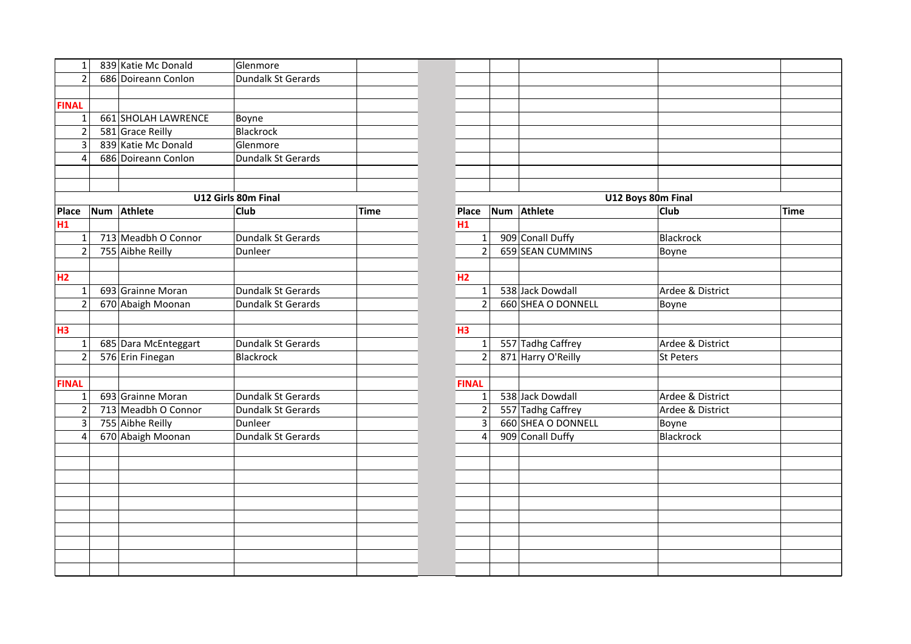| 1              | 839 Katie Mc Donald  | Glenmore            |             |                |                    |                    |      |
|----------------|----------------------|---------------------|-------------|----------------|--------------------|--------------------|------|
| $\overline{2}$ | 686 Doireann Conlon  | Dundalk St Gerards  |             |                |                    |                    |      |
|                |                      |                     |             |                |                    |                    |      |
| <b>FINAL</b>   |                      |                     |             |                |                    |                    |      |
| 1              | 661 SHOLAH LAWRENCE  | Boyne               |             |                |                    |                    |      |
| $\overline{2}$ | 581 Grace Reilly     | Blackrock           |             |                |                    |                    |      |
| 3              | 839 Katie Mc Donald  | Glenmore            |             |                |                    |                    |      |
| $\overline{4}$ | 686 Doireann Conlon  | Dundalk St Gerards  |             |                |                    |                    |      |
|                |                      |                     |             |                |                    |                    |      |
|                |                      |                     |             |                |                    |                    |      |
|                |                      | U12 Girls 80m Final |             |                |                    | U12 Boys 80m Final |      |
| <b>Place</b>   | Num Athlete          | Club                | <b>Time</b> | Place          | Num Athlete        | <b>Club</b>        | Time |
| H1             |                      |                     |             | H1             |                    |                    |      |
| 1              | 713 Meadbh O Connor  | Dundalk St Gerards  |             | 1              | 909 Conall Duffy   | Blackrock          |      |
| $\overline{2}$ | 755 Aibhe Reilly     | Dunleer             |             | $\overline{2}$ | 659 SEAN CUMMINS   | Boyne              |      |
|                |                      |                     |             |                |                    |                    |      |
| H <sub>2</sub> |                      |                     |             | H2             |                    |                    |      |
| $\mathbf{1}$   | 693 Grainne Moran    | Dundalk St Gerards  |             | $\mathbf{1}$   | 538 Jack Dowdall   | Ardee & District   |      |
| $\overline{2}$ | 670 Abaigh Moonan    | Dundalk St Gerards  |             | $\overline{2}$ | 660 SHEA O DONNELL | Boyne              |      |
|                |                      |                     |             |                |                    |                    |      |
| H3             |                      |                     |             | H <sub>3</sub> |                    |                    |      |
| 1              | 685 Dara McEnteggart | Dundalk St Gerards  |             | $\mathbf{1}$   | 557 Tadhg Caffrey  | Ardee & District   |      |
| $\overline{2}$ | 576 Erin Finegan     | Blackrock           |             | $\overline{2}$ | 871 Harry O'Reilly | St Peters          |      |
|                |                      |                     |             |                |                    |                    |      |
| <b>FINAL</b>   |                      |                     |             | <b>FINAL</b>   |                    |                    |      |
| $\mathbf{1}$   | 693 Grainne Moran    | Dundalk St Gerards  |             | $\mathbf{1}$   | 538 Jack Dowdall   | Ardee & District   |      |
| $\overline{c}$ | 713 Meadbh O Connor  | Dundalk St Gerards  |             | $\overline{2}$ | 557 Tadhg Caffrey  | Ardee & District   |      |
| 3              | 755 Aibhe Reilly     | Dunleer             |             | 3              | 660 SHEA O DONNELL | Boyne              |      |
| 4              | 670 Abaigh Moonan    | Dundalk St Gerards  |             | 4              | 909 Conall Duffy   | Blackrock          |      |
|                |                      |                     |             |                |                    |                    |      |
|                |                      |                     |             |                |                    |                    |      |
|                |                      |                     |             |                |                    |                    |      |
|                |                      |                     |             |                |                    |                    |      |
|                |                      |                     |             |                |                    |                    |      |
|                |                      |                     |             |                |                    |                    |      |
|                |                      |                     |             |                |                    |                    |      |
|                |                      |                     |             |                |                    |                    |      |
|                |                      |                     |             |                |                    |                    |      |
|                |                      |                     |             |                |                    |                    |      |

|            | Glenmore            |             |                |                    |                    |             |
|------------|---------------------|-------------|----------------|--------------------|--------------------|-------------|
|            | Dundalk St Gerards  |             |                |                    |                    |             |
|            |                     |             |                |                    |                    |             |
|            |                     |             |                |                    |                    |             |
| <b>NCE</b> | Boyne               |             |                |                    |                    |             |
|            | <b>Blackrock</b>    |             |                |                    |                    |             |
|            | Glenmore            |             |                |                    |                    |             |
|            | Dundalk St Gerards  |             |                |                    |                    |             |
|            |                     |             |                |                    |                    |             |
|            |                     |             |                |                    |                    |             |
|            | U12 Girls 80m Final |             |                |                    | U12 Boys 80m Final |             |
|            | <b>Club</b>         | <b>Time</b> | Place          | Num Athlete        | Club               | <b>Time</b> |
|            |                     |             | H1             |                    |                    |             |
| or         | Dundalk St Gerards  |             | $\mathbf{1}$   | 909 Conall Duffy   | <b>Blackrock</b>   |             |
|            | Dunleer             |             | $\overline{2}$ | 659 SEAN CUMMINS   | Boyne              |             |
|            |                     |             |                |                    |                    |             |
|            |                     |             | H <sub>2</sub> |                    |                    |             |
|            | Dundalk St Gerards  |             | $\mathbf 1$    | 538 Jack Dowdall   | Ardee & District   |             |
|            | Dundalk St Gerards  |             | $\overline{2}$ | 660 SHEA O DONNELL | Boyne              |             |
|            |                     |             |                |                    |                    |             |
|            |                     |             | H <sub>3</sub> |                    |                    |             |
| rt         | Dundalk St Gerards  |             | $\mathbf{1}$   | 557 Tadhg Caffrey  | Ardee & District   |             |
|            | <b>Blackrock</b>    |             | $\overline{2}$ | 871 Harry O'Reilly | <b>St Peters</b>   |             |
|            |                     |             |                |                    |                    |             |
|            |                     |             | <b>FINAL</b>   |                    |                    |             |
|            | Dundalk St Gerards  |             | $\mathbf{1}$   | 538 Jack Dowdall   | Ardee & District   |             |
| or         | Dundalk St Gerards  |             | $\overline{2}$ | 557 Tadhg Caffrey  | Ardee & District   |             |
|            | Dunleer             |             | 3              | 660 SHEA O DONNELL | Boyne              |             |
|            | Dundalk St Gerards  |             | 4              | 909 Conall Duffy   | <b>Blackrock</b>   |             |
|            |                     |             |                |                    |                    |             |
|            |                     |             |                |                    |                    |             |
|            |                     |             |                |                    |                    |             |
|            |                     |             |                |                    |                    |             |
|            |                     |             |                |                    |                    |             |
|            |                     |             |                |                    |                    |             |
|            |                     |             |                |                    |                    |             |
|            |                     |             |                |                    |                    |             |
|            |                     |             |                |                    |                    |             |
|            |                     |             |                |                    |                    |             |
|            |                     |             |                |                    |                    |             |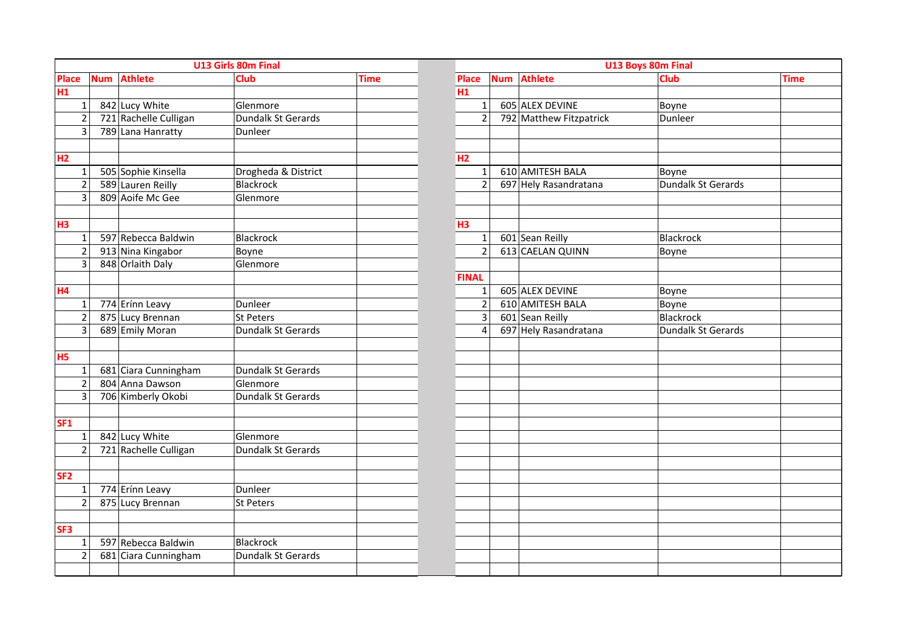|                 |            |                       | U13 Girls 80m Final |             |                |                         | U13 Boys 80m Final      |                    |             |
|-----------------|------------|-----------------------|---------------------|-------------|----------------|-------------------------|-------------------------|--------------------|-------------|
| <b>Place</b>    | <b>Num</b> | <b>Athlete</b>        | <b>Club</b>         | <b>Time</b> | <b>Place</b>   | <b>Num</b>              | <b>Athlete</b>          | <b>Club</b>        | <b>Time</b> |
| H1              |            |                       |                     |             | H1             |                         |                         |                    |             |
| $\mathbf{1}$    |            | 842 Lucy White        | Glenmore            |             |                | $\mathbf 1$             | 605 ALEX DEVINE         | Boyne              |             |
| $\overline{2}$  |            | 721 Rachelle Culligan | Dundalk St Gerards  |             |                | $\overline{2}$          | 792 Matthew Fitzpatrick | Dunleer            |             |
| $\overline{3}$  |            | 789 Lana Hanratty     | Dunleer             |             |                |                         |                         |                    |             |
|                 |            |                       |                     |             |                |                         |                         |                    |             |
| H2              |            |                       |                     |             | H2             |                         |                         |                    |             |
| $\mathbf{1}$    |            | 505 Sophie Kinsella   | Drogheda & District |             |                | $\mathbf{1}$            | 610 AMITESH BALA        | Boyne              |             |
| 2               |            | 589 Lauren Reilly     | <b>Blackrock</b>    |             |                | $\overline{2}$          | 697 Hely Rasandratana   | Dundalk St Gerards |             |
| 3               |            | 809 Aoife Mc Gee      | Glenmore            |             |                |                         |                         |                    |             |
|                 |            |                       |                     |             |                |                         |                         |                    |             |
| H3              |            |                       |                     |             | H <sub>3</sub> |                         |                         |                    |             |
| $\mathbf{1}$    |            | 597 Rebecca Baldwin   | <b>Blackrock</b>    |             |                | $\mathbf 1$             | 601 Sean Reilly         | Blackrock          |             |
| $\overline{2}$  |            | 913 Nina Kingabor     | Boyne               |             |                | $\overline{2}$          | 613 CAELAN QUINN        | Boyne              |             |
| $\overline{3}$  |            | 848 Orlaith Daly      | Glenmore            |             |                |                         |                         |                    |             |
|                 |            |                       |                     |             | <b>FINAL</b>   |                         |                         |                    |             |
| H <sub>4</sub>  |            |                       |                     |             |                | $\mathbf{1}$            | 605 ALEX DEVINE         | Boyne              |             |
| $\mathbf{1}$    |            | 774 Erínn Leavy       | Dunleer             |             |                | $\overline{2}$          | 610 AMITESH BALA        | Boyne              |             |
| $\overline{2}$  |            | 875 Lucy Brennan      | <b>St Peters</b>    |             |                | $\overline{\mathbf{3}}$ | 601 Sean Reilly         | <b>Blackrock</b>   |             |
| $\overline{3}$  |            | 689 Emily Moran       | Dundalk St Gerards  |             |                | $\overline{\mathbf{4}}$ | 697 Hely Rasandratana   | Dundalk St Gerards |             |
|                 |            |                       |                     |             |                |                         |                         |                    |             |
| <b>H5</b>       |            |                       |                     |             |                |                         |                         |                    |             |
| $\mathbf{1}$    |            | 681 Ciara Cunningham  | Dundalk St Gerards  |             |                |                         |                         |                    |             |
| $\overline{2}$  |            | 804 Anna Dawson       | Glenmore            |             |                |                         |                         |                    |             |
| 3               |            | 706 Kimberly Okobi    | Dundalk St Gerards  |             |                |                         |                         |                    |             |
|                 |            |                       |                     |             |                |                         |                         |                    |             |
| <b>SF1</b>      |            |                       |                     |             |                |                         |                         |                    |             |
| $\mathbf{1}$    |            | 842 Lucy White        | Glenmore            |             |                |                         |                         |                    |             |
| $\overline{2}$  |            | 721 Rachelle Culligan | Dundalk St Gerards  |             |                |                         |                         |                    |             |
|                 |            |                       |                     |             |                |                         |                         |                    |             |
| SF <sub>2</sub> |            |                       |                     |             |                |                         |                         |                    |             |
| $\mathbf{1}$    |            | 774 Erínn Leavy       | Dunleer             |             |                |                         |                         |                    |             |
| $\overline{2}$  |            | 875 Lucy Brennan      | St Peters           |             |                |                         |                         |                    |             |
|                 |            |                       |                     |             |                |                         |                         |                    |             |
| SF3             |            |                       |                     |             |                |                         |                         |                    |             |
| $\mathbf{1}$    |            | 597 Rebecca Baldwin   | <b>Blackrock</b>    |             |                |                         |                         |                    |             |
| $\overline{2}$  |            | 681 Ciara Cunningham  | Dundalk St Gerards  |             |                |                         |                         |                    |             |
|                 |            |                       |                     |             |                |                         |                         |                    |             |

|                |                | U13 Boys 80m Final      |                    |             |
|----------------|----------------|-------------------------|--------------------|-------------|
| Place          |                | Num Athlete             | <b>Club</b>        | <b>Time</b> |
| H1             |                |                         |                    |             |
|                | $\mathbf{1}$   | 605 ALEX DEVINE         | Boyne              |             |
|                | $\overline{2}$ | 792 Matthew Fitzpatrick | Dunleer            |             |
|                |                |                         |                    |             |
|                |                |                         |                    |             |
| H <sub>2</sub> |                |                         |                    |             |
|                | $\mathbf{1}$   | 610 AMITESH BALA        | Boyne              |             |
|                | $\overline{2}$ | 697 Hely Rasandratana   | Dundalk St Gerards |             |
|                |                |                         |                    |             |
|                |                |                         |                    |             |
| H <sub>3</sub> |                |                         |                    |             |
|                | $\mathbf{1}$   | 601 Sean Reilly         | <b>Blackrock</b>   |             |
|                | $\overline{2}$ | 613 CAELAN QUINN        | Boyne              |             |
|                |                |                         |                    |             |
| <b>FINAL</b>   |                |                         |                    |             |
|                | $\mathbf{1}$   | 605 ALEX DEVINE         | Boyne              |             |
|                | $\overline{2}$ | 610 AMITESH BALA        | Boyne              |             |
|                | 3              | 601 Sean Reilly         | <b>Blackrock</b>   |             |
| 4              |                | 697 Hely Rasandratana   | Dundalk St Gerards |             |
|                |                |                         |                    |             |
|                |                |                         |                    |             |
|                |                |                         |                    |             |
|                |                |                         |                    |             |
|                |                |                         |                    |             |
|                |                |                         |                    |             |
|                |                |                         |                    |             |
|                |                |                         |                    |             |
|                |                |                         |                    |             |
|                |                |                         |                    |             |
|                |                |                         |                    |             |
|                |                |                         |                    |             |
|                |                |                         |                    |             |
|                |                |                         |                    |             |
|                |                |                         |                    |             |
|                |                |                         |                    |             |
|                |                |                         |                    |             |
|                |                |                         |                    |             |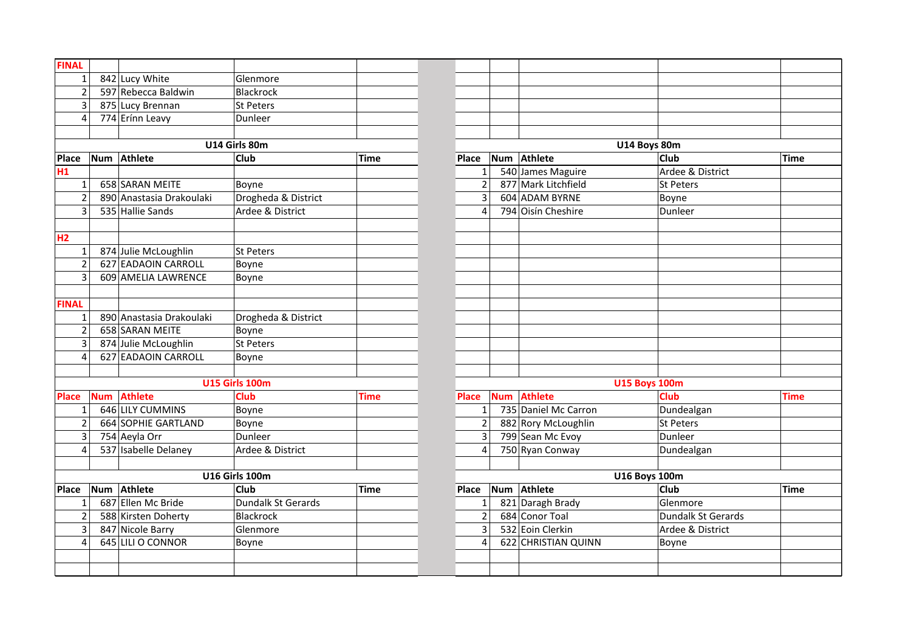| <b>FINAL</b>   |            |                          |                       |             |                         |     |                      |                      |             |
|----------------|------------|--------------------------|-----------------------|-------------|-------------------------|-----|----------------------|----------------------|-------------|
| $\mathbf{1}$   |            | 842 Lucy White           | Glenmore              |             |                         |     |                      |                      |             |
| $\overline{2}$ |            | 597 Rebecca Baldwin      | <b>Blackrock</b>      |             |                         |     |                      |                      |             |
| 3              |            | 875 Lucy Brennan         | St Peters             |             |                         |     |                      |                      |             |
| 4              |            | 774 Erínn Leavy          | Dunleer               |             |                         |     |                      |                      |             |
|                |            |                          |                       |             |                         |     |                      |                      |             |
|                |            |                          | U14 Girls 80m         |             |                         |     |                      | U14 Boys 80m         |             |
| <b>Place</b>   | <b>Num</b> | Athlete                  | Club                  | Time        | Place                   | Num | Athlete              | <b>Club</b>          | Time        |
| H1             |            |                          |                       |             | $\mathbf{1}$            |     | 540 James Maguire    | Ardee & District     |             |
| $\mathbf{1}$   |            | 658 SARAN MEITE          | Boyne                 |             | $\overline{2}$          |     | 877 Mark Litchfield  | St Peters            |             |
| $\overline{2}$ |            | 890 Anastasia Drakoulaki | Drogheda & District   |             | 3                       |     | 604 ADAM BYRNE       | Boyne                |             |
| 3              |            | 535 Hallie Sands         | Ardee & District      |             | 4                       |     | 794 Oisín Cheshire   | Dunleer              |             |
|                |            |                          |                       |             |                         |     |                      |                      |             |
| H2             |            |                          |                       |             |                         |     |                      |                      |             |
| $\mathbf{1}$   |            | 874 Julie McLoughlin     | St Peters             |             |                         |     |                      |                      |             |
| $\overline{2}$ |            | 627 EADAOIN CARROLL      | Boyne                 |             |                         |     |                      |                      |             |
| 3              |            | 609 AMELIA LAWRENCE      | Boyne                 |             |                         |     |                      |                      |             |
|                |            |                          |                       |             |                         |     |                      |                      |             |
| <b>FINAL</b>   |            |                          |                       |             |                         |     |                      |                      |             |
| 1              |            | 890 Anastasia Drakoulaki | Drogheda & District   |             |                         |     |                      |                      |             |
| $\overline{2}$ |            | 658 SARAN MEITE          | Boyne                 |             |                         |     |                      |                      |             |
| 3              |            | 874 Julie McLoughlin     | <b>St Peters</b>      |             |                         |     |                      |                      |             |
| 4              |            | 627 EADAOIN CARROLL      | Boyne                 |             |                         |     |                      |                      |             |
|                |            |                          |                       |             |                         |     |                      |                      |             |
|                |            |                          | <b>U15 Girls 100m</b> |             |                         |     |                      | <b>U15 Boys 100m</b> |             |
| <b>Place</b>   |            | Num Athlete              | <b>Club</b>           | <b>Time</b> | <b>Place</b>            |     | Num Athlete          | <b>Club</b>          | <b>Time</b> |
| $1\vert$       |            | 646 LILY CUMMINS         | Boyne                 |             | $\mathbf{1}$            |     | 735 Daniel Mc Carron | Dundealgan           |             |
| $\overline{2}$ |            | 664 SOPHIE GARTLAND      | Boyne                 |             | $\overline{2}$          |     | 882 Rory McLoughlin  | St Peters            |             |
| $\overline{3}$ |            | 754 Aeyla Orr            | Dunleer               |             | $\overline{\mathbf{3}}$ |     | 799 Sean Mc Evoy     | Dunleer              |             |
| $\overline{4}$ |            | 537 Isabelle Delaney     | Ardee & District      |             | 4                       |     | 750 Ryan Conway      | Dundealgan           |             |
|                |            |                          |                       |             |                         |     |                      |                      |             |
|                |            |                          | <b>U16 Girls 100m</b> |             |                         |     |                      | <b>U16 Boys 100m</b> |             |
| <b>Place</b>   |            | Num Athlete              | <b>Club</b>           | Time        | Place                   |     | Num Athlete          | <b>Club</b>          | Time        |
| 1              |            | 687 Ellen Mc Bride       | Dundalk St Gerards    |             | $\mathbf{1}$            |     | 821 Daragh Brady     | Glenmore             |             |
| $\overline{c}$ |            | 588 Kirsten Doherty      | <b>Blackrock</b>      |             | $\overline{c}$          |     | 684 Conor Toal       | Dundalk St Gerards   |             |
| 3              |            | 847 Nicole Barry         | Glenmore              |             | 3                       |     | 532 Eoin Clerkin     | Ardee & District     |             |
| 4              |            | 645 LILI O CONNOR        | Boyne                 |             | 4                       |     | 622 CHRISTIAN QUINN  | Boyne                |             |
|                |            |                          |                       |             |                         |     |                      |                      |             |
|                |            |                          |                       |             |                         |     |                      |                      |             |
|                |            |                          |                       |             |                         |     |                      |                      |             |

|     | Glenmore              |             |                |            |                      |                      |             |
|-----|-----------------------|-------------|----------------|------------|----------------------|----------------------|-------------|
|     | Blackrock             |             |                |            |                      |                      |             |
|     | St Peters             |             |                |            |                      |                      |             |
|     | Dunleer               |             |                |            |                      |                      |             |
|     |                       |             |                |            |                      |                      |             |
|     | U14 Girls 80m         |             |                |            |                      | U14 Boys 80m         |             |
|     | <b>Club</b>           | <b>Time</b> | Place          | Num        | Athlete              | <b>Club</b>          | <b>Time</b> |
|     |                       |             | $\mathbf{1}$   |            | 540 James Maguire    | Ardee & District     |             |
|     | Boyne                 |             | $\overline{2}$ |            | 877 Mark Litchfield  | St Peters            |             |
| ıki | Drogheda & District   |             | $\overline{3}$ |            | 604 ADAM BYRNE       | Boyne                |             |
|     | Ardee & District      |             | $\overline{4}$ |            | 794 Oisín Cheshire   | Dunleer              |             |
|     |                       |             |                |            |                      |                      |             |
|     |                       |             |                |            |                      |                      |             |
|     | St Peters             |             |                |            |                      |                      |             |
|     | Boyne                 |             |                |            |                      |                      |             |
|     | Boyne                 |             |                |            |                      |                      |             |
|     |                       |             |                |            |                      |                      |             |
|     |                       |             |                |            |                      |                      |             |
| ıki | Drogheda & District   |             |                |            |                      |                      |             |
|     | Boyne                 |             |                |            |                      |                      |             |
|     | St Peters             |             |                |            |                      |                      |             |
|     | Boyne                 |             |                |            |                      |                      |             |
|     |                       |             |                |            |                      |                      |             |
|     | <b>U15 Girls 100m</b> |             |                |            |                      | <b>U15 Boys 100m</b> |             |
|     | <b>Club</b>           | <b>Time</b> | <b>Place</b>   | <b>Num</b> | <b>Athlete</b>       | Club                 | <b>Time</b> |
|     | Boyne                 |             | $\mathbf 1$    |            | 735 Daniel Mc Carron | Dundealgan           |             |
|     | Boyne                 |             | $\overline{2}$ |            | 882 Rory McLoughlin  | <b>St Peters</b>     |             |
|     | Dunleer               |             | 3              |            | 799 Sean Mc Evoy     | Dunleer              |             |
|     | Ardee & District      |             | $\overline{4}$ |            | 750 Ryan Conway      | Dundealgan           |             |
|     |                       |             |                |            |                      |                      |             |
|     | <b>U16 Girls 100m</b> |             |                |            |                      | <b>U16 Boys 100m</b> |             |
|     | <b>Club</b>           | <b>Time</b> | Place          | Num        | <b>Athlete</b>       | <b>Club</b>          | <b>Time</b> |
|     | Dundalk St Gerards    |             | $\mathbf{1}$   |            | 821 Daragh Brady     | Glenmore             |             |
|     | Blackrock             |             | $\overline{2}$ |            | 684 Conor Toal       | Dundalk St Gerards   |             |
|     | Glenmore              |             | 3              |            | 532 Eoin Clerkin     | Ardee & District     |             |
|     | Boyne                 |             | 4              |            | 622 CHRISTIAN QUINN  | Boyne                |             |
|     |                       |             |                |            |                      |                      |             |
|     |                       |             |                |            |                      |                      |             |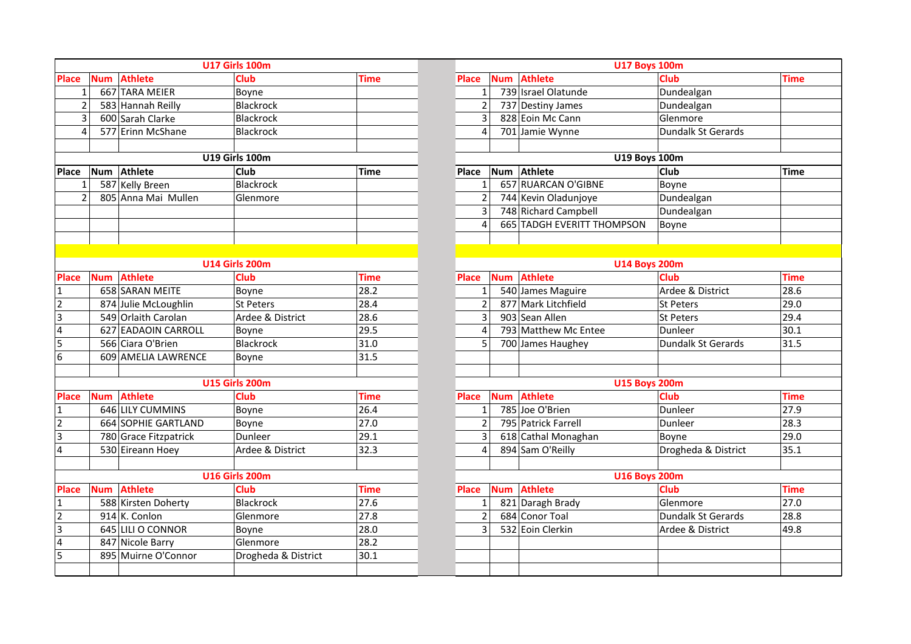|                         |            |                       | <b>U17 Girls 100m</b> |             |                |            | <b>U17 Boys 100m</b>          |                           |             |
|-------------------------|------------|-----------------------|-----------------------|-------------|----------------|------------|-------------------------------|---------------------------|-------------|
| <b>Place</b>            | <b>Num</b> | <b>Athlete</b>        | <b>Club</b>           | <b>Time</b> | <b>Place</b>   | <b>Num</b> | <b>Athlete</b>                | Club                      | <b>Time</b> |
| $\mathbf{1}$            |            | 667 TARA MEIER        | Boyne                 |             | $\mathbf{1}$   |            | 739 Israel Olatunde           | Dundealgan                |             |
| $\overline{2}$          |            | 583 Hannah Reilly     | <b>Blackrock</b>      |             | $\overline{2}$ |            | 737 Destiny James             | Dundealgan                |             |
| 3                       |            | 600 Sarah Clarke      | <b>Blackrock</b>      |             | 3              |            | 828 Eoin Mc Cann              | Glenmore                  |             |
| 4                       |            | 577 Erinn McShane     | Blackrock             |             | 4              |            | 701 Jamie Wynne               | <b>Dundalk St Gerards</b> |             |
|                         |            |                       |                       |             |                |            |                               |                           |             |
|                         |            |                       | <b>U19 Girls 100m</b> |             |                |            | <b>U19 Boys 100m</b>          |                           |             |
| Place                   | <b>Num</b> | <b>Athlete</b>        | <b>Club</b>           | <b>Time</b> | <b>Place</b>   | Num        | <b>Athlete</b>                | Club                      | Time        |
| 1                       |            | 587 Kelly Breen       | <b>Blackrock</b>      |             | 1              |            | 657 RUARCAN O'GIBNE           | Boyne                     |             |
| $\overline{2}$          |            | 805 Anna Mai Mullen   | Glenmore              |             | $\overline{2}$ |            | 744 Kevin Oladunjoye          | Dundealgan                |             |
|                         |            |                       |                       |             | 3              |            | 748 Richard Campbell          | Dundealgan                |             |
|                         |            |                       |                       |             | 4              | 665        | <b>TADGH EVERITT THOMPSON</b> | Boyne                     |             |
|                         |            |                       |                       |             |                |            |                               |                           |             |
|                         |            |                       |                       |             |                |            |                               |                           |             |
|                         |            |                       | <b>U14 Girls 200m</b> |             |                |            | <b>U14 Boys 200m</b>          |                           |             |
| <b>Place</b>            | Num        | <b>Athlete</b>        | <b>Club</b>           | <b>Time</b> | <b>Place</b>   | <b>Num</b> | <b>Athlete</b>                | Club                      | Time        |
| $\mathbf{1}$            |            | 658 SARAN MEITE       | Boyne                 | 28.2        | $\mathbf{1}$   |            | 540 James Maguire             | Ardee & District          | 28.6        |
| $\overline{2}$          |            | 874 Julie McLoughlin  | <b>St Peters</b>      | 28.4        | $\overline{2}$ |            | 877 Mark Litchfield           | St Peters                 | 29.0        |
| $\overline{3}$          |            | 549 Orlaith Carolan   | Ardee & District      | 28.6        | 3              |            | 903 Sean Allen                | St Peters                 | 29.4        |
| $\overline{\mathbf{4}}$ |            | 627 EADAOIN CARROLL   | Boyne                 | 29.5        | 4              |            | 793 Matthew Mc Entee          | Dunleer                   | 30.1        |
| 5                       |            | 566 Ciara O'Brien     | <b>Blackrock</b>      | 31.0        | 5              |            | 700 James Haughey             | Dundalk St Gerards        | 31.5        |
| 6                       |            | 609 AMELIA LAWRENCE   | Boyne                 | 31.5        |                |            |                               |                           |             |
|                         |            |                       |                       |             |                |            |                               |                           |             |
|                         |            |                       | <b>U15 Girls 200m</b> |             |                |            | <b>U15 Boys 200m</b>          |                           |             |
| <b>Place</b>            | Num        | <b>Athlete</b>        | <b>Club</b>           | Time        | Place          | <b>Num</b> | <b>Athlete</b>                | Club                      | Time        |
| 1                       |            | 646 LILY CUMMINS      | Boyne                 | 26.4        | $\mathbf{1}$   |            | 785 Joe O'Brien               | Dunleer                   | 27.9        |
| $\overline{2}$          |            | 664 SOPHIE GARTLAND   | Boyne                 | 27.0        | $\overline{2}$ |            | 795 Patrick Farrell           | Dunleer                   | 28.3        |
| 3                       |            | 780 Grace Fitzpatrick | Dunleer               | 29.1        | 3              |            | 618 Cathal Monaghan           | Boyne                     | 29.0        |
| $\overline{4}$          |            | 530 Eireann Hoey      | Ardee & District      | 32.3        | 4              |            | 894 Sam O'Reilly              | Drogheda & District       | 35.1        |
|                         |            |                       |                       |             |                |            |                               |                           |             |
|                         |            |                       | <b>U16 Girls 200m</b> |             |                |            | <b>U16 Boys 200m</b>          |                           |             |
| <b>Place</b>            | Num        | <b>Athlete</b>        | <b>Club</b>           | <b>Time</b> | <b>Place</b>   | <b>Num</b> | <b>Athlete</b>                | <b>Club</b>               | Time        |
| 1                       |            | 588 Kirsten Doherty   | <b>Blackrock</b>      | 27.6        | $\mathbf{1}$   |            | 821 Daragh Brady              | Glenmore                  | 27.0        |
| $\overline{2}$          |            | 914 K. Conlon         | Glenmore              | 27.8        | $\mathbf 2$    |            | 684 Conor Toal                | Dundalk St Gerards        | 28.8        |
| $\overline{3}$          |            | 645 LILI O CONNOR     | Boyne                 | 28.0        | 3              |            | 532 Eoin Clerkin              | Ardee & District          | 49.8        |
| 4                       |            | 847 Nicole Barry      | Glenmore              | 28.2        |                |            |                               |                           |             |
| 5                       |            | 895 Muirne O'Connor   | Drogheda & District   | 30.1        |                |            |                               |                           |             |
|                         |            |                       |                       |             |                |            |                               |                           |             |

| <b>U17 Girls 100m</b><br><b>Club</b><br><b>Time</b><br>Boyne<br>Blackrock |             |                |            |                            | <b>U17 Boys 100m</b> |             |  |
|---------------------------------------------------------------------------|-------------|----------------|------------|----------------------------|----------------------|-------------|--|
|                                                                           |             | <b>Place</b>   | <b>Num</b> | <b>Athlete</b>             | <b>Club</b>          | <b>Time</b> |  |
|                                                                           |             | $\mathbf{1}$   |            | 739 Israel Olatunde        | Dundealgan           |             |  |
|                                                                           |             | $\overline{2}$ |            | 737 Destiny James          | Dundealgan           |             |  |
| Blackrock                                                                 |             | 3              |            | 828 Eoin Mc Cann           | Glenmore             |             |  |
| Blackrock                                                                 |             | 4              |            | 701 Jamie Wynne            | Dundalk St Gerards   |             |  |
|                                                                           |             |                |            |                            |                      |             |  |
| <b>U19 Girls 100m</b>                                                     |             |                |            | <b>U19 Boys 100m</b>       |                      |             |  |
| Club                                                                      | <b>Time</b> | Place          | <b>Num</b> | <b>Athlete</b>             | Club                 | <b>Time</b> |  |
| Blackrock                                                                 |             | $\mathbf{1}$   |            | 657 RUARCAN O'GIBNE        | Boyne                |             |  |
| Glenmore                                                                  |             | $\overline{2}$ |            | 744 Kevin Oladunjoye       | Dundealgan           |             |  |
|                                                                           |             | 3              |            | 748 Richard Campbell       | Dundealgan           |             |  |
|                                                                           |             | 4              |            | 665 TADGH EVERITT THOMPSON | Boyne                |             |  |
|                                                                           |             |                |            |                            |                      |             |  |
|                                                                           |             |                |            |                            |                      |             |  |
| <b>U14 Girls 200m</b>                                                     |             |                |            | <b>U14 Boys 200m</b>       |                      |             |  |
| <b>Club</b>                                                               | <b>Time</b> | <b>Place</b>   | <b>Num</b> | <b>Athlete</b>             | Club                 | <b>Time</b> |  |
| Boyne                                                                     | 28.2        | 1              |            | 540 James Maguire          | Ardee & District     | 28.6        |  |
| <b>St Peters</b>                                                          | 28.4        | $\overline{2}$ |            | 877 Mark Litchfield        | <b>St Peters</b>     | 29.0        |  |
| Ardee & District                                                          | 28.6        | 3              |            | 903 Sean Allen             | St Peters            | 29.4        |  |
| Boyne                                                                     | 29.5        | 4              |            | 793 Matthew Mc Entee       | Dunleer              | 30.1        |  |
| <b>Blackrock</b>                                                          | 31.0        | 5              |            | 700 James Haughey          | Dundalk St Gerards   | 31.5        |  |
| Boyne                                                                     | 31.5        |                |            |                            |                      |             |  |
|                                                                           |             |                |            |                            |                      |             |  |
| <b>U15 Girls 200m</b>                                                     |             |                |            | <b>U15 Boys 200m</b>       |                      |             |  |
| <b>Club</b>                                                               | <b>Time</b> | Place          | <b>Num</b> | Athlete                    | Club                 | <b>Time</b> |  |
| Boyne                                                                     | 26.4        | 1              |            | 785 Joe O'Brien            | Dunleer              | 27.9        |  |
| Boyne                                                                     | 27.0        | $\overline{2}$ |            | 795 Patrick Farrell        | Dunleer              | 28.3        |  |
| Dunleer                                                                   | 29.1        | 3              |            | 618 Cathal Monaghan        | Boyne                | 29.0        |  |
| Ardee & District                                                          | 32.3        | 4              |            | 894 Sam O'Reilly           | Drogheda & District  | 35.1        |  |
|                                                                           |             |                |            |                            |                      |             |  |
| <b>U16 Girls 200m</b>                                                     |             |                |            | <b>U16 Boys 200m</b>       |                      |             |  |
| <b>Club</b>                                                               | <b>Time</b> | <b>Place</b>   | <b>Num</b> | <b>Athlete</b>             | <b>Club</b>          | <b>Time</b> |  |
| <b>Blackrock</b>                                                          | 27.6        | $\mathbf{1}$   |            | 821 Daragh Brady           | Glenmore             | 27.0        |  |
| Glenmore                                                                  | 27.8        | $\overline{2}$ |            | 684 Conor Toal             | Dundalk St Gerards   | 28.8        |  |
| Boyne                                                                     | 28.0        | 3              |            | 532 Eoin Clerkin           | Ardee & District     | 49.8        |  |
| Glenmore                                                                  | 28.2        |                |            |                            |                      |             |  |
| Drogheda & District                                                       | 30.1        |                |            |                            |                      |             |  |
|                                                                           |             |                |            |                            |                      |             |  |
|                                                                           |             |                |            |                            |                      |             |  |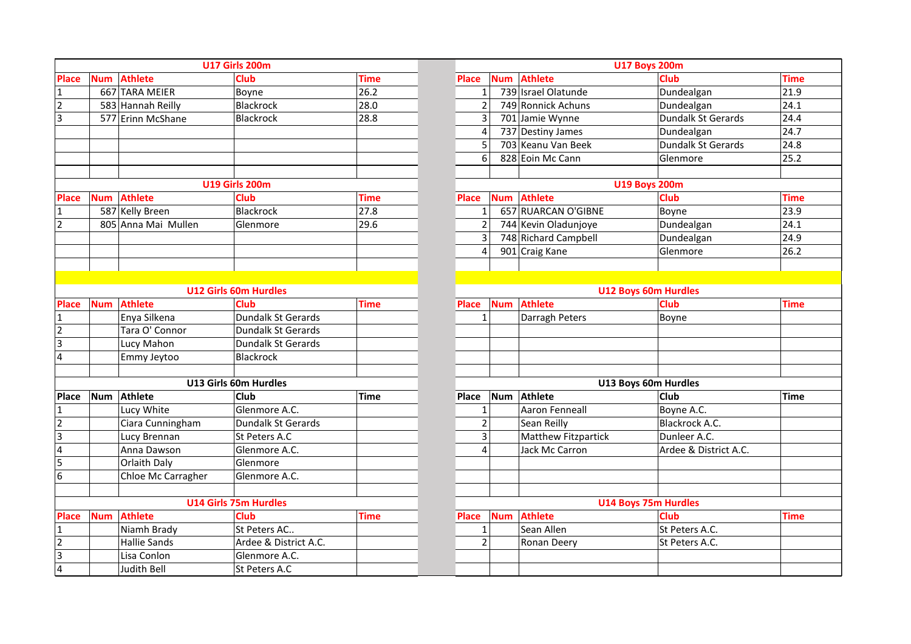|                |            |                     | <b>U17 Girls 200m</b>        |             |                |            |                            | <b>U17 Boys 200m</b>        |             |
|----------------|------------|---------------------|------------------------------|-------------|----------------|------------|----------------------------|-----------------------------|-------------|
| <b>Place</b>   | <b>Num</b> | <b>Athlete</b>      | Club                         | <b>Time</b> | Place          | <b>Num</b> | <b>Athlete</b>             | <b>Club</b>                 | <b>Time</b> |
| 1              |            | 667 TARA MEIER      | Boyne                        | 26.2        | 1              |            | 739 Israel Olatunde        | Dundealgan                  | 21.9        |
| $\overline{2}$ |            | 583 Hannah Reilly   | <b>Blackrock</b>             | 28.0        | $\overline{2}$ |            | 749 Ronnick Achuns         | Dundealgan                  | 24.1        |
| $\overline{3}$ |            | 577 Erinn McShane   | <b>Blackrock</b>             | 28.8        | 3              |            | 701 Jamie Wynne            | Dundalk St Gerards          | 24.4        |
|                |            |                     |                              |             | 4              |            | 737 Destiny James          | Dundealgan                  | 24.7        |
|                |            |                     |                              |             | 5              |            | 703 Keanu Van Beek         | <b>Dundalk St Gerards</b>   | 24.8        |
|                |            |                     |                              |             | 6              |            | 828 Eoin Mc Cann           | Glenmore                    | 25.2        |
|                |            |                     |                              |             |                |            |                            |                             |             |
|                |            |                     | <b>U19 Girls 200m</b>        |             |                |            |                            | <b>U19 Boys 200m</b>        |             |
| <b>Place</b>   | <b>Num</b> | <b>Athlete</b>      | <b>Club</b>                  | <b>Time</b> | <b>Place</b>   | <b>Num</b> | <b>Athlete</b>             | <b>Club</b>                 | Time        |
| 1              |            | 587 Kelly Breen     | <b>Blackrock</b>             | 27.8        | 1              |            | 657 RUARCAN O'GIBNE        | Boyne                       | 23.9        |
| $\overline{2}$ |            | 805 Anna Mai Mullen | Glenmore                     | 29.6        | $\overline{2}$ |            | 744 Kevin Oladunjoye       | Dundealgan                  | 24.1        |
|                |            |                     |                              |             | 3              |            | 748 Richard Campbell       | Dundealgan                  | 24.9        |
|                |            |                     |                              |             | 4              |            | 901 Craig Kane             | Glenmore                    | 26.2        |
|                |            |                     |                              |             |                |            |                            |                             |             |
|                |            |                     |                              |             |                |            |                            |                             |             |
|                |            |                     | <b>U12 Girls 60m Hurdles</b> |             |                |            |                            | <b>U12 Boys 60m Hurdles</b> |             |
| <b>Place</b>   | <b>Num</b> | <b>Athlete</b>      | <b>Club</b>                  | <b>Time</b> | <b>Place</b>   | <b>Num</b> | <b>Athlete</b>             | <b>Club</b>                 | <b>Time</b> |
| $\mathbf{1}$   |            | Enya Silkena        | Dundalk St Gerards           |             | $\mathbf{1}$   |            | Darragh Peters             | Boyne                       |             |
| $\overline{2}$ |            | Tara O' Connor      | Dundalk St Gerards           |             |                |            |                            |                             |             |
| $\overline{3}$ |            | Lucy Mahon          | Dundalk St Gerards           |             |                |            |                            |                             |             |
| $\overline{4}$ |            | Emmy Jeytoo         | <b>Blackrock</b>             |             |                |            |                            |                             |             |
|                |            |                     |                              |             |                |            |                            |                             |             |
|                |            |                     | U13 Girls 60m Hurdles        |             |                |            |                            | U13 Boys 60m Hurdles        |             |
| <b>Place</b>   | <b>Num</b> | Athlete             | Club                         | <b>Time</b> | Place          | Num        | Athlete                    | Club                        | <b>Time</b> |
| $\mathbf{1}$   |            | Lucy White          | Glenmore A.C.                |             | $\mathbf{1}$   |            | Aaron Fenneall             | Boyne A.C.                  |             |
| N M 4          |            | Ciara Cunningham    | Dundalk St Gerards           |             | $\overline{2}$ |            | Sean Reilly                | Blackrock A.C.              |             |
|                |            | Lucy Brennan        | St Peters A.C                |             | 3              |            | <b>Matthew Fitzpartick</b> | Dunleer A.C.                |             |
|                |            | Anna Dawson         | Glenmore A.C.                |             | 4              |            | Jack Mc Carron             | Ardee & District A.C.       |             |
| $\overline{5}$ |            | Orlaith Daly        | Glenmore                     |             |                |            |                            |                             |             |
| 6              |            | Chloe Mc Carragher  | Glenmore A.C.                |             |                |            |                            |                             |             |
|                |            |                     |                              |             |                |            |                            |                             |             |
|                |            |                     | <b>U14 Girls 75m Hurdles</b> |             |                |            |                            | <b>U14 Boys 75m Hurdles</b> |             |
| Place          | <b>Num</b> | <b>Athlete</b>      | <b>Club</b>                  | <b>Time</b> | <b>Place</b>   | <b>Num</b> | <b>Athlete</b>             | <b>Club</b>                 | Time        |
| $\mathbf{1}$   |            | Niamh Brady         | St Peters AC                 |             | 1              |            | Sean Allen                 | St Peters A.C.              |             |
| $\overline{2}$ |            | <b>Hallie Sands</b> | Ardee & District A.C.        |             | $\overline{2}$ |            | Ronan Deery                | St Peters A.C.              |             |
| $\overline{3}$ |            | Lisa Conlon         | Glenmore A.C.                |             |                |            |                            |                             |             |
| $\overline{4}$ |            | Judith Bell         | St Peters A.C                |             |                |            |                            |                             |             |

|      | <b>U17 Girls 200m</b>        |             |                            |            |                            | <b>U17 Boys 200m</b>        |             |
|------|------------------------------|-------------|----------------------------|------------|----------------------------|-----------------------------|-------------|
|      | <b>Club</b>                  | <b>Time</b> | <b>Place</b>               | <b>Num</b> | <b>Athlete</b>             | Club                        | <b>Time</b> |
|      | Boyne                        | 26.2        | $\mathbf 1$                |            | 739 Israel Olatunde        | Dundealgan                  | 21.9        |
|      | Blackrock                    | 28.0        | $\overline{2}$             |            | 749 Ronnick Achuns         | Dundealgan                  | 24.1        |
|      | Blackrock                    | 28.8        | 3                          |            | 701 Jamie Wynne            | Dundalk St Gerards          | 24.4        |
|      |                              |             | 4                          |            | 737 Destiny James          | Dundealgan                  | 24.7        |
|      |                              |             | 5                          |            | 703 Keanu Van Beek         | Dundalk St Gerards          | 24.8        |
|      |                              |             | 6                          |            | 828 Eoin Mc Cann           | Glenmore                    | 25.2        |
|      |                              |             |                            |            |                            |                             |             |
|      | <b>U19 Girls 200m</b>        |             |                            |            |                            | <b>U19 Boys 200m</b>        |             |
|      | Club                         | <b>Time</b> | <b>Place</b>               | <b>Num</b> | <b>Athlete</b>             | Club                        | <b>Time</b> |
|      | Blackrock                    | 27.8        | $\mathbf{1}$               |            | 657 RUARCAN O'GIBNE        | Boyne                       | 23.9        |
| en   | Glenmore                     | 29.6        | $\overline{2}$             |            | 744 Kevin Oladunjoye       | Dundealgan                  | 24.1        |
|      |                              |             | 3                          |            | 748 Richard Campbell       | Dundealgan                  | 24.9        |
|      |                              |             | 4                          |            | 901 Craig Kane             | Glenmore                    | 26.2        |
|      |                              |             |                            |            |                            |                             |             |
|      |                              |             |                            |            |                            |                             |             |
|      | <b>U12 Girls 60m Hurdles</b> |             |                            |            |                            | <b>U12 Boys 60m Hurdles</b> |             |
|      | <b>Club</b>                  | <b>Time</b> | <b>Num</b><br><b>Place</b> |            | <b>Athlete</b>             | <b>Club</b>                 | <b>Time</b> |
|      | <b>Dundalk St Gerards</b>    |             | $\mathbf{1}$               |            | Darragh Peters             | Boyne                       |             |
|      | Dundalk St Gerards           |             |                            |            |                            |                             |             |
|      | <b>Dundalk St Gerards</b>    |             |                            |            |                            |                             |             |
|      | Blackrock                    |             |                            |            |                            |                             |             |
|      |                              |             |                            |            |                            |                             |             |
|      | <b>U13 Girls 60m Hurdles</b> |             |                            |            |                            | U13 Boys 60m Hurdles        |             |
|      | <b>Club</b>                  | <b>Time</b> | Place                      | <b>Num</b> | <b>Athlete</b>             | Club                        | <b>Time</b> |
|      | Glenmore A.C.                |             | $\mathbf{1}$               |            | Aaron Fenneall             | Boyne A.C.                  |             |
| am   | Dundalk St Gerards           |             | $\overline{2}$             |            | Sean Reilly                | Blackrock A.C.              |             |
|      | St Peters A.C                |             | 3                          |            | <b>Matthew Fitzpartick</b> | Dunleer A.C.                |             |
|      | Glenmore A.C.                |             | 4                          |            | Jack Mc Carron             | Ardee & District A.C.       |             |
|      | Glenmore                     |             |                            |            |                            |                             |             |
| gher | Glenmore A.C.                |             |                            |            |                            |                             |             |
|      |                              |             |                            |            |                            |                             |             |
|      | <b>U14 Girls 75m Hurdles</b> |             |                            |            |                            | <b>U14 Boys 75m Hurdles</b> |             |
|      | Club                         | <b>Time</b> | <b>Place</b>               | <b>Num</b> | <b>Athlete</b>             | Club                        | <b>Time</b> |
|      | St Peters AC                 |             | $\mathbf 1$                |            | Sean Allen                 | St Peters A.C.              |             |
|      | Ardee & District A.C.        |             | $\overline{2}$             |            | Ronan Deery                | St Peters A.C.              |             |
|      | Glenmore A.C.                |             |                            |            |                            |                             |             |
|      | St Peters A.C                |             |                            |            |                            |                             |             |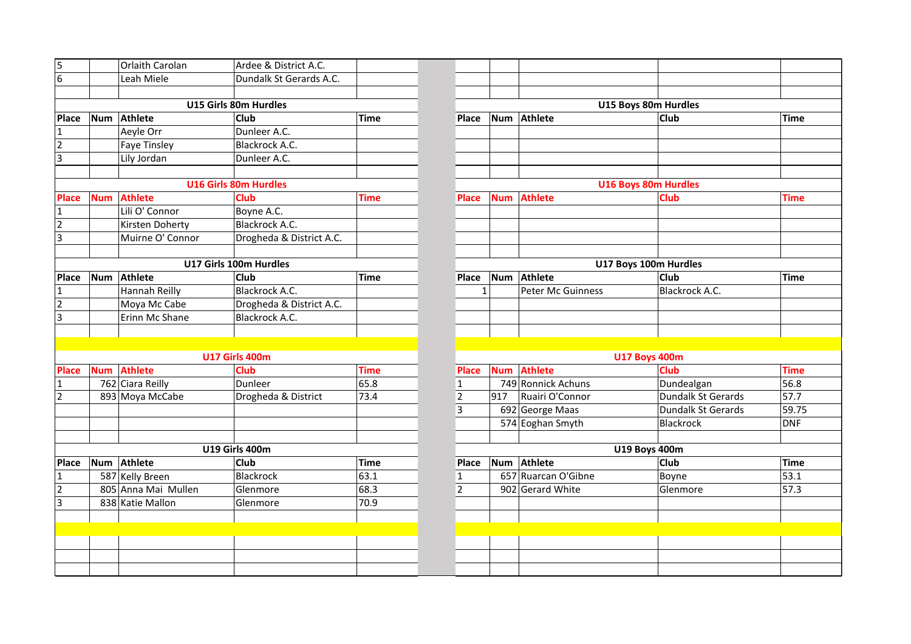| 5                       |            | Orlaith Carolan     | Ardee & District A.C.        |             |                |              |                     |                             |                   |
|-------------------------|------------|---------------------|------------------------------|-------------|----------------|--------------|---------------------|-----------------------------|-------------------|
| $\overline{6}$          |            | Leah Miele          | Dundalk St Gerards A.C.      |             |                |              |                     |                             |                   |
|                         |            |                     |                              |             |                |              |                     |                             |                   |
|                         |            |                     | U15 Girls 80m Hurdles        |             |                |              |                     | U15 Boys 80m Hurdles        |                   |
| <b>Place</b>            | <b>Num</b> | <b>Athlete</b>      | <b>Club</b>                  | <b>Time</b> | Place          | Num          | Athlete             | Club                        | Time              |
| 1                       |            | Aeyle Orr           | Dunleer A.C.                 |             |                |              |                     |                             |                   |
| $\overline{2}$          |            | <b>Faye Tinsley</b> | Blackrock A.C.               |             |                |              |                     |                             |                   |
| $\overline{3}$          |            | Lily Jordan         | Dunleer A.C.                 |             |                |              |                     |                             |                   |
|                         |            |                     |                              |             |                |              |                     |                             |                   |
|                         |            |                     | <b>U16 Girls 80m Hurdles</b> |             |                |              |                     | <b>U16 Boys 80m Hurdles</b> |                   |
| Place                   | <b>Num</b> | <b>Athlete</b>      | <b>Club</b>                  | <b>Time</b> | <b>Place</b>   | <b>Num</b>   | <b>Athlete</b>      | <b>Club</b>                 | <b>Time</b>       |
| 1                       |            | Lili O' Connor      | Boyne A.C.                   |             |                |              |                     |                             |                   |
| $\overline{2}$          |            | Kirsten Doherty     | Blackrock A.C.               |             |                |              |                     |                             |                   |
| $\overline{\mathbf{3}}$ |            | Muirne O' Connor    | Drogheda & District A.C.     |             |                |              |                     |                             |                   |
|                         |            |                     |                              |             |                |              |                     |                             |                   |
|                         |            |                     | U17 Girls 100m Hurdles       |             |                |              |                     | U17 Boys 100m Hurdles       |                   |
| <b>Place</b>            | <b>Num</b> | Athlete             | <b>Club</b>                  | <b>Time</b> | Place          | Num          | <b>Athlete</b>      | <b>Club</b>                 | Time              |
| 1                       |            | Hannah Reilly       | <b>Blackrock A.C.</b>        |             |                | $\mathbf{1}$ | Peter Mc Guinness   | Blackrock A.C.              |                   |
| $\overline{2}$          |            | Moya Mc Cabe        | Drogheda & District A.C.     |             |                |              |                     |                             |                   |
| 3                       |            | Erinn Mc Shane      | Blackrock A.C.               |             |                |              |                     |                             |                   |
|                         |            |                     |                              |             |                |              |                     |                             |                   |
|                         |            |                     |                              |             |                |              |                     |                             |                   |
|                         |            |                     | <b>U17 Girls 400m</b>        |             |                |              |                     | <b>U17 Boys 400m</b>        |                   |
| <b>Place</b>            | <b>Num</b> | <b>Athlete</b>      | <b>Club</b>                  | <b>Time</b> | <b>Place</b>   | <b>Num</b>   | <b>Athlete</b>      | Club                        | <b>Time</b>       |
| 1                       |            | 762 Ciara Reilly    | Dunleer                      | 65.8        | $\mathbf{1}$   |              | 749 Ronnick Achuns  | Dundealgan                  | 56.8              |
| $\overline{2}$          |            | 893 Moya McCabe     | Drogheda & District          | 73.4        | $\overline{2}$ | 917          | Ruairi O'Connor     | Dundalk St Gerards          | 57.7              |
|                         |            |                     |                              |             | 3              |              | 692 George Maas     | Dundalk St Gerards          | 59.7              |
|                         |            |                     |                              |             |                |              | 574 Eoghan Smyth    | Blackrock                   | <b>DNF</b>        |
|                         |            |                     |                              |             |                |              |                     |                             |                   |
|                         |            |                     | <b>U19 Girls 400m</b>        |             |                |              |                     | <b>U19 Boys 400m</b>        |                   |
| <b>Place</b>            |            | Num Athlete         | <b>Club</b>                  | <b>Time</b> | Place          | Num          | <b>Athlete</b>      | <b>Club</b>                 | Time              |
| $\mathbf{1}$            |            | 587 Kelly Breen     | <b>Blackrock</b>             | 63.1        | $\mathbf{1}$   |              | 657 Ruarcan O'Gibne | Boyne                       | $\overline{53.1}$ |
| $\overline{2}$          |            | 805 Anna Mai Mullen | Glenmore                     | 68.3        | $\overline{2}$ |              | 902 Gerard White    | Glenmore                    | 57.3              |
| $\overline{\mathbf{3}}$ |            | 838 Katie Mallon    | Glenmore                     | 70.9        |                |              |                     |                             |                   |
|                         |            |                     |                              |             |                |              |                     |                             |                   |
|                         |            |                     |                              |             |                |              |                     |                             |                   |
|                         |            |                     |                              |             |                |              |                     |                             |                   |
|                         |            |                     |                              |             |                |              |                     |                             |                   |
|                         |            |                     |                              |             |                |              |                     |                             |                   |

|      | Ardee & District A.C.        |             |                |            |                             |                    |             |
|------|------------------------------|-------------|----------------|------------|-----------------------------|--------------------|-------------|
|      | Dundalk St Gerards A.C.      |             |                |            |                             |                    |             |
|      |                              |             |                |            |                             |                    |             |
|      | U15 Girls 80m Hurdles        |             |                |            | U15 Boys 80m Hurdles        |                    |             |
|      | <b>Club</b>                  | Time        | <b>Place</b>   |            | Num Athlete                 | <b>Club</b>        | <b>Time</b> |
|      | Dunleer A.C.                 |             |                |            |                             |                    |             |
|      | Blackrock A.C.               |             |                |            |                             |                    |             |
|      | Dunleer A.C.                 |             |                |            |                             |                    |             |
|      |                              |             |                |            |                             |                    |             |
|      | <b>U16 Girls 80m Hurdles</b> |             |                |            | <b>U16 Boys 80m Hurdles</b> |                    |             |
|      | <b>Club</b>                  | <b>Time</b> | <b>Place</b>   | <b>Num</b> | Athlete                     | Club               | <b>Time</b> |
|      | Boyne A.C.                   |             |                |            |                             |                    |             |
| y    | Blackrock A.C.               |             |                |            |                             |                    |             |
| nor  | Drogheda & District A.C.     |             |                |            |                             |                    |             |
|      |                              |             |                |            |                             |                    |             |
|      | U17 Girls 100m Hurdles       |             |                |            | U17 Boys 100m Hurdles       |                    |             |
|      | Club                         | <b>Time</b> | Place          |            | Num Athlete                 | Club               | <b>Time</b> |
|      | Blackrock A.C.               |             | 1              |            | Peter Mc Guinness           | Blackrock A.C.     |             |
|      | Drogheda & District A.C.     |             |                |            |                             |                    |             |
| e    | Blackrock A.C.               |             |                |            |                             |                    |             |
|      |                              |             |                |            |                             |                    |             |
|      |                              |             |                |            |                             |                    |             |
|      | <b>U17 Girls 400m</b>        |             |                |            | <b>U17 Boys 400m</b>        |                    |             |
|      | <b>Club</b>                  | <b>Time</b> | Place          | <b>Num</b> | <b>Athlete</b>              | <b>Club</b>        | <b>Time</b> |
|      | Dunleer                      | 65.8        | $\mathbf{1}$   |            | 749 Ronnick Achuns          | Dundealgan         | 56.8        |
|      | Drogheda & District          | 73.4        | $\overline{2}$ | 917        | Ruairi O'Connor             | Dundalk St Gerards | 57.7        |
|      |                              |             | 3              |            | 692 George Maas             | Dundalk St Gerards | 59.75       |
|      |                              |             |                |            | 574 Eoghan Smyth            | Blackrock          | <b>DNF</b>  |
|      |                              |             |                |            |                             |                    |             |
|      | <b>U19 Girls 400m</b>        |             |                |            | <b>U19 Boys 400m</b>        |                    |             |
|      | Club                         | <b>Time</b> | Place          |            | Num Athlete                 | Club               | <b>Time</b> |
|      | <b>Blackrock</b>             | 63.1        | $\mathbf{1}$   |            | 657 Ruarcan O'Gibne         | Boyne              | 53.1        |
| llen | Glenmore                     | 68.3        | $\overline{2}$ |            | 902 Gerard White            | Glenmore           | 57.3        |
|      | Glenmore                     | 70.9        |                |            |                             |                    |             |
|      |                              |             |                |            |                             |                    |             |
|      |                              |             |                |            |                             |                    |             |
|      |                              |             |                |            |                             |                    |             |
|      |                              |             |                |            |                             |                    |             |
|      |                              |             |                |            |                             |                    |             |
|      |                              |             |                |            |                             |                    |             |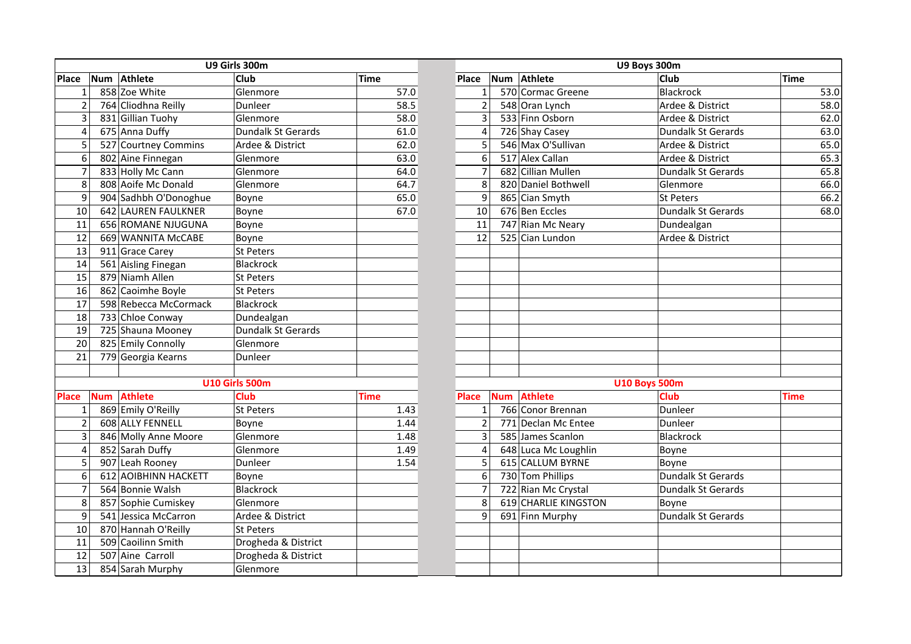|                 | U9 Girls 300m |                       |                       |             | U9 Boys 300m   |            |                      |                           |             |  |  |
|-----------------|---------------|-----------------------|-----------------------|-------------|----------------|------------|----------------------|---------------------------|-------------|--|--|
| Place           | <b>Num</b>    | Athlete               | Club                  | <b>Time</b> | Place          | <b>Num</b> | Athlete              | Club                      | <b>Time</b> |  |  |
| $\mathbf{1}$    |               | 858 Zoe White         | Glenmore              | 57.0        | $\mathbf{1}$   |            | 570 Cormac Greene    | Blackrock                 |             |  |  |
| $\overline{c}$  |               | 764 Cliodhna Reilly   | Dunleer               | 58.5        | $\overline{2}$ |            | 548 Oran Lynch       | Ardee & District          |             |  |  |
| 3               |               | 831 Gillian Tuohy     | Glenmore              | 58.0        | 3              |            | 533 Finn Osborn      | Ardee & District          |             |  |  |
| 4               |               | 675 Anna Duffy        | Dundalk St Gerards    | 61.0        | 4              |            | 726 Shay Casey       | <b>Dundalk St Gerards</b> |             |  |  |
| 5               |               | 527 Courtney Commins  | Ardee & District      | 62.0        | 5              |            | 546 Max O'Sullivan   | Ardee & District          |             |  |  |
| 6               |               | 802 Aine Finnegan     | Glenmore              | 63.0        | 6              |            | 517 Alex Callan      | Ardee & District          |             |  |  |
| $\overline{7}$  |               | 833 Holly Mc Cann     | Glenmore              | 64.0        | 7              |            | 682 Cillian Mullen   | <b>Dundalk St Gerards</b> |             |  |  |
| 8               |               | 808 Aoife Mc Donald   | Glenmore              | 64.7        | 8              |            | 820 Daniel Bothwell  | Glenmore                  |             |  |  |
| 9               |               | 904 Sadhbh O'Donoghue | Boyne                 | 65.0        | 9              |            | 865 Cian Smyth       | St Peters                 |             |  |  |
| 10              |               | 642 LAUREN FAULKNER   | Boyne                 | 67.0        | 10             |            | 676 Ben Eccles       | <b>Dundalk St Gerards</b> |             |  |  |
| 11              |               | 656 ROMANE NJUGUNA    | Boyne                 |             | 11             |            | 747 Rian Mc Neary    | Dundealgan                |             |  |  |
| 12              |               | 669 WANNITA McCABE    | Boyne                 |             | 12             |            | 525 Cian Lundon      | Ardee & District          |             |  |  |
| 13              |               | 911 Grace Carey       | St Peters             |             |                |            |                      |                           |             |  |  |
| 14              |               | 561 Aisling Finegan   | Blackrock             |             |                |            |                      |                           |             |  |  |
| 15              |               | 879 Niamh Allen       | St Peters             |             |                |            |                      |                           |             |  |  |
| 16              |               | 862 Caoimhe Boyle     | St Peters             |             |                |            |                      |                           |             |  |  |
| 17              |               | 598 Rebecca McCormack | Blackrock             |             |                |            |                      |                           |             |  |  |
| 18              |               | 733 Chloe Conway      | Dundealgan            |             |                |            |                      |                           |             |  |  |
| 19              |               | 725 Shauna Mooney     | Dundalk St Gerards    |             |                |            |                      |                           |             |  |  |
| 20              |               | 825 Emily Connolly    | Glenmore              |             |                |            |                      |                           |             |  |  |
| $\overline{21}$ |               | 779 Georgia Kearns    | Dunleer               |             |                |            |                      |                           |             |  |  |
|                 |               |                       |                       |             |                |            |                      |                           |             |  |  |
|                 |               |                       | <b>U10 Girls 500m</b> |             |                |            |                      | <b>U10 Boys 500m</b>      |             |  |  |
| <b>Place</b>    | <b>Num</b>    | <b>Athlete</b>        | <b>Club</b>           | <b>Time</b> | <b>Place</b>   | <b>Num</b> | <b>Athlete</b>       | Club                      | <b>Time</b> |  |  |
| $\mathbf{1}$    |               | 869 Emily O'Reilly    | <b>St Peters</b>      | 1.43        | $\mathbf{1}$   |            | 766 Conor Brennan    | Dunleer                   |             |  |  |
| $\overline{2}$  |               | 608 ALLY FENNELL      | Boyne                 | 1.44        | $\overline{2}$ |            | 771 Declan Mc Entee  | Dunleer                   |             |  |  |
| 3               |               | 846 Molly Anne Moore  | Glenmore              | 1.48        | 3              |            | 585 James Scanlon    | Blackrock                 |             |  |  |
| $\overline{4}$  |               | 852 Sarah Duffy       | Glenmore              | 1.49        | 4              |            | 648 Luca Mc Loughlin | Boyne                     |             |  |  |
| 5               |               | 907 Leah Rooney       | Dunleer               | 1.54        | 5              |            | 615 CALLUM BYRNE     | Boyne                     |             |  |  |
| 6               |               | 612 AOIBHINN HACKETT  | Boyne                 |             | 6              |            | 730 Tom Phillips     | Dundalk St Gerards        |             |  |  |
| 7               |               | 564 Bonnie Walsh      | <b>Blackrock</b>      |             | $\overline{7}$ |            | 722 Rian Mc Crystal  | <b>Dundalk St Gerards</b> |             |  |  |
| 8               |               | 857 Sophie Cumiskey   | Glenmore              |             | 8              |            | 619 CHARLIE KINGSTON | Boyne                     |             |  |  |
| 9               |               | 541 Jessica McCarron  | Ardee & District      |             | 9              |            | 691 Finn Murphy      | Dundalk St Gerards        |             |  |  |
| 10              |               | 870 Hannah O'Reilly   | <b>St Peters</b>      |             |                |            |                      |                           |             |  |  |
| 11              |               | 509 Caoilinn Smith    | Drogheda & District   |             |                |            |                      |                           |             |  |  |
| 12              |               | 507 Aine Carroll      | Drogheda & District   |             |                |            |                      |                           |             |  |  |
| 13              |               | 854 Sarah Murphy      | Glenmore              |             |                |            |                      |                           |             |  |  |

|                  |            |                       | U9 Girls 300m         |             | U9 Boys 300m   |            |                      |                           |             |  |  |
|------------------|------------|-----------------------|-----------------------|-------------|----------------|------------|----------------------|---------------------------|-------------|--|--|
|                  |            | Num Athlete           | Club                  | <b>Time</b> | <b>Place</b>   | Num        | Athlete              | Club                      | <b>Time</b> |  |  |
| $\mathbf{1}$     |            | 858 Zoe White         | Glenmore              | 57.0        | $\mathbf{1}$   |            | 570 Cormac Greene    | <b>Blackrock</b>          | 53.0        |  |  |
| $\overline{2}$   |            | 764 Cliodhna Reilly   | Dunleer               | 58.5        | $\overline{2}$ |            | 548 Oran Lynch       | Ardee & District          | 58.0        |  |  |
| $\mathbf{3}$     |            | 831 Gillian Tuohy     | Glenmore              | 58.0        | 3              |            | 533 Finn Osborn      | Ardee & District          | 62.0        |  |  |
| $\overline{4}$   |            | 675 Anna Duffy        | Dundalk St Gerards    | 61.0        | 4              |            | 726 Shay Casey       | <b>Dundalk St Gerards</b> | 63.0        |  |  |
| 5                |            | 527 Courtney Commins  | Ardee & District      | 62.0        | 5              |            | 546 Max O'Sullivan   | Ardee & District          | 65.0        |  |  |
| $\boldsymbol{6}$ |            | 802 Aine Finnegan     | Glenmore              | 63.0        | 6              |            | 517 Alex Callan      | Ardee & District          | 65.3        |  |  |
| $\overline{7}$   |            | 833 Holly Mc Cann     | Glenmore              | 64.0        | 7              |            | 682 Cillian Mullen   | <b>Dundalk St Gerards</b> | 65.8        |  |  |
| 8                |            | 808 Aoife Mc Donald   | Glenmore              | 64.7        | 8              |            | 820 Daniel Bothwell  | Glenmore                  | 66.0        |  |  |
| 9                |            | 904 Sadhbh O'Donoghue | Boyne                 | 65.0        | 9              |            | 865 Cian Smyth       | <b>St Peters</b>          | 66.2        |  |  |
| 10               |            | 642 LAUREN FAULKNER   | Boyne                 | 67.0        | 10             |            | 676 Ben Eccles       | <b>Dundalk St Gerards</b> | 68.0        |  |  |
| 11               |            | 656 ROMANE NJUGUNA    | Boyne                 |             | 11             |            | 747 Rian Mc Neary    | Dundealgan                |             |  |  |
| $\overline{12}$  |            | 669 WANNITA McCABE    | Boyne                 |             | 12             |            | 525 Cian Lundon      | Ardee & District          |             |  |  |
| 13               |            | 911 Grace Carey       | St Peters             |             |                |            |                      |                           |             |  |  |
| 14               |            | 561 Aisling Finegan   | Blackrock             |             |                |            |                      |                           |             |  |  |
| 15               |            | 879 Niamh Allen       | St Peters             |             |                |            |                      |                           |             |  |  |
| 16               |            | 862 Caoimhe Boyle     | St Peters             |             |                |            |                      |                           |             |  |  |
| 17               |            | 598 Rebecca McCormack | Blackrock             |             |                |            |                      |                           |             |  |  |
| 18               |            | 733 Chloe Conway      | Dundealgan            |             |                |            |                      |                           |             |  |  |
| 19               |            | 725 Shauna Mooney     | Dundalk St Gerards    |             |                |            |                      |                           |             |  |  |
| 20               |            | 825 Emily Connolly    | Glenmore              |             |                |            |                      |                           |             |  |  |
| 21               |            | 779 Georgia Kearns    | Dunleer               |             |                |            |                      |                           |             |  |  |
|                  |            |                       |                       |             |                |            |                      |                           |             |  |  |
|                  |            |                       | <b>U10 Girls 500m</b> |             |                |            | <b>U10 Boys 500m</b> |                           |             |  |  |
|                  | <b>Num</b> | <b>Athlete</b>        | <b>Club</b>           | Time        | <b>Place</b>   | <b>Num</b> | <b>Athlete</b>       | <b>Club</b>               | <b>Time</b> |  |  |
| $\mathbf{1}$     |            | 869 Emily O'Reilly    | St Peters             | 1.43        | $\mathbf{1}$   |            | 766 Conor Brennan    | Dunleer                   |             |  |  |
| $\overline{2}$   |            | 608 ALLY FENNELL      | Boyne                 | 1.44        | $\overline{2}$ |            | 771 Declan Mc Entee  | Dunleer                   |             |  |  |
| $\overline{3}$   |            | 846 Molly Anne Moore  | Glenmore              | 1.48        | 3              |            | 585 James Scanlon    | <b>Blackrock</b>          |             |  |  |
| $\overline{4}$   |            | 852 Sarah Duffy       | Glenmore              | 1.49        | $\overline{4}$ |            | 648 Luca Mc Loughlin | Boyne                     |             |  |  |
| 5                |            | 907 Leah Rooney       | Dunleer               | 1.54        | 5              |            | 615 CALLUM BYRNE     | Boyne                     |             |  |  |
| $\boldsymbol{6}$ |            | 612 AOIBHINN HACKETT  | Boyne                 |             | 6              |            | 730 Tom Phillips     | <b>Dundalk St Gerards</b> |             |  |  |
| $\overline{7}$   |            | 564 Bonnie Walsh      | Blackrock             |             | $\overline{7}$ |            | 722 Rian Mc Crystal  | <b>Dundalk St Gerards</b> |             |  |  |
| 8                |            | 857 Sophie Cumiskey   | Glenmore              |             | 8              |            | 619 CHARLIE KINGSTON | Boyne                     |             |  |  |
| 9                |            | 541 Jessica McCarron  | Ardee & District      |             | 9              |            | 691 Finn Murphy      | <b>Dundalk St Gerards</b> |             |  |  |
| 10               |            | 870 Hannah O'Reilly   | St Peters             |             |                |            |                      |                           |             |  |  |
| 11               |            | 509 Caoilinn Smith    | Drogheda & District   |             |                |            |                      |                           |             |  |  |
| 12               |            | 507 Aine Carroll      | Drogheda & District   |             |                |            |                      |                           |             |  |  |
| 13               |            | 854 Sarah Murphy      | Glenmore              |             |                |            |                      |                           |             |  |  |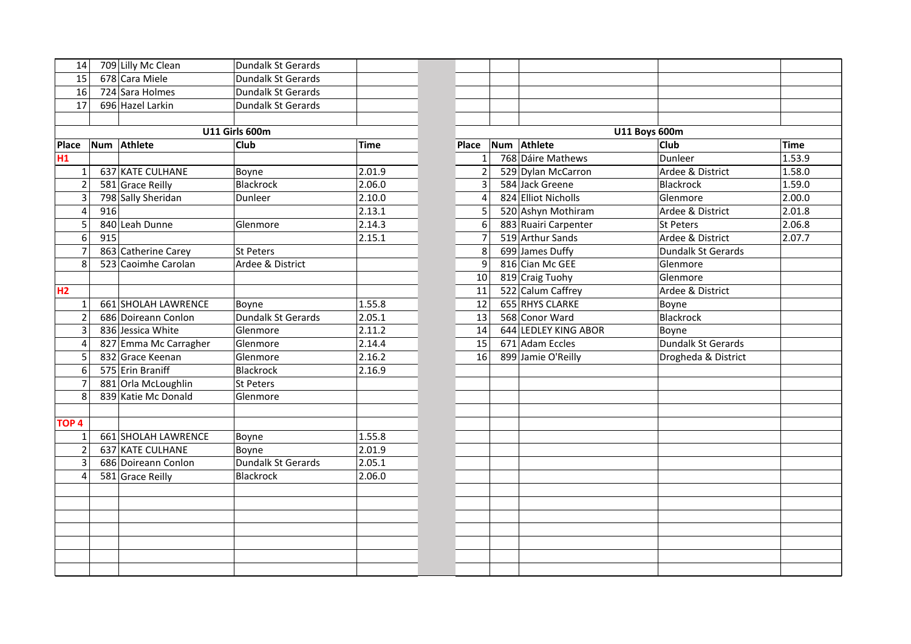| 14               |     | 709 Lilly Mc Clean    | Dundalk St Gerards        |             |                  |                      |                      |             |
|------------------|-----|-----------------------|---------------------------|-------------|------------------|----------------------|----------------------|-------------|
| 15               |     | 678 Cara Miele        | <b>Dundalk St Gerards</b> |             |                  |                      |                      |             |
| 16               |     | 724 Sara Holmes       | Dundalk St Gerards        |             |                  |                      |                      |             |
| 17               |     | 696 Hazel Larkin      | <b>Dundalk St Gerards</b> |             |                  |                      |                      |             |
|                  |     |                       |                           |             |                  |                      |                      |             |
|                  |     |                       | <b>U11 Girls 600m</b>     |             |                  |                      | <b>U11 Boys 600m</b> |             |
| Place            |     | Num Athlete           | Club                      | <b>Time</b> | Place            | Num Athlete          | <b>Club</b>          | <b>Time</b> |
| H1               |     |                       |                           |             | $\mathbf{1}$     | 768 Dáire Mathews    | Dunleer              | 1.53.9      |
| 1 <sup>1</sup>   |     | 637 KATE CULHANE      | Boyne                     | 2.01.9      | $\overline{2}$   | 529 Dylan McCarron   | Ardee & District     | 1.58.0      |
| $\overline{2}$   |     | 581 Grace Reilly      | <b>Blackrock</b>          | 2.06.0      | 3                | 584 Jack Greene      | Blackrock            | 1.59.0      |
| 3                |     | 798 Sally Sheridan    | Dunleer                   | 2.10.0      | $\overline{4}$   | 824 Elliot Nicholls  | Glenmore             | 2.00C       |
| 4                | 916 |                       |                           | 2.13.1      | 5                | 520 Ashyn Mothiram   | Ardee & District     | 2.01.8      |
| 5                |     | 840 Leah Dunne        | Glenmore                  | 2.14.3      | $\boldsymbol{6}$ | 883 Ruairi Carpenter | <b>St Peters</b>     | 2.06.8      |
| $6 \overline{6}$ | 915 |                       |                           | 2.15.1      | $\overline{7}$   | 519 Arthur Sands     | Ardee & District     | 2.07.7      |
| $\overline{7}$   |     | 863 Catherine Carey   | St Peters                 |             | 8                | 699 James Duffy      | Dundalk St Gerards   |             |
| 8                |     | 523 Caoimhe Carolan   | Ardee & District          |             | 9                | 816 Cian Mc GEE      | Glenmore             |             |
|                  |     |                       |                           |             | 10 <sup>1</sup>  | 819 Craig Tuohy      | Glenmore             |             |
| H2               |     |                       |                           |             | 11               | 522 Calum Caffrey    | Ardee & District     |             |
| $1\overline{ }$  |     | 661 SHOLAH LAWRENCE   | Boyne                     | 1.55.8      | 12               | 655 RHYS CLARKE      | Boyne                |             |
| $\overline{2}$   |     | 686 Doireann Conlon   | Dundalk St Gerards        | 2.05.1      | 13               | 568 Conor Ward       | <b>Blackrock</b>     |             |
| 3                |     | 836 Jessica White     | Glenmore                  | 2.11.2      | 14               | 644 LEDLEY KING ABOR | Boyne                |             |
| 4                |     | 827 Emma Mc Carragher | Glenmore                  | 2.14.4      | 15               | 671 Adam Eccles      | Dundalk St Gerards   |             |
| 5                |     | 832 Grace Keenan      | Glenmore                  | 2.16.2      | 16               | 899 Jamie O'Reilly   | Drogheda & District  |             |
| 6                |     | 575 Erin Braniff      | <b>Blackrock</b>          | 2.16.9      |                  |                      |                      |             |
| 7                |     | 881 Orla McLoughlin   | <b>St Peters</b>          |             |                  |                      |                      |             |
| 8                |     | 839 Katie Mc Donald   | Glenmore                  |             |                  |                      |                      |             |
|                  |     |                       |                           |             |                  |                      |                      |             |
| TOP <sub>4</sub> |     |                       |                           |             |                  |                      |                      |             |
| 1 <sup>1</sup>   |     | 661 SHOLAH LAWRENCE   | Boyne                     | 1.55.8      |                  |                      |                      |             |
| $\overline{2}$   |     | 637 KATE CULHANE      | Boyne                     | 2.01.9      |                  |                      |                      |             |
| 3                |     | 686 Doireann Conlon   | Dundalk St Gerards        | 2.05.1      |                  |                      |                      |             |
| 4                |     | 581 Grace Reilly      | <b>Blackrock</b>          | 2.06.0      |                  |                      |                      |             |
|                  |     |                       |                           |             |                  |                      |                      |             |
|                  |     |                       |                           |             |                  |                      |                      |             |
|                  |     |                       |                           |             |                  |                      |                      |             |
|                  |     |                       |                           |             |                  |                      |                      |             |
|                  |     |                       |                           |             |                  |                      |                      |             |
|                  |     |                       |                           |             |                  |                      |                      |             |
|                  |     |                       |                           |             |                  |                      |                      |             |

| 4 |     | 709 Lilly Mc Clean          | Dundalk St Gerards        |             |                |                      |                           |        |
|---|-----|-----------------------------|---------------------------|-------------|----------------|----------------------|---------------------------|--------|
| 5 |     | $\overline{678}$ Cara Miele | Dundalk St Gerards        |             |                |                      |                           |        |
| 6 |     | 724 Sara Holmes             | <b>Dundalk St Gerards</b> |             |                |                      |                           |        |
|   |     | 696 Hazel Larkin            | Dundalk St Gerards        |             |                |                      |                           |        |
|   |     |                             |                           |             |                |                      |                           |        |
|   |     |                             | <b>U11 Girls 600m</b>     |             |                |                      | <b>U11 Boys 600m</b>      |        |
|   |     | Num Athlete                 | Club                      | <b>Time</b> | Place          | Num Athlete          | Club                      | Time   |
|   |     |                             |                           |             | 1              | 768 Dáire Mathews    | Dunleer                   | 1.53.9 |
|   |     | 637 KATE CULHANE            | Boyne                     | 2.01.9      | $\overline{2}$ | 529 Dylan McCarron   | Ardee & District          | 1.58.0 |
|   |     | 581 Grace Reilly            | <b>Blackrock</b>          | 2.06.0      | 3              | 584 Jack Greene      | Blackrock                 | 1.59.0 |
| 3 |     | 798 Sally Sheridan          | Dunleer                   | 2.10.0      | 4              | 824 Elliot Nicholls  | Glenmore                  | 2.00.0 |
| 4 | 916 |                             |                           | 2.13.1      | 5              | 520 Ashyn Mothiram   | Ardee & District          | 2.01.8 |
| 5 |     | 840 Leah Dunne              | Glenmore                  | 2.14.3      | 6              | 883 Ruairi Carpenter | St Peters                 | 2.06.8 |
| 6 | 915 |                             |                           | 2.15.1      | $\overline{7}$ | 519 Arthur Sands     | Ardee & District          | 2.07.7 |
|   |     | 863 Catherine Carey         | <b>St Peters</b>          |             | 8              | 699 James Duffy      | <b>Dundalk St Gerards</b> |        |
|   |     | 523 Caoimhe Carolan         | Ardee & District          |             | 9              | 816 Cian Mc GEE      | Glenmore                  |        |
|   |     |                             |                           |             | 10             | 819 Craig Tuohy      | Glenmore                  |        |
|   |     |                             |                           |             | 11             | 522 Calum Caffrey    | Ardee & District          |        |
|   |     | 661 SHOLAH LAWRENCE         | Boyne                     | 1.55.8      | 12             | 655 RHYS CLARKE      | Boyne                     |        |
|   |     | 686 Doireann Conlon         | <b>Dundalk St Gerards</b> | 2.05.1      | 13             | 568 Conor Ward       | Blackrock                 |        |
|   |     | 836 Jessica White           | Glenmore                  | 2.11.2      | 14             | 644 LEDLEY KING ABOR | Boyne                     |        |
| 4 |     | 827 Emma Mc Carragher       | Glenmore                  | 2.14.4      | 15             | 671 Adam Eccles      | Dundalk St Gerards        |        |
| 5 |     | 832 Grace Keenan            | Glenmore                  | 2.16.2      | 16             | 899 Jamie O'Reilly   | Drogheda & District       |        |
| 6 |     | 575 Erin Braniff            | <b>Blackrock</b>          | 2.16.9      |                |                      |                           |        |
|   |     | 881 Orla McLoughlin         | <b>St Peters</b>          |             |                |                      |                           |        |
|   |     | 839 Katie Mc Donald         | Glenmore                  |             |                |                      |                           |        |
|   |     |                             |                           |             |                |                      |                           |        |
|   |     |                             |                           |             |                |                      |                           |        |
|   |     | 661 SHOLAH LAWRENCE         | Boyne                     | 1.55.8      |                |                      |                           |        |
|   |     | 637 KATE CULHANE            | Boyne                     | 2.01.9      |                |                      |                           |        |
|   |     | 686 Doireann Conlon         | Dundalk St Gerards        | 2.05.1      |                |                      |                           |        |
|   |     | 581 Grace Reilly            | <b>Blackrock</b>          | 2.06.0      |                |                      |                           |        |
|   |     |                             |                           |             |                |                      |                           |        |
|   |     |                             |                           |             |                |                      |                           |        |
|   |     |                             |                           |             |                |                      |                           |        |
|   |     |                             |                           |             |                |                      |                           |        |
|   |     |                             |                           |             |                |                      |                           |        |
|   |     |                             |                           |             |                |                      |                           |        |
|   |     |                             |                           |             |                |                      |                           |        |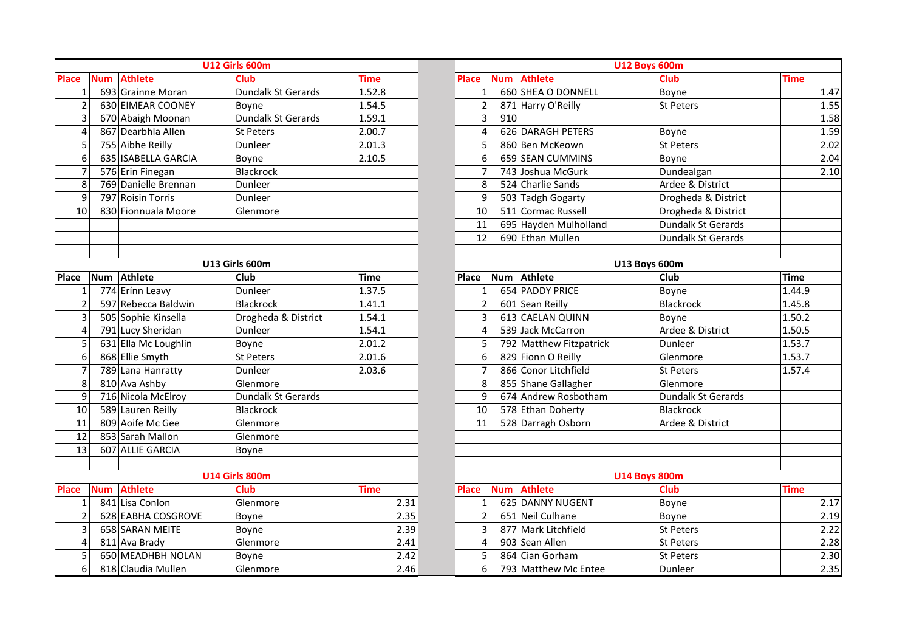|                |            | <b>U12 Girls 600m</b> |                       | <b>U12 Boys 600m</b> |                |            |                         |                           |             |
|----------------|------------|-----------------------|-----------------------|----------------------|----------------|------------|-------------------------|---------------------------|-------------|
| <b>Place</b>   | <b>Num</b> | <b>Athlete</b>        | <b>Club</b>           | <b>Time</b>          | Place          | <b>Num</b> | <b>Athlete</b>          | <b>Club</b>               | <b>Time</b> |
| $\mathbf{1}$   |            | 693 Grainne Moran     | Dundalk St Gerards    | 1.52.8               | $\mathbf{1}$   |            | 660 SHEA O DONNELL      | Boyne                     |             |
| $\overline{2}$ |            | 630 EIMEAR COONEY     | Boyne                 | 1.54.5               | $\overline{2}$ |            | 871 Harry O'Reilly      | <b>St Peters</b>          |             |
| 3              |            | 670 Abaigh Moonan     | Dundalk St Gerards    | 1.59.1               | 3              | 910        |                         |                           |             |
| $\overline{4}$ |            | 867 Dearbhla Allen    | St Peters             | 2.00.7               | 4              |            | 626 DARAGH PETERS       | Boyne                     |             |
| 5              |            | 755 Aibhe Reilly      | Dunleer               | 2.01.3               | 5              |            | 860 Ben McKeown         | St Peters                 |             |
| 6              |            | 635 ISABELLA GARCIA   | Boyne                 | 2.10.5               | 6              |            | 659 SEAN CUMMINS        | Boyne                     |             |
| 7              |            | 576 Erin Finegan      | <b>Blackrock</b>      |                      | 7              |            | 743 Joshua McGurk       | Dundealgan                |             |
| 8              |            | 769 Danielle Brennan  | Dunleer               |                      | 8              |            | 524 Charlie Sands       | Ardee & District          |             |
| 9              |            | 797 Roisin Torris     | Dunleer               |                      | 9              |            | 503 Tadgh Gogarty       | Drogheda & District       |             |
| 10             |            | 830 Fionnuala Moore   | Glenmore              |                      | 10             |            | 511 Cormac Russell      | Drogheda & District       |             |
|                |            |                       |                       |                      | 11             |            | 695 Hayden Mulholland   | <b>Dundalk St Gerards</b> |             |
|                |            |                       |                       |                      | 12             |            | 690 Ethan Mullen        | <b>Dundalk St Gerards</b> |             |
|                |            |                       |                       |                      |                |            |                         |                           |             |
|                |            |                       | U13 Girls 600m        |                      |                |            |                         | <b>U13 Boys 600m</b>      |             |
| <b>Place</b>   | Num        | Athlete               | Club                  | <b>Time</b>          | <b>Place</b>   | <b>Num</b> | <b>Athlete</b>          | <b>Club</b>               | <b>Time</b> |
| 1              |            | 774 Erínn Leavy       | Dunleer               | 1.37.5               | 1              |            | 654 PADDY PRICE         | Boyne                     | 1.44        |
| $\overline{2}$ |            | 597 Rebecca Baldwin   | <b>Blackrock</b>      | 1.41.1               | $\overline{2}$ |            | 601 Sean Reilly         | Blackrock                 | 1.45        |
| 3              |            | 505 Sophie Kinsella   | Drogheda & District   | 1.54.1               | 3              |            | 613 CAELAN QUINN        | Boyne                     | 1.50        |
| $\overline{4}$ |            | 791 Lucy Sheridan     | Dunleer               | 1.54.1               | 4              |            | 539 Jack McCarron       | Ardee & District          | 1.50        |
| 5              |            | 631 Ella Mc Loughlin  | Boyne                 | 2.01.2               | 5              |            | 792 Matthew Fitzpatrick | Dunleer                   | 1.53        |
| 6              |            | 868 Ellie Smyth       | St Peters             | 2.01.6               | 6              |            | 829 Fionn O Reilly      | Glenmore                  | 1.53        |
| $\overline{7}$ |            | 789 Lana Hanratty     | Dunleer               | 2.03.6               | $\overline{7}$ |            | 866 Conor Litchfield    | <b>St Peters</b>          | 1.57        |
| 8              |            | 810 Ava Ashby         | Glenmore              |                      | 8              |            | 855 Shane Gallagher     | Glenmore                  |             |
| 9              |            | 716 Nicola McElroy    | Dundalk St Gerards    |                      | 9              |            | 674 Andrew Rosbotham    | Dundalk St Gerards        |             |
| 10             |            | 589 Lauren Reilly     | <b>Blackrock</b>      |                      | 10             |            | 578 Ethan Doherty       | Blackrock                 |             |
| 11             |            | 809 Aoife Mc Gee      | Glenmore              |                      | 11             |            | 528 Darragh Osborn      | Ardee & District          |             |
| 12             |            | 853 Sarah Mallon      | Glenmore              |                      |                |            |                         |                           |             |
| 13             |            | 607 ALLIE GARCIA      | Boyne                 |                      |                |            |                         |                           |             |
|                |            |                       |                       |                      |                |            |                         |                           |             |
|                |            |                       | <b>U14 Girls 800m</b> |                      |                |            |                         | <b>U14 Boys 800m</b>      |             |
| <b>Place</b>   | <b>Num</b> | <b>Athlete</b>        | <b>Club</b>           | <b>Time</b>          | <b>Place</b>   | <b>Num</b> | <b>Athlete</b>          | Club                      | <b>Time</b> |
| $\mathbf{1}$   |            | 841 Lisa Conlon       | Glenmore              | 2.31                 | $\mathbf{1}$   |            | 625 DANNY NUGENT        | Boyne                     |             |
| $\overline{2}$ |            | 628 EABHA COSGROVE    | Boyne                 | 2.35                 | $\overline{2}$ |            | 651 Neil Culhane        | Boyne                     |             |
| 3              |            | 658 SARAN MEITE       | Boyne                 | 2.39                 | 3              |            | 877 Mark Litchfield     | <b>St Peters</b>          |             |
| 4              |            | 811 Ava Brady         | Glenmore              | 2.41                 | 4              |            | 903 Sean Allen          | St Peters                 |             |
| 5              |            | 650 MEADHBH NOLAN     | Boyne                 | 2.42                 | 5              |            | 864 Cian Gorham         | St Peters                 |             |
| 6              |            | 818 Claudia Mullen    | Glenmore              | 2.46                 | 6              |            | 793 Matthew Mc Entee    | Dunleer                   |             |

|                |            |                      | <b>U12 Girls 600m</b> |             |      | <b>U12 Boys 600m</b> |                      |                         |                           |             |  |
|----------------|------------|----------------------|-----------------------|-------------|------|----------------------|----------------------|-------------------------|---------------------------|-------------|--|
|                | <b>Num</b> | <b>Athlete</b>       | <b>Club</b>           | <b>Time</b> |      | <b>Place</b>         | <b>Num</b>           | <b>Athlete</b>          | Club                      | <b>Time</b> |  |
|                |            | 693 Grainne Moran    | Dundalk St Gerards    | 1.52.8      |      | $\mathbf{1}$         |                      | 660 SHEA O DONNELL      | Boyne                     | 1.47        |  |
|                |            | 630 EIMEAR COONEY    | Boyne                 | 1.54.5      |      | $\overline{2}$       |                      | 871 Harry O'Reilly      | <b>St Peters</b>          | 1.55        |  |
|                |            | 670 Abaigh Moonan    | Dundalk St Gerards    | 1.59.1      |      | 3                    | 910                  |                         |                           | 1.58        |  |
|                |            | 867 Dearbhla Allen   | St Peters             | 2.00.7      |      | $\overline{4}$       |                      | 626 DARAGH PETERS       | Boyne                     | 1.59        |  |
| 5              |            | 755 Aibhe Reilly     | Dunleer               | 2.01.3      |      | 5                    |                      | 860 Ben McKeown         | <b>St Peters</b>          | 2.02        |  |
|                |            | 635 ISABELLA GARCIA  | Boyne                 | 2.10.5      |      | 6                    |                      | 659 SEAN CUMMINS        | Boyne                     | 2.04        |  |
|                |            | 576 Erin Finegan     | <b>Blackrock</b>      |             |      | $\overline{7}$       |                      | 743 Joshua McGurk       | Dundealgan                | 2.10        |  |
|                |            | 769 Danielle Brennan | Dunleer               |             |      | 8                    |                      | 524 Charlie Sands       | Ardee & District          |             |  |
| 9              |            | 797 Roisin Torris    | Dunleer               |             |      | 9                    |                      | 503 Tadgh Gogarty       | Drogheda & District       |             |  |
| ი              |            | 830 Fionnuala Moore  | Glenmore              |             |      | 10                   |                      | 511 Cormac Russell      | Drogheda & District       |             |  |
|                |            |                      |                       |             |      | 11                   |                      | 695 Hayden Mulholland   | <b>Dundalk St Gerards</b> |             |  |
|                |            |                      |                       |             |      | 12                   |                      | 690 Ethan Mullen        | Dundalk St Gerards        |             |  |
|                |            |                      |                       |             |      |                      |                      |                         |                           |             |  |
| U13 Girls 600m |            |                      |                       |             |      |                      | <b>U13 Boys 600m</b> |                         |                           |             |  |
|                | <b>Num</b> | Athlete              | <b>Club</b>           | <b>Time</b> |      | <b>Place</b>         | <b>Num</b>           | Athlete                 | Club                      | <b>Time</b> |  |
|                |            | 774 Erínn Leavy      | Dunleer               | 1.37.5      |      | $\mathbf{1}$         |                      | 654 PADDY PRICE         | Boyne                     | 1.44.9      |  |
|                |            | 597 Rebecca Baldwin  | <b>Blackrock</b>      | 1.41.1      |      | $\overline{2}$       |                      | 601 Sean Reilly         | Blackrock                 | 1.45.8      |  |
|                |            | 505 Sophie Kinsella  | Drogheda & District   | 1.54.1      |      | 3                    |                      | 613 CAELAN QUINN        | Boyne                     | 1.50.2      |  |
| 4              |            | 791 Lucy Sheridan    | Dunleer               | 1.54.1      |      | 4                    |                      | 539 Jack McCarron       | Ardee & District          | 1.50.5      |  |
| 5              |            | 631 Ella Mc Loughlin | Boyne                 | 2.01.2      |      | 5                    |                      | 792 Matthew Fitzpatrick | Dunleer                   | 1.53.7      |  |
| 6              |            | 868 Ellie Smyth      | <b>St Peters</b>      | 2.01.6      |      | 6                    |                      | 829 Fionn O Reilly      | Glenmore                  | 1.53.7      |  |
|                |            | 789 Lana Hanratty    | Dunleer               | 2.03.6      |      | $\overline{7}$       |                      | 866 Conor Litchfield    | <b>St Peters</b>          | 1.57.4      |  |
| 8              |            | 810 Ava Ashby        | Glenmore              |             |      | 8                    |                      | 855 Shane Gallagher     | Glenmore                  |             |  |
| 9              |            | 716 Nicola McElroy   | Dundalk St Gerards    |             |      | 9                    |                      | 674 Andrew Rosbotham    | Dundalk St Gerards        |             |  |
| O              |            | 589 Lauren Reilly    | Blackrock             |             |      | 10                   |                      | 578 Ethan Doherty       | Blackrock                 |             |  |
|                |            | 809 Aoife Mc Gee     | Glenmore              |             |      | 11                   |                      | 528 Darragh Osborn      | Ardee & District          |             |  |
|                |            | 853 Sarah Mallon     | Glenmore              |             |      |                      |                      |                         |                           |             |  |
|                |            | 607 ALLIE GARCIA     | Boyne                 |             |      |                      |                      |                         |                           |             |  |
|                |            |                      |                       |             |      |                      |                      |                         |                           |             |  |
|                |            |                      | <b>U14 Girls 800m</b> |             |      |                      |                      | <b>U14 Boys 800m</b>    |                           |             |  |
|                | <b>Num</b> | <b>Athlete</b>       | Club                  | <b>Time</b> |      | <b>Place</b>         | <b>Num</b>           | <b>Athlete</b>          | Club                      | <b>Time</b> |  |
|                |            | 841 Lisa Conlon      | Glenmore              |             | 2.31 | $\mathbf{1}$         |                      | 625 DANNY NUGENT        | Boyne                     | 2.17        |  |
|                |            | 628 EABHA COSGROVE   | Boyne                 |             | 2.35 | $\overline{2}$       |                      | 651 Neil Culhane        | Boyne                     | 2.19        |  |
|                |            | 658 SARAN MEITE      | Boyne                 |             | 2.39 | 3                    |                      | 877 Mark Litchfield     | St Peters                 | 2.22        |  |
| 4              |            | 811 Ava Brady        | Glenmore              |             | 2.41 | 4                    |                      | 903 Sean Allen          | <b>St Peters</b>          | 2.28        |  |
|                |            | 650 MEADHBH NOLAN    | Boyne                 |             | 2.42 | 5                    |                      | 864 Cian Gorham         | <b>St Peters</b>          | 2.30        |  |
| 6              |            | 818 Claudia Mullen   | Glenmore              |             | 2.46 | 6                    |                      | 793 Matthew Mc Entee    | Dunleer                   | 2.35        |  |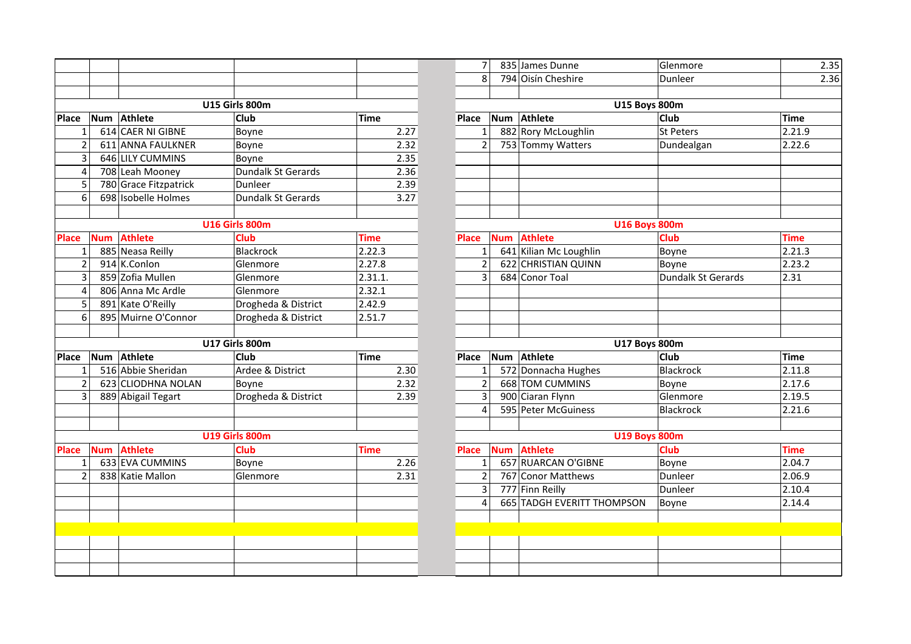|                |            |                       |                       |             | $\overline{7}$ |            | 835 James Dunne            | Glenmore           |             |
|----------------|------------|-----------------------|-----------------------|-------------|----------------|------------|----------------------------|--------------------|-------------|
|                |            |                       |                       |             | 8              |            | 794 Oisín Cheshire         | Dunleer            |             |
|                |            |                       |                       |             |                |            |                            |                    |             |
|                |            |                       | U15 Girls 800m        |             |                |            | <b>U15 Boys 800m</b>       |                    |             |
| <b>Place</b>   | Num        | Athlete               | <b>Club</b>           | <b>Time</b> | Place          | <b>Num</b> | Athlete                    | <b>Club</b>        | <b>Time</b> |
| $\mathbf{1}$   |            | 614 CAER NI GIBNE     | Boyne                 | 2.27        | $\mathbf{1}$   |            | 882 Rory McLoughlin        | St Peters          | 2.21        |
| $\overline{2}$ |            | 611 ANNA FAULKNER     | Boyne                 | 2.32        | $\overline{2}$ |            | 753 Tommy Watters          | Dundealgan         | 2.22.       |
| 3              |            | 646 LILY CUMMINS      | Boyne                 | 2.35        |                |            |                            |                    |             |
| 4              |            | 708 Leah Mooney       | Dundalk St Gerards    | 2.36        |                |            |                            |                    |             |
| 5              |            | 780 Grace Fitzpatrick | Dunleer               | 2.39        |                |            |                            |                    |             |
| 6              |            | 698 Isobelle Holmes   | Dundalk St Gerards    | 3.27        |                |            |                            |                    |             |
|                |            |                       |                       |             |                |            |                            |                    |             |
|                |            |                       | <b>U16 Girls 800m</b> |             |                |            | <b>U16 Boys 800m</b>       |                    |             |
| <b>Place</b>   | <b>Num</b> | <b>Athlete</b>        | <b>Club</b>           | <b>Time</b> | Place          | <b>Num</b> | <b>Athlete</b>             | <b>Club</b>        | <b>Time</b> |
| $\mathbf{1}$   |            | 885 Neasa Reilly      | Blackrock             | 2.22.3      | $\mathbf{1}$   |            | 641 Kilian Mc Loughlin     | Boyne              | 2.21        |
| $\overline{2}$ |            | 914 K.Conlon          | Glenmore              | 2.27.8      | $\overline{2}$ |            | 622 CHRISTIAN QUINN        | Boyne              | 2.23.       |
| 3              |            | 859 Zofia Mullen      | Glenmore              | 2.31.1.     | 3              |            | 684 Conor Toal             | Dundalk St Gerards | 2.31        |
| 4              |            | 806 Anna Mc Ardle     | Glenmore              | 2.32.1      |                |            |                            |                    |             |
| 5              |            | 891 Kate O'Reilly     | Drogheda & District   | 2.42.9      |                |            |                            |                    |             |
| 6              |            | 895 Muirne O'Connor   | Drogheda & District   | 2.51.7      |                |            |                            |                    |             |
|                |            |                       |                       |             |                |            |                            |                    |             |
|                |            |                       | <b>U17 Girls 800m</b> |             |                |            | <b>U17 Boys 800m</b>       |                    |             |
| <b>Place</b>   |            | Num Athlete           | <b>Club</b>           | <b>Time</b> | Place          |            | Num Athlete                | <b>Club</b>        | Time        |
| $\mathbf{1}$   |            | 516 Abbie Sheridan    | Ardee & District      | 2.30        | $\mathbf{1}$   |            | 572 Donnacha Hughes        | <b>Blackrock</b>   | 2.11.       |
| $\overline{2}$ |            | 623 CLIODHNA NOLAN    | Boyne                 | 2.32        | $\overline{2}$ |            | 668 TOM CUMMINS            | Boyne              | 2.17        |
| 3              |            | 889 Abigail Tegart    | Drogheda & District   | 2.39        | 3              |            | 900 Ciaran Flynn           | Glenmore           | 2.19.       |
|                |            |                       |                       |             | 4              |            | 595 Peter McGuiness        | Blackrock          | 2.21        |
|                |            |                       |                       |             |                |            |                            |                    |             |
|                |            |                       | <b>U19 Girls 800m</b> |             |                |            | <b>U19 Boys 800m</b>       |                    |             |
| <b>Place</b>   | <b>Num</b> | <b>Athlete</b>        | <b>Club</b>           | <b>Time</b> | <b>Place</b>   | <b>Num</b> | <b>Athlete</b>             | <b>Club</b>        | <b>Time</b> |
| $\mathbf{1}$   |            | 633 EVA CUMMINS       | Boyne                 | 2.26        | $\mathbf{1}$   |            | 657 RUARCAN O'GIBNE        | Boyne              | 2.04        |
| $\overline{2}$ |            | 838 Katie Mallon      | Glenmore              | 2.31        | $\overline{2}$ |            | 767 Conor Matthews         | Dunleer            | 2.06        |
|                |            |                       |                       |             | $\overline{3}$ |            | 777 Finn Reilly            | Dunleer            | 2.10        |
|                |            |                       |                       |             | $\overline{4}$ |            | 665 TADGH EVERITT THOMPSON | Boyne              | 2.14        |
|                |            |                       |                       |             |                |            |                            |                    |             |
|                |            |                       |                       |             |                |            |                            |                    |             |
|                |            |                       |                       |             |                |            |                            |                    |             |
|                |            |                       |                       |             |                |            |                            |                    |             |
|                |            |                       |                       |             |                |            |                            |                    |             |

|                       |            |                       |                       |             | $\overline{7}$ | 835 James Dunne              | Glenmore           | 2.35        |
|-----------------------|------------|-----------------------|-----------------------|-------------|----------------|------------------------------|--------------------|-------------|
|                       |            |                       |                       |             | 8              | 794 Oisín Cheshire           | Dunleer            | 2.36        |
|                       |            |                       |                       |             |                |                              |                    |             |
|                       |            |                       | U15 Girls 800m        |             |                | <b>U15 Boys 800m</b>         |                    |             |
|                       |            | Num Athlete           | <b>Club</b>           | <b>Time</b> | Place          | Num Athlete                  | <b>Club</b>        | <b>Time</b> |
|                       |            | 614 CAER NI GIBNE     | Boyne                 | 2.27        | $\mathbf{1}$   | 882 Rory McLoughlin          | St Peters          | 2.21.9      |
|                       |            | 611 ANNA FAULKNER     | Boyne                 | 2.32        | $\overline{2}$ | 753 Tommy Watters            | Dundealgan         | 2.22.6      |
|                       |            | 646 LILY CUMMINS      | Boyne                 | 2.35        |                |                              |                    |             |
| 4                     |            | 708 Leah Mooney       | Dundalk St Gerards    | 2.36        |                |                              |                    |             |
|                       |            | 780 Grace Fitzpatrick | Dunleer               | 2.39        |                |                              |                    |             |
| 6                     |            | 698 Isobelle Holmes   | Dundalk St Gerards    | 3.27        |                |                              |                    |             |
|                       |            |                       |                       |             |                |                              |                    |             |
| <b>U16 Girls 800m</b> |            |                       |                       |             |                | <b>U16 Boys 800m</b>         |                    |             |
|                       | <b>Num</b> | <b>Athlete</b>        | <b>Club</b>           | <b>Time</b> | <b>Place</b>   | <b>Athlete</b><br><b>Num</b> | Club               | <b>Time</b> |
|                       |            | 885 Neasa Reilly      | <b>Blackrock</b>      | 2.22.3      | $\mathbf 1$    | 641 Kilian Mc Loughlin       | Boyne              | 2.21.3      |
|                       |            | 914 K.Conlon          | Glenmore              | 2.27.8      | $\overline{2}$ | 622 CHRISTIAN QUINN          | Boyne              | 2.23.2      |
|                       |            | 859 Zofia Mullen      | Glenmore              | 2.31.1.     | 3              | 684 Conor Toal               | Dundalk St Gerards | 2.31        |
| 4                     |            | 806 Anna Mc Ardle     | Glenmore              | 2.32.1      |                |                              |                    |             |
| 5                     |            | 891 Kate O'Reilly     | Drogheda & District   | 2.42.9      |                |                              |                    |             |
| 6                     |            | 895 Muirne O'Connor   | Drogheda & District   | 2.51.7      |                |                              |                    |             |
|                       |            |                       |                       |             |                |                              |                    |             |
|                       |            |                       | <b>U17 Girls 800m</b> |             |                | <b>U17 Boys 800m</b>         |                    |             |
|                       |            | Num Athlete           | <b>Club</b>           | <b>Time</b> | Place          | Num Athlete                  | <b>Club</b>        | <b>Time</b> |
|                       |            | 516 Abbie Sheridan    | Ardee & District      | 2.30        | 1              | 572 Donnacha Hughes          | Blackrock          | 2.11.8      |
|                       |            | 623 CLIODHNA NOLAN    | Boyne                 | 2.32        | $\overline{2}$ | 668 TOM CUMMINS              | Boyne              | 2.17.6      |
|                       |            | 889 Abigail Tegart    | Drogheda & District   | 2.39        | $\overline{3}$ | 900 Ciaran Flynn             | Glenmore           | 2.19.5      |
|                       |            |                       |                       |             | 4              | 595 Peter McGuiness          | Blackrock          | 2.21.6      |
|                       |            |                       |                       |             |                |                              |                    |             |
|                       |            |                       | <b>U19 Girls 800m</b> |             |                | <b>U19 Boys 800m</b>         |                    |             |
|                       | <b>Num</b> | Athlete               | <b>Club</b>           | <b>Time</b> | <b>Place</b>   | <b>Athlete</b><br><b>Num</b> | <b>Club</b>        | <b>Time</b> |
|                       |            | 633 EVA CUMMINS       | Boyne                 | 2.26        | $\mathbf{1}$   | 657 RUARCAN O'GIBNE          | Boyne              | 2.04.7      |
|                       |            | 838 Katie Mallon      | Glenmore              | 2.31        | $\overline{2}$ | 767 Conor Matthews           | Dunleer            | 2.06.9      |
|                       |            |                       |                       |             | 3              | 777 Finn Reilly              | Dunleer            | 2.10.4      |
|                       |            |                       |                       |             | 4              | 665 TADGH EVERITT THOMPSON   | Boyne              | 2.14.4      |
|                       |            |                       |                       |             |                |                              |                    |             |
|                       |            |                       |                       |             |                |                              |                    |             |
|                       |            |                       |                       |             |                |                              |                    |             |
|                       |            |                       |                       |             |                |                              |                    |             |
|                       |            |                       |                       |             |                |                              |                    |             |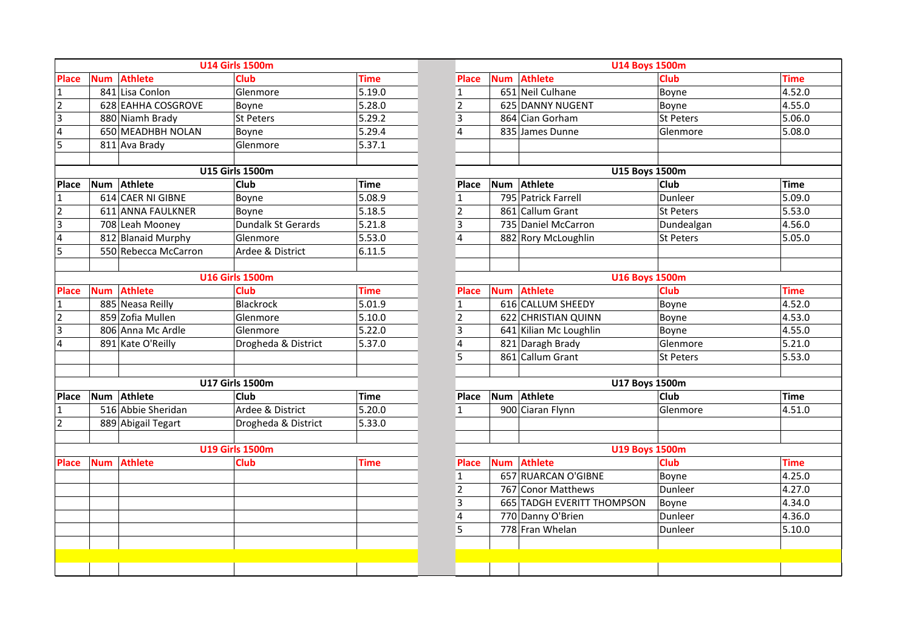|                |            |                      | <b>U14 Girls 1500m</b> |             |                         | <b>U14 Boys 1500m</b> |                            |                  |             |  |  |
|----------------|------------|----------------------|------------------------|-------------|-------------------------|-----------------------|----------------------------|------------------|-------------|--|--|
| <b>Place</b>   | <b>Num</b> | <b>Athlete</b>       | <b>Club</b>            | <b>Time</b> | <b>Place</b>            | <b>Num</b>            | <b>Athlete</b>             | <b>Club</b>      | <b>Time</b> |  |  |
| $\mathbf{1}$   |            | 841 Lisa Conlon      | Glenmore               | 5.19.0      | $\mathbf{1}$            |                       | 651 Neil Culhane           | Boyne            | 4.52.C      |  |  |
| $\overline{2}$ |            | 628 EAHHA COSGROVE   | Boyne                  | 5.28.0      | $\overline{2}$          |                       | 625 DANNY NUGENT           | Boyne            | 4.55.C      |  |  |
| $\overline{3}$ |            | 880 Niamh Brady      | <b>St Peters</b>       | 5.29.2      | 3                       |                       | 864 Cian Gorham            | <b>St Peters</b> | 5.06C       |  |  |
| 4              |            | 650 MEADHBH NOLAN    | Boyne                  | 5.29.4      | $\overline{\mathbf{4}}$ |                       | 835 James Dunne            | Glenmore         | 5.08C       |  |  |
| 5              |            | 811 Ava Brady        | Glenmore               | 5.37.1      |                         |                       |                            |                  |             |  |  |
|                |            |                      | <b>U15 Girls 1500m</b> |             |                         |                       | U15 Boys 1500m             |                  |             |  |  |
| Place          | Num        | Athlete              | Club                   | <b>Time</b> | Place                   |                       | Num Athlete                | <b>Club</b>      | <b>Time</b> |  |  |
| $\mathbf{1}$   |            | 614 CAER NI GIBNE    | Boyne                  | 5.08.9      | $\mathbf{1}$            |                       | 795 Patrick Farrell        | Dunleer          | 5.09.0      |  |  |
| $\overline{c}$ |            | 611 ANNA FAULKNER    | Boyne                  | 5.18.5      | $\mathbf 2$             |                       | 861 Callum Grant           | <b>St Peters</b> | 5.53C       |  |  |
| 3              |            | 708 Leah Mooney      | Dundalk St Gerards     | 5.21.8      | $\overline{\mathbf{3}}$ |                       | 735 Daniel McCarron        | Dundealgan       | 4.56C       |  |  |
| 4              |            | 812 Blanaid Murphy   | Glenmore               | 5.53.0      | $\overline{4}$          |                       | 882 Rory McLoughlin        | <b>St Peters</b> | 5.05.C      |  |  |
| 5              |            | 550 Rebecca McCarron | Ardee & District       | 6.11.5      |                         |                       |                            |                  |             |  |  |
|                |            |                      | <b>U16 Girls 1500m</b> |             |                         |                       | <b>U16 Boys 1500m</b>      |                  |             |  |  |
| <b>Place</b>   | <b>Num</b> | <b>Athlete</b>       | Club                   | <b>Time</b> | <b>Place</b>            | <b>Num</b>            | <b>Athlete</b>             | <b>Club</b>      | <b>Time</b> |  |  |
| 1              |            | 885 Neasa Reilly     | <b>Blackrock</b>       | 5.01.9      | $\mathbf{1}$            |                       | 616 CALLUM SHEEDY          | Boyne            | 4.52.C      |  |  |
| $\overline{2}$ |            | 859 Zofia Mullen     | Glenmore               | 5.10.0      | $\overline{2}$          |                       | 622 CHRISTIAN QUINN        | Boyne            | 4.53.0      |  |  |
| $\overline{3}$ |            | 806 Anna Mc Ardle    | Glenmore               | 5.22.0      | 3                       |                       | 641 Kilian Mc Loughlin     | Boyne            | 4.55.C      |  |  |
| $\overline{4}$ |            | 891 Kate O'Reilly    | Drogheda & District    | 5.37.0      | $\overline{\mathbf{4}}$ |                       | 821 Daragh Brady           | Glenmore         | 5.21.0      |  |  |
|                |            |                      |                        |             | 5                       |                       | 861 Callum Grant           | St Peters        | 5.53C       |  |  |
|                |            |                      |                        |             |                         |                       |                            |                  |             |  |  |
|                |            |                      | <b>U17 Girls 1500m</b> |             |                         |                       | <b>U17 Boys 1500m</b>      |                  |             |  |  |
| Place          |            | Num Athlete          | Club                   | <b>Time</b> | Place                   |                       | Num Athlete                | Club             | <b>Time</b> |  |  |
| 1              |            | 516 Abbie Sheridan   | Ardee & District       | 5.20.0      | $\mathbf{1}$            |                       | 900 Ciaran Flynn           | Glenmore         | 4.51C       |  |  |
| $\overline{2}$ |            | 889 Abigail Tegart   | Drogheda & District    | 5.33.0      |                         |                       |                            |                  |             |  |  |
|                |            |                      | <b>U19 Girls 1500m</b> |             |                         |                       | <b>U19 Boys 1500m</b>      |                  |             |  |  |
| <b>Place</b>   | <b>Num</b> | <b>Athlete</b>       | <b>Club</b>            | <b>Time</b> | Place                   | <b>Num</b>            | <b>Athlete</b>             | <b>Club</b>      | <b>Time</b> |  |  |
|                |            |                      |                        |             | $\mathbf{1}$            |                       | 657 RUARCAN O'GIBNE        | Boyne            | 4.25.0      |  |  |
|                |            |                      |                        |             | $\overline{2}$          |                       | 767 Conor Matthews         | Dunleer          | 4.27.0      |  |  |
|                |            |                      |                        |             | $\overline{\mathbf{3}}$ |                       | 665 TADGH EVERITT THOMPSON | Boyne            | 4.34C       |  |  |
|                |            |                      |                        |             | $\overline{\mathbf{4}}$ |                       | 770 Danny O'Brien          | Dunleer          | 4.36C       |  |  |
|                |            |                      |                        |             | 5                       |                       | 778 Fran Whelan            | Dunleer          | 5.10C       |  |  |
|                |            |                      |                        |             |                         |                       |                            |                  |             |  |  |
|                |            |                      |                        |             |                         |                       |                            |                  |             |  |  |
|                |            |                      |                        |             |                         |                       |                            |                  |             |  |  |

| <b>U14 Girls 1500m</b> |             |                | <b>U14 Boys 1500m</b> |                            |                  |             |
|------------------------|-------------|----------------|-----------------------|----------------------------|------------------|-------------|
| <b>Club</b>            | <b>Time</b> | <b>Place</b>   | <b>Num</b>            | <b>Athlete</b>             | <b>Club</b>      | <b>Time</b> |
| Glenmore               | 5.19.0      | $\mathbf{1}$   |                       | 651 Neil Culhane           | Boyne            | 4.52.0      |
| Boyne                  | 5.28.0      | $\overline{2}$ |                       | 625 DANNY NUGENT           | Boyne            | 4.55.0      |
| St Peters              | 5.29.2      | 3              |                       | 864 Cian Gorham            | <b>St Peters</b> | 5.06.0      |
| Boyne                  | 5.29.4      | $\overline{4}$ |                       | 835 James Dunne            | Glenmore         | 5.08.0      |
| Glenmore               | 5.37.1      |                |                       |                            |                  |             |
|                        |             |                |                       |                            |                  |             |
| <b>U15 Girls 1500m</b> |             |                |                       | <b>U15 Boys 1500m</b>      |                  |             |
| <b>Club</b>            | <b>Time</b> | Place          |                       | Num Athlete                | <b>Club</b>      | <b>Time</b> |
| Boyne                  | 5.08.9      | $\mathbf{1}$   |                       | 795 Patrick Farrell        | Dunleer          | 5.09.0      |
| Boyne                  | 5.18.5      | $\overline{2}$ |                       | 861 Callum Grant           | <b>St Peters</b> | 5.53.0      |
| Dundalk St Gerards     | 5.21.8      | 3              |                       | 735 Daniel McCarron        | Dundealgan       | 4.56.0      |
| Glenmore               | 5.53.0      | $\overline{4}$ |                       | 882 Rory McLoughlin        | <b>St Peters</b> | 5.05.0      |
| Ardee & District       | 6.11.5      |                |                       |                            |                  |             |
|                        |             |                |                       |                            |                  |             |
| <b>U16 Girls 1500m</b> |             |                |                       | <b>U16 Boys 1500m</b>      |                  |             |
| <b>Club</b>            | <b>Time</b> | <b>Place</b>   |                       | <b>Num</b> Athlete         | <b>Club</b>      | <b>Time</b> |
| Blackrock              | 5.01.9      | $\mathbf{1}$   |                       | 616 CALLUM SHEEDY          | Boyne            | 4.52.0      |
| Glenmore               | 5.10.0      | $\mathbf 2$    |                       | 622 CHRISTIAN QUINN        | Boyne            | 4.53.0      |
| Glenmore               | 5.22.0      | $\overline{3}$ |                       | 641 Kilian Mc Loughlin     | Boyne            | 4.55.0      |
| Drogheda & District    | 5.37.0      | $\overline{4}$ |                       | 821 Daragh Brady           | Glenmore         | 5.21.0      |
|                        |             | 5              |                       | 861 Callum Grant           | <b>St Peters</b> | 5.53.0      |
|                        |             |                |                       |                            |                  |             |
| <b>U17 Girls 1500m</b> |             |                |                       | <b>U17 Boys 1500m</b>      |                  |             |
| <b>Club</b>            | <b>Time</b> | <b>Place</b>   | <b>Num</b>            | Athlete                    | Club             | <b>Time</b> |
| Ardee & District       | 5.20.0      | $\mathbf{1}$   |                       | 900 Ciaran Flynn           | Glenmore         | 4.51.0      |
| Drogheda & District    | 5.33.0      |                |                       |                            |                  |             |
|                        |             |                |                       |                            |                  |             |
| <b>U19 Girls 1500m</b> |             |                |                       | <b>U19 Boys 1500m</b>      |                  |             |
| <b>Club</b>            | <b>Time</b> | <b>Place</b>   | <b>Num</b>            | <b>Athlete</b>             | <b>Club</b>      | <b>Time</b> |
|                        |             | $\mathbf 1$    |                       | 657 RUARCAN O'GIBNE        | Boyne            | 4.25.0      |
|                        |             | $\overline{2}$ |                       | 767 Conor Matthews         | Dunleer          | 4.27.0      |
|                        |             | 3              |                       | 665 TADGH EVERITT THOMPSON | Boyne            | 4.34.0      |
|                        |             | 4              |                       | 770 Danny O'Brien          | Dunleer          | 4.36.0      |
|                        |             | 5              |                       | 778 Fran Whelan            | Dunleer          | 5.10.0      |
|                        |             |                |                       |                            |                  |             |
|                        |             |                |                       |                            |                  |             |
|                        |             |                |                       |                            |                  |             |
|                        |             |                |                       |                            |                  |             |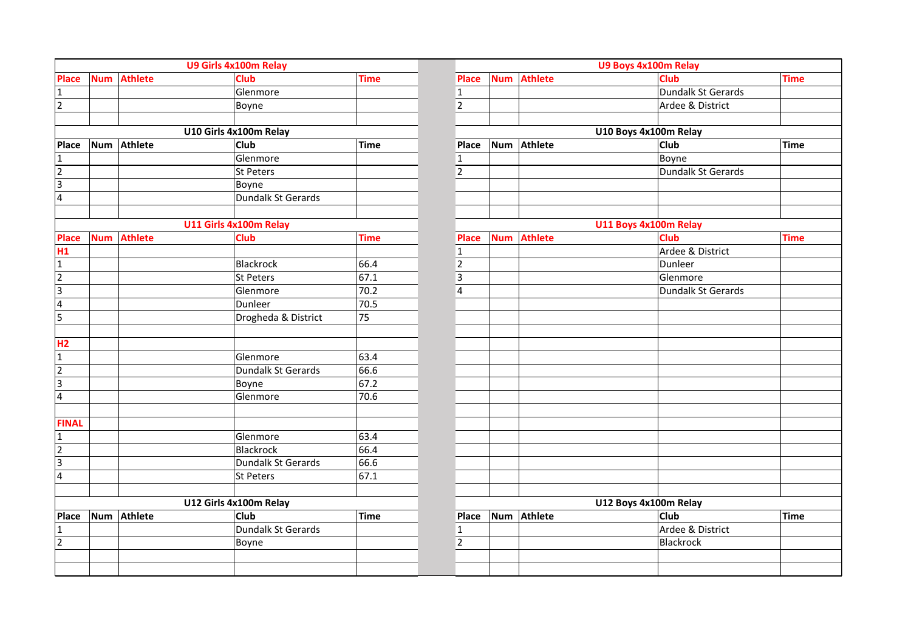|                                |            |                | U9 Girls 4x100m Relay          |              |                |            |                | U9 Boys 4x100m Relay  |             |
|--------------------------------|------------|----------------|--------------------------------|--------------|----------------|------------|----------------|-----------------------|-------------|
| <b>Place</b>                   | <b>Num</b> | <b>Athlete</b> | <b>Club</b>                    | <b>Time</b>  | <b>Place</b>   | <b>Num</b> | <b>Athlete</b> | <b>Club</b>           | <b>Time</b> |
| $\mathbf{1}$                   |            |                | Glenmore                       |              | $\mathbf{1}$   |            |                | Dundalk St Gerards    |             |
| $\overline{2}$                 |            |                | Boyne                          |              | $\overline{2}$ |            |                | Ardee & District      |             |
|                                |            |                |                                |              |                |            |                |                       |             |
|                                |            |                | U10 Girls 4x100m Relay         |              |                |            |                | U10 Boys 4x100m Relay |             |
| <b>Place</b>                   | Num        | Athlete        | <b>Club</b>                    | Time         | Place          | <b>Num</b> | Athlete        | <b>Club</b>           | <b>Time</b> |
| $\overline{1}$                 |            |                | Glenmore                       |              | $\overline{1}$ |            |                | Boyne                 |             |
| $\overline{2}$                 |            |                | St Peters                      |              | $\overline{2}$ |            |                | Dundalk St Gerards    |             |
| 3                              |            |                | Boyne                          |              |                |            |                |                       |             |
| $\overline{\mathbf{4}}$        |            |                | Dundalk St Gerards             |              |                |            |                |                       |             |
|                                |            |                |                                |              |                |            |                |                       |             |
|                                |            |                | U11 Girls 4x100m Relay         |              |                |            |                | U11 Boys 4x100m Relay |             |
| <b>Place</b>                   | <b>Num</b> | <b>Athlete</b> | <b>Club</b>                    | <b>Time</b>  | Place          | <b>Num</b> | <b>Athlete</b> | Club                  | <b>Time</b> |
| H1                             |            |                |                                |              | 1              |            |                | Ardee & District      |             |
| $\mathbf 1$                    |            |                | Blackrock                      | 66.4         | $\overline{c}$ |            |                | Dunleer               |             |
| $\overline{2}$                 |            |                | St Peters                      | 67.1         | 3              |            |                | Glenmore              |             |
| $\overline{3}$                 |            |                | Glenmore                       | 70.2         | 4              |            |                | Dundalk St Gerards    |             |
| $\overline{4}$                 |            |                | Dunleer                        | 70.5         |                |            |                |                       |             |
| 5                              |            |                | Drogheda & District            | 75           |                |            |                |                       |             |
|                                |            |                |                                |              |                |            |                |                       |             |
| H2                             |            |                |                                |              |                |            |                |                       |             |
| $\mathbf{1}$<br>$\overline{2}$ |            |                | Glenmore<br>Dundalk St Gerards | 63.4<br>66.6 |                |            |                |                       |             |
| $\overline{3}$                 |            |                |                                | 67.2         |                |            |                |                       |             |
|                                |            |                | Boyne                          | 70.6         |                |            |                |                       |             |
| $\overline{\mathbf{r}}$        |            |                | Glenmore                       |              |                |            |                |                       |             |
| <b>FINAL</b>                   |            |                |                                |              |                |            |                |                       |             |
| $\mathbf{1}$                   |            |                | Glenmore                       | 63.4         |                |            |                |                       |             |
| $\overline{2}$                 |            |                | <b>Blackrock</b>               | 66.4         |                |            |                |                       |             |
| 3                              |            |                | Dundalk St Gerards             | 66.6         |                |            |                |                       |             |
| $\overline{\mathbf{r}}$        |            |                | St Peters                      | 67.1         |                |            |                |                       |             |
|                                |            |                | U12 Girls 4x100m Relay         |              |                |            |                | U12 Boys 4x100m Relay |             |
|                                |            | Athlete        | Club                           | <b>Time</b>  |                | <b>Num</b> | Athlete        | Club                  |             |
| <b>Place</b><br>$\mathbf{1}$   | Num        |                | Dundalk St Gerards             |              | Place<br>1     |            |                | Ardee & District      | Time        |
| $\overline{2}$                 |            |                | Boyne                          |              | $\overline{2}$ |            |                | Blackrock             |             |
|                                |            |                |                                |              |                |            |                |                       |             |
|                                |            |                |                                |              |                |            |                |                       |             |
|                                |            |                |                                |              |                |            |                |                       |             |

| U9 Girls 4x100m Relay     |             |                         |            | U9 Boys 4x100m Relay |                       |             |  |  |  |  |
|---------------------------|-------------|-------------------------|------------|----------------------|-----------------------|-------------|--|--|--|--|
| <b>Club</b>               | <b>Time</b> | <b>Place</b>            |            | <b>Num</b> Athlete   | <b>Club</b>           | <b>Time</b> |  |  |  |  |
| Glenmore                  |             | $\mathbf 1$             |            |                      | Dundalk St Gerards    |             |  |  |  |  |
| Boyne                     |             | $\overline{2}$          |            |                      | Ardee & District      |             |  |  |  |  |
|                           |             |                         |            |                      |                       |             |  |  |  |  |
| U10 Girls 4x100m Relay    |             |                         |            |                      | U10 Boys 4x100m Relay |             |  |  |  |  |
| Club                      | <b>Time</b> | Place                   |            | Num Athlete          | Club                  | <b>Time</b> |  |  |  |  |
| Glenmore                  |             | $\mathbf{1}$            |            |                      | Boyne                 |             |  |  |  |  |
| St Peters                 |             | $\overline{2}$          |            |                      | Dundalk St Gerards    |             |  |  |  |  |
| Boyne                     |             |                         |            |                      |                       |             |  |  |  |  |
| <b>Dundalk St Gerards</b> |             |                         |            |                      |                       |             |  |  |  |  |
|                           |             |                         |            |                      |                       |             |  |  |  |  |
| U11 Girls 4x100m Relay    |             |                         |            |                      | U11 Boys 4x100m Relay |             |  |  |  |  |
| <b>Club</b>               | <b>Time</b> | <b>Place</b>            | <b>Num</b> | <b>Athlete</b>       | <b>Club</b>           | <b>Time</b> |  |  |  |  |
|                           |             | $\mathbf{1}$            |            |                      | Ardee & District      |             |  |  |  |  |
| <b>Blackrock</b>          | 66.4        | $\overline{2}$          |            |                      | Dunleer               |             |  |  |  |  |
| <b>St Peters</b>          | 67.1        | $\overline{\mathbf{3}}$ |            |                      | Glenmore              |             |  |  |  |  |
| Glenmore                  | 70.2        | $\overline{4}$          |            |                      | Dundalk St Gerards    |             |  |  |  |  |
| Dunleer                   | 70.5        |                         |            |                      |                       |             |  |  |  |  |
| Drogheda & District       | 75          |                         |            |                      |                       |             |  |  |  |  |
|                           |             |                         |            |                      |                       |             |  |  |  |  |
|                           |             |                         |            |                      |                       |             |  |  |  |  |
| Glenmore                  | 63.4        |                         |            |                      |                       |             |  |  |  |  |
| <b>Dundalk St Gerards</b> | 66.6        |                         |            |                      |                       |             |  |  |  |  |
| Boyne                     | 67.2        |                         |            |                      |                       |             |  |  |  |  |
| Glenmore                  | 70.6        |                         |            |                      |                       |             |  |  |  |  |
|                           |             |                         |            |                      |                       |             |  |  |  |  |
|                           |             |                         |            |                      |                       |             |  |  |  |  |
| Glenmore                  | 63.4        |                         |            |                      |                       |             |  |  |  |  |
| <b>Blackrock</b>          | 66.4        |                         |            |                      |                       |             |  |  |  |  |
| Dundalk St Gerards        | 66.6        |                         |            |                      |                       |             |  |  |  |  |
| St Peters                 | 67.1        |                         |            |                      |                       |             |  |  |  |  |
|                           |             |                         |            |                      |                       |             |  |  |  |  |
| U12 Girls 4x100m Relay    |             |                         |            |                      | U12 Boys 4x100m Relay |             |  |  |  |  |
| <b>Club</b>               | <b>Time</b> | Place                   |            | Num Athlete          | <b>Club</b>           | <b>Time</b> |  |  |  |  |
| Dundalk St Gerards        |             | $\mathbf 1$             |            |                      | Ardee & District      |             |  |  |  |  |
| Boyne                     |             | $\overline{2}$          |            |                      | Blackrock             |             |  |  |  |  |
|                           |             |                         |            |                      |                       |             |  |  |  |  |
|                           |             |                         |            |                      |                       |             |  |  |  |  |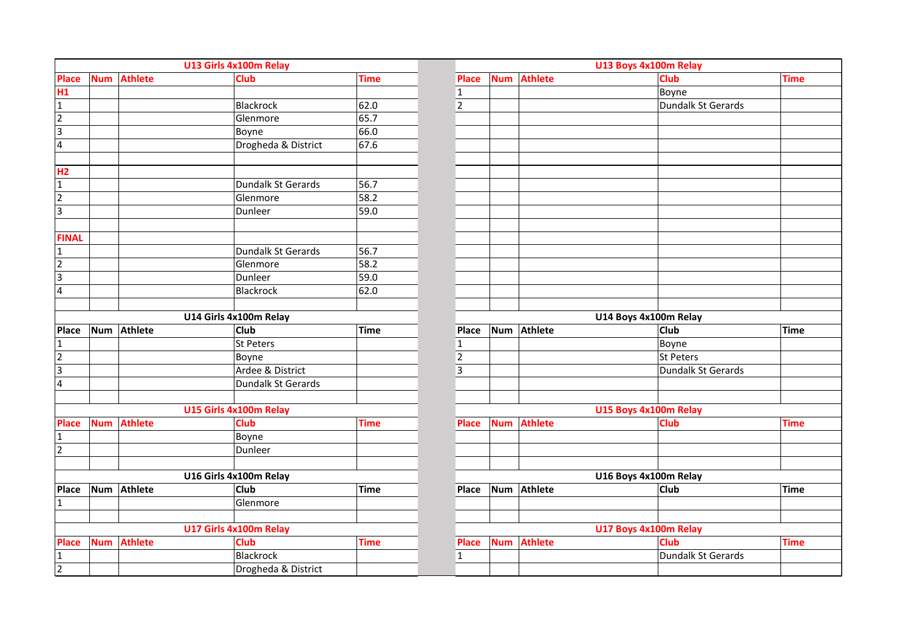|                         |            |                | U13 Girls 4x100m Relay    |             |                |            |                | U13 Boys 4x100m Relay     |             |
|-------------------------|------------|----------------|---------------------------|-------------|----------------|------------|----------------|---------------------------|-------------|
| <b>Place</b>            | <b>Num</b> | <b>Athlete</b> | <b>Club</b>               | <b>Time</b> | <b>Place</b>   | <b>Num</b> | <b>Athlete</b> | Club                      | <b>Time</b> |
| H1                      |            |                |                           |             | $\mathbf 1$    |            |                | Boyne                     |             |
| $\mathbf 1$             |            |                | Blackrock                 | 62.0        | $\overline{2}$ |            |                | Dundalk St Gerards        |             |
| $\overline{2}$          |            |                | Glenmore                  | 65.7        |                |            |                |                           |             |
| $\overline{3}$          |            |                | Boyne                     | 66.0        |                |            |                |                           |             |
| $\overline{\mathbf{4}}$ |            |                | Drogheda & District       | 67.6        |                |            |                |                           |             |
|                         |            |                |                           |             |                |            |                |                           |             |
| H <sub>2</sub>          |            |                |                           |             |                |            |                |                           |             |
| $\mathbf{1}$            |            |                | <b>Dundalk St Gerards</b> | 56.7        |                |            |                |                           |             |
| $\overline{2}$          |            |                | Glenmore                  | 58.2        |                |            |                |                           |             |
| $\overline{3}$          |            |                | Dunleer                   | 59.0        |                |            |                |                           |             |
| <b>FINAL</b>            |            |                |                           |             |                |            |                |                           |             |
| $\mathbf 1$             |            |                | Dundalk St Gerards        | 56.7        |                |            |                |                           |             |
| $\overline{2}$          |            |                | Glenmore                  | 58.2        |                |            |                |                           |             |
| $\overline{3}$          |            |                | Dunleer                   | 59.0        |                |            |                |                           |             |
|                         |            |                |                           | 62.0        |                |            |                |                           |             |
| $\overline{\mathbf{4}}$ |            |                | Blackrock                 |             |                |            |                |                           |             |
|                         |            |                |                           |             |                |            |                |                           |             |
|                         |            |                | U14 Girls 4x100m Relay    |             |                |            | Num Athlete    | U14 Boys 4x100m Relay     |             |
| <b>Place</b>            | <b>Num</b> | <b>Athlete</b> | <b>Club</b>               | <b>Time</b> | Place          |            |                | <b>Club</b>               | Time        |
| $\mathbf{1}$            |            |                | St Peters                 |             | $\mathbf 1$    |            |                | Boyne                     |             |
| $\overline{2}$          |            |                | Boyne                     |             | $\mathbf 2$    |            |                | St Peters                 |             |
| $\overline{3}$          |            |                | Ardee & District          |             | $\overline{3}$ |            |                | <b>Dundalk St Gerards</b> |             |
| $\overline{4}$          |            |                | Dundalk St Gerards        |             |                |            |                |                           |             |
|                         |            |                | U15 Girls 4x100m Relay    |             |                |            |                | U15 Boys 4x100m Relay     |             |
| <b>Place</b>            | <b>Num</b> | <b>Athlete</b> | <b>Club</b>               | <b>Time</b> | <b>Place</b>   | <b>Num</b> | <b>Athlete</b> | <b>Club</b>               | <b>Time</b> |
| $\overline{1}$          |            |                | Boyne                     |             |                |            |                |                           |             |
| $\overline{2}$          |            |                | Dunleer                   |             |                |            |                |                           |             |
|                         |            |                |                           |             |                |            |                |                           |             |
|                         |            |                | U16 Girls 4x100m Relay    |             |                |            |                | U16 Boys 4x100m Relay     |             |
| Place                   | Num        | <b>Athlete</b> | <b>Club</b>               | <b>Time</b> | Place          | <b>Num</b> | <b>Athlete</b> | Club                      | Time        |
| $\mathbf{1}$            |            |                | Glenmore                  |             |                |            |                |                           |             |
|                         |            |                |                           |             |                |            |                |                           |             |
|                         |            |                | U17 Girls 4x100m Relay    |             |                |            |                | U17 Boys 4x100m Relay     |             |
| <b>Place</b>            | <b>Num</b> | <b>Athlete</b> | <b>Club</b>               | <b>Time</b> | <b>Place</b>   | <b>Num</b> | <b>Athlete</b> | Club                      | <b>Time</b> |
| $\mathbf{1}$            |            |                | Blackrock                 |             | $\mathbf 1$    |            |                | Dundalk St Gerards        |             |
| 2                       |            |                | Drogheda & District       |             |                |            |                |                           |             |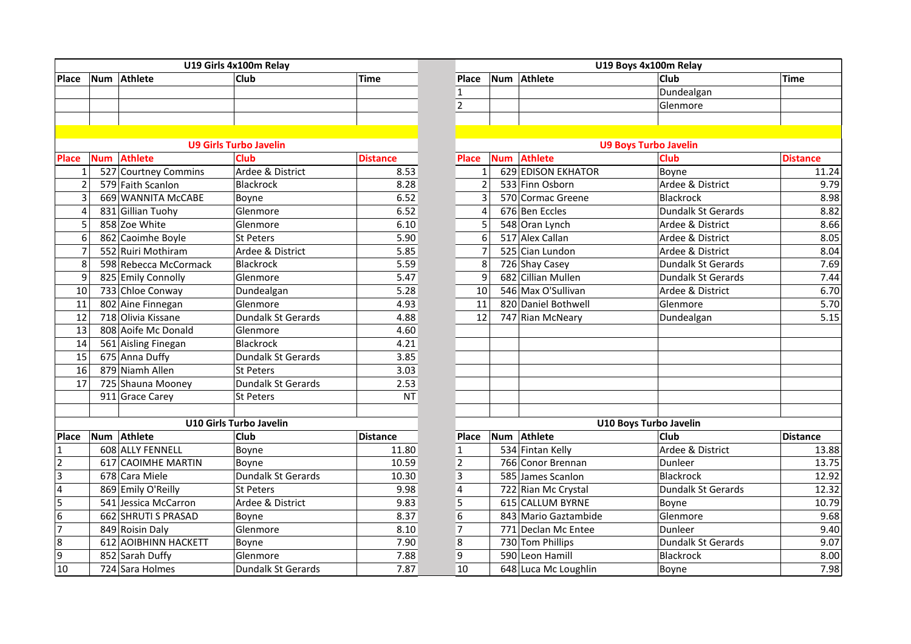|                |            |                       | U19 Girls 4x100m Relay        |                 |                | U19 Boys 4x100m Relay        |                              |              |  |  |
|----------------|------------|-----------------------|-------------------------------|-----------------|----------------|------------------------------|------------------------------|--------------|--|--|
| Place          | <b>Num</b> | <b>Athlete</b>        | Club                          | <b>Time</b>     | Place          | Athlete<br><b>Num</b>        | <b>Club</b>                  | Time         |  |  |
|                |            |                       |                               |                 | $\mathbf{1}$   |                              | Dundealgan                   |              |  |  |
|                |            |                       |                               |                 | $\overline{2}$ |                              | Glenmore                     |              |  |  |
|                |            |                       |                               |                 |                |                              |                              |              |  |  |
|                |            |                       |                               |                 |                |                              |                              |              |  |  |
|                |            |                       | <b>U9 Girls Turbo Javelin</b> |                 |                |                              | <b>U9 Boys Turbo Javelin</b> |              |  |  |
| <b>Place</b>   | <b>Num</b> | <b>Athlete</b>        | <b>Club</b>                   | <b>Distance</b> | <b>Place</b>   | <b>Athlete</b><br><b>Num</b> | <b>Club</b>                  | <b>Dista</b> |  |  |
| $\mathbf{1}$   |            | 527 Courtney Commins  | Ardee & District              | 8.53            | $\mathbf{1}$   | 629 EDISON EKHATOR           | Boyne                        |              |  |  |
| $\overline{2}$ |            | 579 Faith Scanlon     | Blackrock                     | 8.28            | $\overline{2}$ | 533 Finn Osborn              | Ardee & District             |              |  |  |
| 3              |            | 669 WANNITA McCABE    | Boyne                         | 6.52            | 3              | 570 Cormac Greene            | Blackrock                    |              |  |  |
| 4              |            | 831 Gillian Tuohy     | Glenmore                      | 6.52            | 4              | 676 Ben Eccles               | <b>Dundalk St Gerards</b>    |              |  |  |
| 5              |            | 858 Zoe White         | Glenmore                      | 6.10            | 5              | 548 Oran Lynch               | Ardee & District             |              |  |  |
| 6              |            | 862 Caoimhe Boyle     | St Peters                     | 5.90            | 6              | 517 Alex Callan              | Ardee & District             |              |  |  |
| $\overline{7}$ |            | 552 Ruiri Mothiram    | Ardee & District              | 5.85            | $\overline{7}$ | 525 Cian Lundon              | Ardee & District             |              |  |  |
| 8              |            | 598 Rebecca McCormack | <b>Blackrock</b>              | 5.59            | 8              | 726 Shay Casey               | Dundalk St Gerards           |              |  |  |
| 9              |            | 825 Emily Connolly    | Glenmore                      | 5.47            | 9              | 682 Cillian Mullen           | Dundalk St Gerards           |              |  |  |
| 10             |            | 733 Chloe Conway      | Dundealgan                    | 5.28            | 10             | 546 Max O'Sullivan           | Ardee & District             |              |  |  |
| 11             |            | 802 Aine Finnegan     | Glenmore                      | 4.93            | 11             | 820 Daniel Bothwell          | Glenmore                     |              |  |  |
| 12             |            | 718 Olivia Kissane    | <b>Dundalk St Gerards</b>     | 4.88            | 12             | 747 Rian McNeary             | Dundealgan                   |              |  |  |
| 13             |            | 808 Aoife Mc Donald   | Glenmore                      | 4.60            |                |                              |                              |              |  |  |
| 14             |            | 561 Aisling Finegan   | <b>Blackrock</b>              | 4.21            |                |                              |                              |              |  |  |
| 15             |            | 675 Anna Duffy        | <b>Dundalk St Gerards</b>     | 3.85            |                |                              |                              |              |  |  |
| 16             |            | 879 Niamh Allen       | <b>St Peters</b>              | 3.03            |                |                              |                              |              |  |  |
| 17             |            | 725 Shauna Mooney     | Dundalk St Gerards            | 2.53            |                |                              |                              |              |  |  |
|                |            | 911 Grace Carey       | St Peters                     | NT              |                |                              |                              |              |  |  |
|                |            |                       |                               |                 |                |                              |                              |              |  |  |
|                |            |                       | U10 Girls Turbo Javelin       |                 |                |                              | U10 Boys Turbo Javelin       |              |  |  |
| <b>Place</b>   | Num        | Athlete               | <b>Club</b>                   | <b>Distance</b> | <b>Place</b>   | Num Athlete                  | <b>Club</b>                  | Dista        |  |  |
| 11             |            | 608 ALLY FENNELL      | Boyne                         | 11.80           | $\mathbf{1}$   | 534 Fintan Kelly             | Ardee & District             |              |  |  |
| $\overline{2}$ |            | 617 CAOIMHE MARTIN    | Boyne                         | 10.59           | $\overline{2}$ | 766 Conor Brennan            | Dunleer                      |              |  |  |
| $\overline{3}$ |            | 678 Cara Miele        | <b>Dundalk St Gerards</b>     | 10.30           | 3              | 585 James Scanlon            | <b>Blackrock</b>             |              |  |  |
| $\overline{4}$ |            | 869 Emily O'Reilly    | <b>St Peters</b>              | 9.98            | 4              | 722 Rian Mc Crystal          | <b>Dundalk St Gerards</b>    |              |  |  |
| $\overline{5}$ |            | 541 Jessica McCarron  | Ardee & District              | 9.83            | 5              | 615 CALLUM BYRNE             | Boyne                        |              |  |  |
| 6              |            | 662 SHRUTI S PRASAD   | Boyne                         | 8.37            | 6              | 843 Mario Gaztambide         | Glenmore                     |              |  |  |
| 17             |            | 849 Roisin Daly       | Glenmore                      | 8.10            | $\overline{7}$ | 771 Declan Mc Entee          | Dunleer                      |              |  |  |
| 8              |            | 612 AOIBHINN HACKETT  | Boyne                         | 7.90            | 8              | 730 Tom Phillips             | <b>Dundalk St Gerards</b>    |              |  |  |
| 9              |            | 852 Sarah Duffy       | Glenmore                      | 7.88            | 9              | 590 Leon Hamill              | Blackrock                    |              |  |  |
| 10             |            | 724 Sara Holmes       | <b>Dundalk St Gerards</b>     | 7.87            | 10             | 648 Luca Mc Loughlin         | Boyne                        |              |  |  |

|                |            |                       | U19 Girls 4x100m Relay        |                 |                         |            |                           | U19 Boys 4x100m Relay        | <b>Time</b><br><b>Distance</b>                                                                               |  |  |  |  |
|----------------|------------|-----------------------|-------------------------------|-----------------|-------------------------|------------|---------------------------|------------------------------|--------------------------------------------------------------------------------------------------------------|--|--|--|--|
| Place          | <b>Num</b> | Athlete               | <b>Club</b>                   | <b>Time</b>     | Place                   | Num        | Athlete                   | Club                         |                                                                                                              |  |  |  |  |
|                |            |                       |                               |                 | $\mathbf{1}$            |            |                           | Dundealgan                   |                                                                                                              |  |  |  |  |
|                |            |                       |                               |                 | $\overline{2}$          |            |                           | Glenmore                     |                                                                                                              |  |  |  |  |
|                |            |                       |                               |                 |                         |            |                           |                              |                                                                                                              |  |  |  |  |
|                |            |                       |                               |                 |                         |            |                           |                              |                                                                                                              |  |  |  |  |
|                |            |                       | <b>U9 Girls Turbo Javelin</b> |                 |                         |            |                           | <b>U9 Boys Turbo Javelin</b> |                                                                                                              |  |  |  |  |
| <b>Place</b>   | <b>Num</b> | <b>Athlete</b>        | <b>Club</b>                   | <b>Distance</b> | <b>Place</b>            | <b>Num</b> | <b>Athlete</b>            | Club                         |                                                                                                              |  |  |  |  |
| $\mathbf{1}$   |            | 527 Courtney Commins  | Ardee & District              | 8.53            | $\mathbf{1}$            |            | <b>629 EDISON EKHATOR</b> | Boyne                        | 11.24                                                                                                        |  |  |  |  |
| $\overline{2}$ |            | 579 Faith Scanlon     | <b>Blackrock</b>              | 8.28            | $\overline{2}$          |            | 533 Finn Osborn           | Ardee & District             |                                                                                                              |  |  |  |  |
| 3              |            | 669 WANNITA McCABE    | Boyne                         | 6.52            | 3                       |            | 570 Cormac Greene         | <b>Blackrock</b>             | 8.98                                                                                                         |  |  |  |  |
| $\overline{4}$ |            | 831 Gillian Tuohy     | Glenmore                      | 6.52            | 4                       |            | 676 Ben Eccles            | <b>Dundalk St Gerards</b>    | 8.82                                                                                                         |  |  |  |  |
| 5              |            | 858 Zoe White         | Glenmore                      | 6.10            | 5                       |            | 548 Oran Lynch            | Ardee & District             |                                                                                                              |  |  |  |  |
| 6              |            | 862 Caoimhe Boyle     | St Peters                     | 5.90            | 6                       |            | 517 Alex Callan           | Ardee & District             | 8.05                                                                                                         |  |  |  |  |
| $\overline{7}$ |            | 552 Ruiri Mothiram    | Ardee & District              | 5.85            | $\overline{7}$          |            | 525 Cian Lundon           | Ardee & District             | 8.04                                                                                                         |  |  |  |  |
| 8              |            | 598 Rebecca McCormack | Blackrock                     | 5.59            | 8                       |            | 726 Shay Casey            | <b>Dundalk St Gerards</b>    |                                                                                                              |  |  |  |  |
| 9              |            | 825 Emily Connolly    | Glenmore                      | 5.47            | 9                       |            | 682 Cillian Mullen        | <b>Dundalk St Gerards</b>    | 7.44                                                                                                         |  |  |  |  |
| 10             |            | 733 Chloe Conway      | Dundealgan                    | 5.28            | 10                      |            | 546 Max O'Sullivan        | Ardee & District             |                                                                                                              |  |  |  |  |
| 11             |            | 802 Aine Finnegan     | Glenmore                      | 4.93            | 11                      |            | 820 Daniel Bothwell       | Glenmore                     | 5.70                                                                                                         |  |  |  |  |
| 12             |            | 718 Olivia Kissane    | Dundalk St Gerards            | 4.88            | 12                      |            | 747 Rian McNeary          | Dundealgan                   |                                                                                                              |  |  |  |  |
| 13             |            | 808 Aoife Mc Donald   | Glenmore                      | 4.60            |                         |            |                           |                              |                                                                                                              |  |  |  |  |
| 14             |            | 561 Aisling Finegan   | <b>Blackrock</b>              | 4.21            |                         |            |                           |                              |                                                                                                              |  |  |  |  |
| 15             |            | 675 Anna Duffy        | Dundalk St Gerards            | 3.85            |                         |            |                           |                              |                                                                                                              |  |  |  |  |
| 16             |            | 879 Niamh Allen       | <b>St Peters</b>              | 3.03            |                         |            |                           |                              |                                                                                                              |  |  |  |  |
| 17             |            | 725 Shauna Mooney     | Dundalk St Gerards            | 2.53            |                         |            |                           |                              |                                                                                                              |  |  |  |  |
|                |            | 911 Grace Carey       | <b>St Peters</b>              | <b>NT</b>       |                         |            |                           |                              |                                                                                                              |  |  |  |  |
|                |            |                       |                               |                 |                         |            |                           |                              |                                                                                                              |  |  |  |  |
|                |            |                       | U10 Girls Turbo Javelin       |                 |                         |            |                           | U10 Boys Turbo Javelin       | 9.79<br>8.66<br>7.69<br>6.70<br>5.15<br><b>Distance</b><br>13.88<br>13.75<br>12.92<br>12.32<br>10.79<br>9.68 |  |  |  |  |
| Place          | Num        | Athlete               | Club                          | Distance        | <b>Place</b>            | <b>Num</b> | Athlete                   | Club                         |                                                                                                              |  |  |  |  |
| 1              |            | 608 ALLY FENNELL      | Boyne                         | 11.80           | $\mathbf{1}$            |            | 534 Fintan Kelly          | Ardee & District             |                                                                                                              |  |  |  |  |
| 2              |            | 617 CAOIMHE MARTIN    | Boyne                         | 10.59           | $\mathbf 2$             |            | 766 Conor Brennan         | Dunleer                      |                                                                                                              |  |  |  |  |
| 3              |            | 678 Cara Miele        | Dundalk St Gerards            | 10.30           | 3                       |            | 585 James Scanlon         | <b>Blackrock</b>             |                                                                                                              |  |  |  |  |
| 4              |            | 869 Emily O'Reilly    | <b>St Peters</b>              | 9.98            | $\overline{\mathbf{4}}$ |            | 722 Rian Mc Crystal       | <b>Dundalk St Gerards</b>    |                                                                                                              |  |  |  |  |
| 5              |            | 541 Jessica McCarron  | Ardee & District              | 9.83            | 5                       |            | 615 CALLUM BYRNE          | Boyne                        |                                                                                                              |  |  |  |  |
| $\overline{6}$ |            | 662 SHRUTI S PRASAD   | Boyne                         | 8.37            | $\overline{6}$          |            | 843 Mario Gaztambide      | Glenmore                     |                                                                                                              |  |  |  |  |
| $\overline{7}$ |            | 849 Roisin Daly       | Glenmore                      | 8.10            | $\overline{7}$          |            | 771 Declan Mc Entee       | Dunleer                      | 9.40                                                                                                         |  |  |  |  |
| 8              |            | 612 AOIBHINN HACKETT  | Boyne                         | 7.90            | 8                       |            | 730 Tom Phillips          | Dundalk St Gerards           | 9.07                                                                                                         |  |  |  |  |
| 9              |            | 852 Sarah Duffy       | Glenmore                      | 7.88            | 9                       |            | 590 Leon Hamill           | Blackrock                    | 8.00                                                                                                         |  |  |  |  |
| 10             |            | 724 Sara Holmes       | <b>Dundalk St Gerards</b>     | 7.87            | 10                      |            | 648 Luca Mc Loughlin      | Boyne                        | 7.98                                                                                                         |  |  |  |  |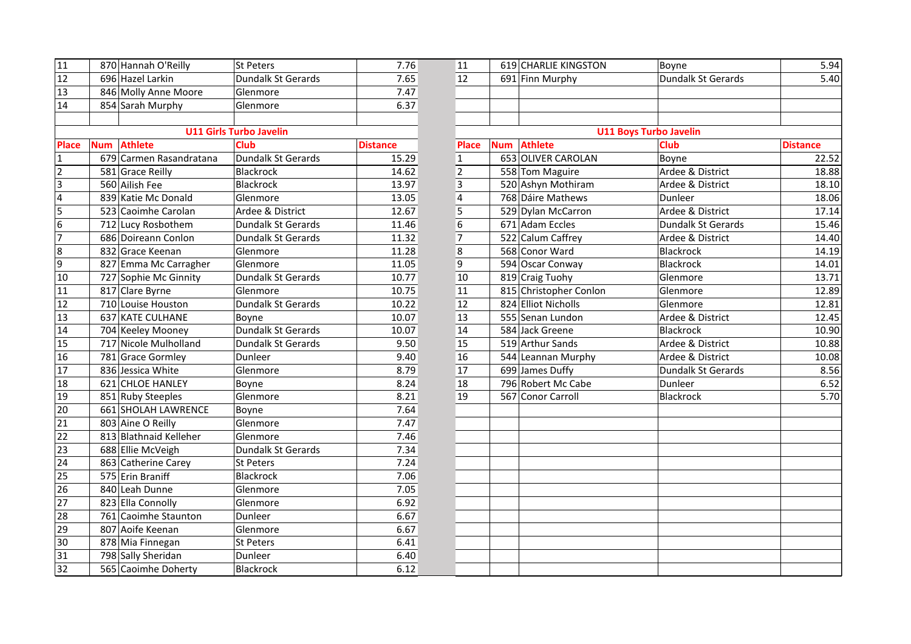| 11              | 870 Hannah O'Reilly          | <b>St Peters</b>               | 7.76            | 11              | 619 CHARLIE KINGSTON   | Boyne                         |                 |  |
|-----------------|------------------------------|--------------------------------|-----------------|-----------------|------------------------|-------------------------------|-----------------|--|
| 12              | 696 Hazel Larkin             | <b>Dundalk St Gerards</b>      | 7.65            | 12              | 691 Finn Murphy        | Dundalk St Gerards            |                 |  |
| 13              | 846 Molly Anne Moore         | Glenmore                       | 7.47            |                 |                        |                               |                 |  |
| 14              | 854 Sarah Murphy             | Glenmore                       | 6.37            |                 |                        |                               |                 |  |
|                 |                              |                                |                 |                 |                        |                               |                 |  |
|                 |                              | <b>U11 Girls Turbo Javelin</b> |                 |                 |                        | <b>U11 Boys Turbo Javelin</b> |                 |  |
| <b>Place</b>    | <b>Athlete</b><br><b>Num</b> | <b>Club</b>                    | <b>Distance</b> | <b>Place</b>    | Num Athlete            | Club                          | <b>Distance</b> |  |
| $\mathbf{1}$    | 679 Carmen Rasandratana      | Dundalk St Gerards             | 15.29           | $\mathbf{1}$    | 653 OLIVER CAROLAN     | Boyne                         | $\overline{a}$  |  |
| $\overline{2}$  | 581 Grace Reilly             | Blackrock                      | 14.62           | $\overline{2}$  | 558 Tom Maguire        | Ardee & District              | 1               |  |
| $\overline{3}$  | 560 Ailish Fee               | Blackrock                      | 13.97           | $\overline{3}$  | 520 Ashyn Mothiram     | Ardee & District              | 1               |  |
| $\overline{4}$  | 839 Katie Mc Donald          | Glenmore                       | 13.05           | 4               | 768 Dáire Mathews      | Dunleer                       | $\overline{1}$  |  |
| 5               | 523 Caoimhe Carolan          | Ardee & District               | 12.67           | 5               | 529 Dylan McCarron     | Ardee & District              | $\mathbf{1}$    |  |
| 6               | 712 Lucy Rosbothem           | <b>Dundalk St Gerards</b>      | 11.46           | 6               | 671 Adam Eccles        | <b>Dundalk St Gerards</b>     | $\mathbf{1}$    |  |
| 7               | 686 Doireann Conlon          | <b>Dundalk St Gerards</b>      | 11.32           | $\overline{7}$  | 522 Calum Caffrey      | Ardee & District              | $\mathbf{1}$    |  |
| 8               | 832 Grace Keenan             | Glenmore                       | 11.28           | $\bf 8$         | 568 Conor Ward         | Blackrock                     | 1               |  |
| $\overline{9}$  | 827 Emma Mc Carragher        | Glenmore                       | 11.05           | 9               | 594 Oscar Conway       | Blackrock                     | 1               |  |
| 10              | 727 Sophie Mc Ginnity        | Dundalk St Gerards             | 10.77           | 10              | 819 Craig Tuohy        | Glenmore                      | 1               |  |
| 11              | 817 Clare Byrne              | Glenmore                       | 10.75           | 11              | 815 Christopher Conlon | Glenmore                      | 1               |  |
| 12              | 710 Louise Houston           | Dundalk St Gerards             | 10.22           | 12              | 824 Elliot Nicholls    | Glenmore                      | 1               |  |
| 13              | 637 KATE CULHANE             | Boyne                          | 10.07           | 13              | 555 Senan Lundon       | Ardee & District              | 1               |  |
| 14              | 704 Keeley Mooney            | Dundalk St Gerards             | 10.07           | 14              | 584 Jack Greene        | Blackrock                     | 1               |  |
| 15              | 717 Nicole Mulholland        | Dundalk St Gerards             | 9.50            | 15              | 519 Arthur Sands       | Ardee & District              | 1               |  |
| 16              | 781 Grace Gormley            | Dunleer                        | 9.40            | 16              | 544 Leannan Murphy     | Ardee & District              | 1               |  |
| 17              | 836 Jessica White            | Glenmore                       | 8.79            | $\overline{17}$ | 699 James Duffy        | <b>Dundalk St Gerards</b>     |                 |  |
| 18              | 621 CHLOE HANLEY             | Boyne                          | 8.24            | 18              | 796 Robert Mc Cabe     | Dunleer                       |                 |  |
| 19              | 851 Ruby Steeples            | Glenmore                       | 8.21            | 19              | 567 Conor Carroll      | Blackrock                     |                 |  |
| 20              | 661 SHOLAH LAWRENCE          | Boyne                          | 7.64            |                 |                        |                               |                 |  |
| $\overline{21}$ | 803 Aine O Reilly            | Glenmore                       | 7.47            |                 |                        |                               |                 |  |
| $\overline{22}$ | 813 Blathnaid Kelleher       | Glenmore                       | 7.46            |                 |                        |                               |                 |  |
| $\overline{23}$ | 688 Ellie McVeigh            | Dundalk St Gerards             | 7.34            |                 |                        |                               |                 |  |
| 24              | 863 Catherine Carey          | St Peters                      | 7.24            |                 |                        |                               |                 |  |
| 25              | 575 Erin Braniff             | <b>Blackrock</b>               | 7.06            |                 |                        |                               |                 |  |
| 26              | 840 Leah Dunne               | Glenmore                       | 7.05            |                 |                        |                               |                 |  |
| $\overline{27}$ | 823 Ella Connolly            | Glenmore                       | 6.92            |                 |                        |                               |                 |  |
| 28              | 761 Caoimhe Staunton         | Dunleer                        | 6.67            |                 |                        |                               |                 |  |
| 29              | 807 Aoife Keenan             | Glenmore                       | 6.67            |                 |                        |                               |                 |  |
| 30              | 878 Mia Finnegan             | St Peters                      | 6.41            |                 |                        |                               |                 |  |
| 31              | 798 Sally Sheridan           | Dunleer                        | 6.40            |                 |                        |                               |                 |  |
| 32              | 565 Caoimhe Doherty          | Blackrock                      | 6.12            |                 |                        |                               |                 |  |

| 870 Hannah O'Reilly<br>619 CHARLIE KINGSTON<br>12<br>696 Hazel Larkin<br>12<br>Dundalk St Gerards<br>5.40<br>Dundalk St Gerards<br>7.65<br>691 Finn Murphy<br>$\overline{13}$<br>846 Molly Anne Moore<br>7.47<br>Glenmore<br>14<br>6.37<br>854 Sarah Murphy<br>Glenmore<br><b>U11 Girls Turbo Javelin</b><br><b>U11 Boys Turbo Javelin</b><br><b>Athlete</b><br>Club<br><b>Club</b><br><b>Athlete</b><br><b>Place</b><br><b>Distance</b><br><b>Distance</b><br><b>Num</b><br><b>Place</b><br><b>Num</b><br>679 Carmen Rasandratana<br>653 OLIVER CAROLAN<br>Dundalk St Gerards<br>15.29<br>Boyne<br>22.52<br>$\mathbf{1}$<br>$\overline{2}$<br>Blackrock<br>558 Tom Maguire<br>Ardee & District<br>581 Grace Reilly<br>14.62<br>18.88<br>$\overline{\mathbf{3}}$<br>Blackrock<br>560 Ailish Fee<br>13.97<br>520 Ashyn Mothiram<br>Ardee & District<br>18.10<br>$\overline{4}$<br>839 Katie Mc Donald<br>768 Dáire Mathews<br>18.06<br>13.05<br>Dunleer<br>Glenmore<br>5<br>Ardee & District<br>17.14<br>523 Caoimhe Carolan<br>Ardee & District<br>12.67<br>529 Dylan McCarron<br>$\overline{6}$<br>712 Lucy Rosbothem<br>671 Adam Eccles<br><b>Dundalk St Gerards</b><br>Dundalk St Gerards<br>11.46<br>15.46<br>$\overline{7}$<br>686 Doireann Conlon<br>Dundalk St Gerards<br>11.32<br>522 Calum Caffrey<br>Ardee & District<br>14.40<br>$\bf 8$<br>832 Grace Keenan<br>11.28<br>568 Conor Ward<br>Blackrock<br>14.19<br>Glenmore<br>9<br>594 Oscar Conway<br>14.01<br>827 Emma Mc Carragher<br>11.05<br>Blackrock<br>Glenmore<br>10<br>13.71<br>727 Sophie Mc Ginnity<br>Dundalk St Gerards<br>10.77<br>819 Craig Tuohy<br>Glenmore<br>817 Clare Byrne<br>11<br>815 Christopher Conlon<br>Glenmore<br>12.89<br>10.75<br>Glenmore<br>710 Louise Houston<br>Dundalk St Gerards<br>12<br>824 Elliot Nicholls<br>12.81<br>10.22<br>Glenmore<br>637 KATE CULHANE<br>13<br>555 Senan Lundon<br>Ardee & District<br>12.45<br>Boyne<br>10.07<br>Dundalk St Gerards<br>584 Jack Greene<br>Blackrock<br>10.90<br>704 Keeley Mooney<br>10.07<br>14<br>15<br>519 Arthur Sands<br>717 Nicole Mulholland<br>Dundalk St Gerards<br>9.50<br>Ardee & District<br>10.88<br>16<br>781 Grace Gormley<br>Dunleer<br>9.40<br>544 Leannan Murphy<br>Ardee & District<br>10.08<br>$\overline{17}$<br>8.79<br>836 Jessica White<br>699 James Duffy<br>Dundalk St Gerards<br>8.56<br>Glenmore<br>8.24<br>18<br>796 Robert Mc Cabe<br>621 CHLOE HANLEY<br>Dunleer<br>6.52<br>Boyne<br>8.21<br>19<br>567 Conor Carroll<br>5.70<br>851 Ruby Steeples<br>Blackrock<br>Glenmore<br>661 SHOLAH LAWRENCE<br>7.64<br>Boyne<br>7.47<br>803 Aine O Reilly<br>Glenmore<br>813 Blathnaid Kelleher<br>7.46<br>Glenmore<br>688 Ellie McVeigh<br>7.34<br>Dundalk St Gerards<br>863 Catherine Carey<br><b>St Peters</b><br>7.24<br>575 Erin Braniff<br>Blackrock<br>7.06<br>7.05<br>840 Leah Dunne<br>Glenmore<br>6.92<br>823 Ella Connolly<br>Glenmore<br>6.67<br>761 Caoimhe Staunton<br>Dunleer<br>807 Aoife Keenan<br>6.67<br>Glenmore<br>878 Mia Finnegan<br>St Peters<br>6.41<br>798 Sally Sheridan<br>Dunleer<br>6.40<br>6.12<br>565 Caoimhe Doherty<br>Blackrock |                |  |           |      |    |  |       |      |
|------------------------------------------------------------------------------------------------------------------------------------------------------------------------------------------------------------------------------------------------------------------------------------------------------------------------------------------------------------------------------------------------------------------------------------------------------------------------------------------------------------------------------------------------------------------------------------------------------------------------------------------------------------------------------------------------------------------------------------------------------------------------------------------------------------------------------------------------------------------------------------------------------------------------------------------------------------------------------------------------------------------------------------------------------------------------------------------------------------------------------------------------------------------------------------------------------------------------------------------------------------------------------------------------------------------------------------------------------------------------------------------------------------------------------------------------------------------------------------------------------------------------------------------------------------------------------------------------------------------------------------------------------------------------------------------------------------------------------------------------------------------------------------------------------------------------------------------------------------------------------------------------------------------------------------------------------------------------------------------------------------------------------------------------------------------------------------------------------------------------------------------------------------------------------------------------------------------------------------------------------------------------------------------------------------------------------------------------------------------------------------------------------------------------------------------------------------------------------------------------------------------------------------------------------------------------------------------------------------------------------------------------------------------------------------------------------------------------------------------------------------------------------------------------------------------------------------------------------------------------------------------------------------------------------------------------------------------------------------------------------------------------------------------------------------------------------------------------------------------------------------|----------------|--|-----------|------|----|--|-------|------|
|                                                                                                                                                                                                                                                                                                                                                                                                                                                                                                                                                                                                                                                                                                                                                                                                                                                                                                                                                                                                                                                                                                                                                                                                                                                                                                                                                                                                                                                                                                                                                                                                                                                                                                                                                                                                                                                                                                                                                                                                                                                                                                                                                                                                                                                                                                                                                                                                                                                                                                                                                                                                                                                                                                                                                                                                                                                                                                                                                                                                                                                                                                                                    | 11             |  | St Peters | 7.76 | 11 |  | Boyne | 5.94 |
|                                                                                                                                                                                                                                                                                                                                                                                                                                                                                                                                                                                                                                                                                                                                                                                                                                                                                                                                                                                                                                                                                                                                                                                                                                                                                                                                                                                                                                                                                                                                                                                                                                                                                                                                                                                                                                                                                                                                                                                                                                                                                                                                                                                                                                                                                                                                                                                                                                                                                                                                                                                                                                                                                                                                                                                                                                                                                                                                                                                                                                                                                                                                    |                |  |           |      |    |  |       |      |
|                                                                                                                                                                                                                                                                                                                                                                                                                                                                                                                                                                                                                                                                                                                                                                                                                                                                                                                                                                                                                                                                                                                                                                                                                                                                                                                                                                                                                                                                                                                                                                                                                                                                                                                                                                                                                                                                                                                                                                                                                                                                                                                                                                                                                                                                                                                                                                                                                                                                                                                                                                                                                                                                                                                                                                                                                                                                                                                                                                                                                                                                                                                                    |                |  |           |      |    |  |       |      |
|                                                                                                                                                                                                                                                                                                                                                                                                                                                                                                                                                                                                                                                                                                                                                                                                                                                                                                                                                                                                                                                                                                                                                                                                                                                                                                                                                                                                                                                                                                                                                                                                                                                                                                                                                                                                                                                                                                                                                                                                                                                                                                                                                                                                                                                                                                                                                                                                                                                                                                                                                                                                                                                                                                                                                                                                                                                                                                                                                                                                                                                                                                                                    |                |  |           |      |    |  |       |      |
|                                                                                                                                                                                                                                                                                                                                                                                                                                                                                                                                                                                                                                                                                                                                                                                                                                                                                                                                                                                                                                                                                                                                                                                                                                                                                                                                                                                                                                                                                                                                                                                                                                                                                                                                                                                                                                                                                                                                                                                                                                                                                                                                                                                                                                                                                                                                                                                                                                                                                                                                                                                                                                                                                                                                                                                                                                                                                                                                                                                                                                                                                                                                    |                |  |           |      |    |  |       |      |
|                                                                                                                                                                                                                                                                                                                                                                                                                                                                                                                                                                                                                                                                                                                                                                                                                                                                                                                                                                                                                                                                                                                                                                                                                                                                                                                                                                                                                                                                                                                                                                                                                                                                                                                                                                                                                                                                                                                                                                                                                                                                                                                                                                                                                                                                                                                                                                                                                                                                                                                                                                                                                                                                                                                                                                                                                                                                                                                                                                                                                                                                                                                                    |                |  |           |      |    |  |       |      |
|                                                                                                                                                                                                                                                                                                                                                                                                                                                                                                                                                                                                                                                                                                                                                                                                                                                                                                                                                                                                                                                                                                                                                                                                                                                                                                                                                                                                                                                                                                                                                                                                                                                                                                                                                                                                                                                                                                                                                                                                                                                                                                                                                                                                                                                                                                                                                                                                                                                                                                                                                                                                                                                                                                                                                                                                                                                                                                                                                                                                                                                                                                                                    |                |  |           |      |    |  |       |      |
|                                                                                                                                                                                                                                                                                                                                                                                                                                                                                                                                                                                                                                                                                                                                                                                                                                                                                                                                                                                                                                                                                                                                                                                                                                                                                                                                                                                                                                                                                                                                                                                                                                                                                                                                                                                                                                                                                                                                                                                                                                                                                                                                                                                                                                                                                                                                                                                                                                                                                                                                                                                                                                                                                                                                                                                                                                                                                                                                                                                                                                                                                                                                    | 1              |  |           |      |    |  |       |      |
|                                                                                                                                                                                                                                                                                                                                                                                                                                                                                                                                                                                                                                                                                                                                                                                                                                                                                                                                                                                                                                                                                                                                                                                                                                                                                                                                                                                                                                                                                                                                                                                                                                                                                                                                                                                                                                                                                                                                                                                                                                                                                                                                                                                                                                                                                                                                                                                                                                                                                                                                                                                                                                                                                                                                                                                                                                                                                                                                                                                                                                                                                                                                    | $\overline{2}$ |  |           |      |    |  |       |      |
|                                                                                                                                                                                                                                                                                                                                                                                                                                                                                                                                                                                                                                                                                                                                                                                                                                                                                                                                                                                                                                                                                                                                                                                                                                                                                                                                                                                                                                                                                                                                                                                                                                                                                                                                                                                                                                                                                                                                                                                                                                                                                                                                                                                                                                                                                                                                                                                                                                                                                                                                                                                                                                                                                                                                                                                                                                                                                                                                                                                                                                                                                                                                    | 3              |  |           |      |    |  |       |      |
|                                                                                                                                                                                                                                                                                                                                                                                                                                                                                                                                                                                                                                                                                                                                                                                                                                                                                                                                                                                                                                                                                                                                                                                                                                                                                                                                                                                                                                                                                                                                                                                                                                                                                                                                                                                                                                                                                                                                                                                                                                                                                                                                                                                                                                                                                                                                                                                                                                                                                                                                                                                                                                                                                                                                                                                                                                                                                                                                                                                                                                                                                                                                    | 4              |  |           |      |    |  |       |      |
|                                                                                                                                                                                                                                                                                                                                                                                                                                                                                                                                                                                                                                                                                                                                                                                                                                                                                                                                                                                                                                                                                                                                                                                                                                                                                                                                                                                                                                                                                                                                                                                                                                                                                                                                                                                                                                                                                                                                                                                                                                                                                                                                                                                                                                                                                                                                                                                                                                                                                                                                                                                                                                                                                                                                                                                                                                                                                                                                                                                                                                                                                                                                    | 5              |  |           |      |    |  |       |      |
|                                                                                                                                                                                                                                                                                                                                                                                                                                                                                                                                                                                                                                                                                                                                                                                                                                                                                                                                                                                                                                                                                                                                                                                                                                                                                                                                                                                                                                                                                                                                                                                                                                                                                                                                                                                                                                                                                                                                                                                                                                                                                                                                                                                                                                                                                                                                                                                                                                                                                                                                                                                                                                                                                                                                                                                                                                                                                                                                                                                                                                                                                                                                    | $\overline{6}$ |  |           |      |    |  |       |      |
|                                                                                                                                                                                                                                                                                                                                                                                                                                                                                                                                                                                                                                                                                                                                                                                                                                                                                                                                                                                                                                                                                                                                                                                                                                                                                                                                                                                                                                                                                                                                                                                                                                                                                                                                                                                                                                                                                                                                                                                                                                                                                                                                                                                                                                                                                                                                                                                                                                                                                                                                                                                                                                                                                                                                                                                                                                                                                                                                                                                                                                                                                                                                    | $\overline{7}$ |  |           |      |    |  |       |      |
|                                                                                                                                                                                                                                                                                                                                                                                                                                                                                                                                                                                                                                                                                                                                                                                                                                                                                                                                                                                                                                                                                                                                                                                                                                                                                                                                                                                                                                                                                                                                                                                                                                                                                                                                                                                                                                                                                                                                                                                                                                                                                                                                                                                                                                                                                                                                                                                                                                                                                                                                                                                                                                                                                                                                                                                                                                                                                                                                                                                                                                                                                                                                    | 8              |  |           |      |    |  |       |      |
|                                                                                                                                                                                                                                                                                                                                                                                                                                                                                                                                                                                                                                                                                                                                                                                                                                                                                                                                                                                                                                                                                                                                                                                                                                                                                                                                                                                                                                                                                                                                                                                                                                                                                                                                                                                                                                                                                                                                                                                                                                                                                                                                                                                                                                                                                                                                                                                                                                                                                                                                                                                                                                                                                                                                                                                                                                                                                                                                                                                                                                                                                                                                    | 9              |  |           |      |    |  |       |      |
|                                                                                                                                                                                                                                                                                                                                                                                                                                                                                                                                                                                                                                                                                                                                                                                                                                                                                                                                                                                                                                                                                                                                                                                                                                                                                                                                                                                                                                                                                                                                                                                                                                                                                                                                                                                                                                                                                                                                                                                                                                                                                                                                                                                                                                                                                                                                                                                                                                                                                                                                                                                                                                                                                                                                                                                                                                                                                                                                                                                                                                                                                                                                    | 10             |  |           |      |    |  |       |      |
|                                                                                                                                                                                                                                                                                                                                                                                                                                                                                                                                                                                                                                                                                                                                                                                                                                                                                                                                                                                                                                                                                                                                                                                                                                                                                                                                                                                                                                                                                                                                                                                                                                                                                                                                                                                                                                                                                                                                                                                                                                                                                                                                                                                                                                                                                                                                                                                                                                                                                                                                                                                                                                                                                                                                                                                                                                                                                                                                                                                                                                                                                                                                    | 11             |  |           |      |    |  |       |      |
|                                                                                                                                                                                                                                                                                                                                                                                                                                                                                                                                                                                                                                                                                                                                                                                                                                                                                                                                                                                                                                                                                                                                                                                                                                                                                                                                                                                                                                                                                                                                                                                                                                                                                                                                                                                                                                                                                                                                                                                                                                                                                                                                                                                                                                                                                                                                                                                                                                                                                                                                                                                                                                                                                                                                                                                                                                                                                                                                                                                                                                                                                                                                    | 12             |  |           |      |    |  |       |      |
|                                                                                                                                                                                                                                                                                                                                                                                                                                                                                                                                                                                                                                                                                                                                                                                                                                                                                                                                                                                                                                                                                                                                                                                                                                                                                                                                                                                                                                                                                                                                                                                                                                                                                                                                                                                                                                                                                                                                                                                                                                                                                                                                                                                                                                                                                                                                                                                                                                                                                                                                                                                                                                                                                                                                                                                                                                                                                                                                                                                                                                                                                                                                    | 13             |  |           |      |    |  |       |      |
|                                                                                                                                                                                                                                                                                                                                                                                                                                                                                                                                                                                                                                                                                                                                                                                                                                                                                                                                                                                                                                                                                                                                                                                                                                                                                                                                                                                                                                                                                                                                                                                                                                                                                                                                                                                                                                                                                                                                                                                                                                                                                                                                                                                                                                                                                                                                                                                                                                                                                                                                                                                                                                                                                                                                                                                                                                                                                                                                                                                                                                                                                                                                    | 14             |  |           |      |    |  |       |      |
|                                                                                                                                                                                                                                                                                                                                                                                                                                                                                                                                                                                                                                                                                                                                                                                                                                                                                                                                                                                                                                                                                                                                                                                                                                                                                                                                                                                                                                                                                                                                                                                                                                                                                                                                                                                                                                                                                                                                                                                                                                                                                                                                                                                                                                                                                                                                                                                                                                                                                                                                                                                                                                                                                                                                                                                                                                                                                                                                                                                                                                                                                                                                    | 15             |  |           |      |    |  |       |      |
|                                                                                                                                                                                                                                                                                                                                                                                                                                                                                                                                                                                                                                                                                                                                                                                                                                                                                                                                                                                                                                                                                                                                                                                                                                                                                                                                                                                                                                                                                                                                                                                                                                                                                                                                                                                                                                                                                                                                                                                                                                                                                                                                                                                                                                                                                                                                                                                                                                                                                                                                                                                                                                                                                                                                                                                                                                                                                                                                                                                                                                                                                                                                    | 16             |  |           |      |    |  |       |      |
|                                                                                                                                                                                                                                                                                                                                                                                                                                                                                                                                                                                                                                                                                                                                                                                                                                                                                                                                                                                                                                                                                                                                                                                                                                                                                                                                                                                                                                                                                                                                                                                                                                                                                                                                                                                                                                                                                                                                                                                                                                                                                                                                                                                                                                                                                                                                                                                                                                                                                                                                                                                                                                                                                                                                                                                                                                                                                                                                                                                                                                                                                                                                    | 17             |  |           |      |    |  |       |      |
|                                                                                                                                                                                                                                                                                                                                                                                                                                                                                                                                                                                                                                                                                                                                                                                                                                                                                                                                                                                                                                                                                                                                                                                                                                                                                                                                                                                                                                                                                                                                                                                                                                                                                                                                                                                                                                                                                                                                                                                                                                                                                                                                                                                                                                                                                                                                                                                                                                                                                                                                                                                                                                                                                                                                                                                                                                                                                                                                                                                                                                                                                                                                    | 18             |  |           |      |    |  |       |      |
|                                                                                                                                                                                                                                                                                                                                                                                                                                                                                                                                                                                                                                                                                                                                                                                                                                                                                                                                                                                                                                                                                                                                                                                                                                                                                                                                                                                                                                                                                                                                                                                                                                                                                                                                                                                                                                                                                                                                                                                                                                                                                                                                                                                                                                                                                                                                                                                                                                                                                                                                                                                                                                                                                                                                                                                                                                                                                                                                                                                                                                                                                                                                    | 19             |  |           |      |    |  |       |      |
|                                                                                                                                                                                                                                                                                                                                                                                                                                                                                                                                                                                                                                                                                                                                                                                                                                                                                                                                                                                                                                                                                                                                                                                                                                                                                                                                                                                                                                                                                                                                                                                                                                                                                                                                                                                                                                                                                                                                                                                                                                                                                                                                                                                                                                                                                                                                                                                                                                                                                                                                                                                                                                                                                                                                                                                                                                                                                                                                                                                                                                                                                                                                    | 20             |  |           |      |    |  |       |      |
|                                                                                                                                                                                                                                                                                                                                                                                                                                                                                                                                                                                                                                                                                                                                                                                                                                                                                                                                                                                                                                                                                                                                                                                                                                                                                                                                                                                                                                                                                                                                                                                                                                                                                                                                                                                                                                                                                                                                                                                                                                                                                                                                                                                                                                                                                                                                                                                                                                                                                                                                                                                                                                                                                                                                                                                                                                                                                                                                                                                                                                                                                                                                    | 21             |  |           |      |    |  |       |      |
|                                                                                                                                                                                                                                                                                                                                                                                                                                                                                                                                                                                                                                                                                                                                                                                                                                                                                                                                                                                                                                                                                                                                                                                                                                                                                                                                                                                                                                                                                                                                                                                                                                                                                                                                                                                                                                                                                                                                                                                                                                                                                                                                                                                                                                                                                                                                                                                                                                                                                                                                                                                                                                                                                                                                                                                                                                                                                                                                                                                                                                                                                                                                    | 22             |  |           |      |    |  |       |      |
|                                                                                                                                                                                                                                                                                                                                                                                                                                                                                                                                                                                                                                                                                                                                                                                                                                                                                                                                                                                                                                                                                                                                                                                                                                                                                                                                                                                                                                                                                                                                                                                                                                                                                                                                                                                                                                                                                                                                                                                                                                                                                                                                                                                                                                                                                                                                                                                                                                                                                                                                                                                                                                                                                                                                                                                                                                                                                                                                                                                                                                                                                                                                    | 23             |  |           |      |    |  |       |      |
|                                                                                                                                                                                                                                                                                                                                                                                                                                                                                                                                                                                                                                                                                                                                                                                                                                                                                                                                                                                                                                                                                                                                                                                                                                                                                                                                                                                                                                                                                                                                                                                                                                                                                                                                                                                                                                                                                                                                                                                                                                                                                                                                                                                                                                                                                                                                                                                                                                                                                                                                                                                                                                                                                                                                                                                                                                                                                                                                                                                                                                                                                                                                    | 24             |  |           |      |    |  |       |      |
|                                                                                                                                                                                                                                                                                                                                                                                                                                                                                                                                                                                                                                                                                                                                                                                                                                                                                                                                                                                                                                                                                                                                                                                                                                                                                                                                                                                                                                                                                                                                                                                                                                                                                                                                                                                                                                                                                                                                                                                                                                                                                                                                                                                                                                                                                                                                                                                                                                                                                                                                                                                                                                                                                                                                                                                                                                                                                                                                                                                                                                                                                                                                    | 25             |  |           |      |    |  |       |      |
|                                                                                                                                                                                                                                                                                                                                                                                                                                                                                                                                                                                                                                                                                                                                                                                                                                                                                                                                                                                                                                                                                                                                                                                                                                                                                                                                                                                                                                                                                                                                                                                                                                                                                                                                                                                                                                                                                                                                                                                                                                                                                                                                                                                                                                                                                                                                                                                                                                                                                                                                                                                                                                                                                                                                                                                                                                                                                                                                                                                                                                                                                                                                    | 26             |  |           |      |    |  |       |      |
|                                                                                                                                                                                                                                                                                                                                                                                                                                                                                                                                                                                                                                                                                                                                                                                                                                                                                                                                                                                                                                                                                                                                                                                                                                                                                                                                                                                                                                                                                                                                                                                                                                                                                                                                                                                                                                                                                                                                                                                                                                                                                                                                                                                                                                                                                                                                                                                                                                                                                                                                                                                                                                                                                                                                                                                                                                                                                                                                                                                                                                                                                                                                    | 27             |  |           |      |    |  |       |      |
|                                                                                                                                                                                                                                                                                                                                                                                                                                                                                                                                                                                                                                                                                                                                                                                                                                                                                                                                                                                                                                                                                                                                                                                                                                                                                                                                                                                                                                                                                                                                                                                                                                                                                                                                                                                                                                                                                                                                                                                                                                                                                                                                                                                                                                                                                                                                                                                                                                                                                                                                                                                                                                                                                                                                                                                                                                                                                                                                                                                                                                                                                                                                    | 28             |  |           |      |    |  |       |      |
|                                                                                                                                                                                                                                                                                                                                                                                                                                                                                                                                                                                                                                                                                                                                                                                                                                                                                                                                                                                                                                                                                                                                                                                                                                                                                                                                                                                                                                                                                                                                                                                                                                                                                                                                                                                                                                                                                                                                                                                                                                                                                                                                                                                                                                                                                                                                                                                                                                                                                                                                                                                                                                                                                                                                                                                                                                                                                                                                                                                                                                                                                                                                    | 29             |  |           |      |    |  |       |      |
|                                                                                                                                                                                                                                                                                                                                                                                                                                                                                                                                                                                                                                                                                                                                                                                                                                                                                                                                                                                                                                                                                                                                                                                                                                                                                                                                                                                                                                                                                                                                                                                                                                                                                                                                                                                                                                                                                                                                                                                                                                                                                                                                                                                                                                                                                                                                                                                                                                                                                                                                                                                                                                                                                                                                                                                                                                                                                                                                                                                                                                                                                                                                    | 30             |  |           |      |    |  |       |      |
|                                                                                                                                                                                                                                                                                                                                                                                                                                                                                                                                                                                                                                                                                                                                                                                                                                                                                                                                                                                                                                                                                                                                                                                                                                                                                                                                                                                                                                                                                                                                                                                                                                                                                                                                                                                                                                                                                                                                                                                                                                                                                                                                                                                                                                                                                                                                                                                                                                                                                                                                                                                                                                                                                                                                                                                                                                                                                                                                                                                                                                                                                                                                    | 31             |  |           |      |    |  |       |      |
|                                                                                                                                                                                                                                                                                                                                                                                                                                                                                                                                                                                                                                                                                                                                                                                                                                                                                                                                                                                                                                                                                                                                                                                                                                                                                                                                                                                                                                                                                                                                                                                                                                                                                                                                                                                                                                                                                                                                                                                                                                                                                                                                                                                                                                                                                                                                                                                                                                                                                                                                                                                                                                                                                                                                                                                                                                                                                                                                                                                                                                                                                                                                    | 32             |  |           |      |    |  |       |      |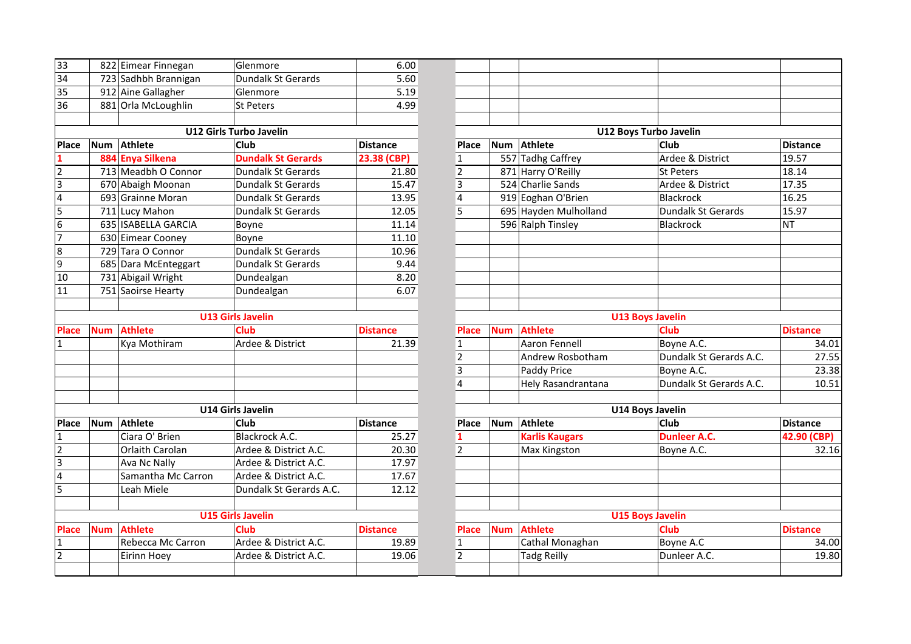| 33             |            | 822 Eimear Finnegan  | Glenmore                  | 6.00            |                |            |                       |                           |                 |
|----------------|------------|----------------------|---------------------------|-----------------|----------------|------------|-----------------------|---------------------------|-----------------|
| 34             |            | 723 Sadhbh Brannigan | Dundalk St Gerards        | 5.60            |                |            |                       |                           |                 |
| 35             |            | 912 Aine Gallagher   | Glenmore                  | 5.19            |                |            |                       |                           |                 |
| 36             |            | 881 Orla McLoughlin  | St Peters                 | 4.99            |                |            |                       |                           |                 |
|                |            |                      |                           |                 |                |            |                       |                           |                 |
|                |            |                      | U12 Girls Turbo Javelin   |                 |                |            |                       | U12 Boys Turbo Javelin    |                 |
| <b>Place</b>   | <b>Num</b> | Athlete              | <b>Club</b>               | <b>Distance</b> | <b>Place</b>   |            | Num Athlete           | <b>Club</b>               | Distance        |
|                |            | 884 Enya Silkena     | <b>Dundalk St Gerards</b> | 23.38 (CBP)     | $\mathbf{1}$   |            | 557 Tadhg Caffrey     | Ardee & District          | 19.57           |
| $\overline{2}$ |            | 713 Meadbh O Connor  | <b>Dundalk St Gerards</b> | 21.80           | $\overline{2}$ |            | 871 Harry O'Reilly    | <b>St Peters</b>          | 18.14           |
| $\overline{3}$ |            | 670 Abaigh Moonan    | <b>Dundalk St Gerards</b> | 15.47           | $\overline{3}$ |            | 524 Charlie Sands     | Ardee & District          | 17.35           |
| $\overline{a}$ |            | 693 Grainne Moran    | <b>Dundalk St Gerards</b> | 13.95           | $\overline{4}$ |            | 919 Eoghan O'Brien    | Blackrock                 | 16.25           |
| 5              |            | 711 Lucy Mahon       | <b>Dundalk St Gerards</b> | 12.05           | 5              |            | 695 Hayden Mulholland | <b>Dundalk St Gerards</b> | 15.97           |
| $\overline{6}$ |            | 635 ISABELLA GARCIA  | Boyne                     | 11.14           |                |            | 596 Ralph Tinsley     | Blackrock                 | <b>NT</b>       |
| $\overline{z}$ |            | 630 Eimear Cooney    | Boyne                     | 11.10           |                |            |                       |                           |                 |
| 8              |            | 729 Tara O Connor    | Dundalk St Gerards        | 10.96           |                |            |                       |                           |                 |
| $\overline{9}$ |            | 685 Dara McEnteggart | Dundalk St Gerards        | 9.44            |                |            |                       |                           |                 |
| 10             |            | 731 Abigail Wright   | Dundealgan                | 8.20            |                |            |                       |                           |                 |
| 11             |            | 751 Saoirse Hearty   | Dundealgan                | 6.07            |                |            |                       |                           |                 |
|                |            |                      |                           |                 |                |            |                       |                           |                 |
|                |            |                      | <b>U13 Girls Javelin</b>  |                 |                |            |                       | <b>U13 Boys Javelin</b>   |                 |
| <b>Place</b>   | <b>Num</b> | <b>Athlete</b>       | <b>Club</b>               | <b>Distance</b> | Place          | <b>Num</b> | <b>Athlete</b>        | <b>Club</b>               | <b>Distance</b> |
| $\mathbf{1}$   |            | Kya Mothiram         | Ardee & District          | 21.39           | $\mathbf{1}$   |            | <b>Aaron Fennell</b>  | Boyne A.C.                | 34.01           |
|                |            |                      |                           |                 |                |            |                       |                           |                 |
|                |            |                      |                           |                 | $\overline{2}$ |            | Andrew Rosbotham      | Dundalk St Gerards A.C.   | 27.55           |
|                |            |                      |                           |                 | $\overline{3}$ |            | Paddy Price           | Boyne A.C.                | 23.38           |
|                |            |                      |                           |                 | $\overline{4}$ |            | Hely Rasandrantana    | Dundalk St Gerards A.C.   | 10.51           |
|                |            |                      |                           |                 |                |            |                       |                           |                 |
|                |            |                      | <b>U14 Girls Javelin</b>  |                 |                |            |                       | <b>U14 Boys Javelin</b>   |                 |
| Place          | Num        | Athlete              | Club                      | Distance        | Place          | <b>Num</b> | <b>Athlete</b>        | <b>Club</b>               | Distance        |
| $\mathbf{1}$   |            | Ciara O' Brien       | Blackrock A.C.            | 25.27           | $\mathbf{1}$   |            | <b>Karlis Kaugars</b> | <b>Dunleer A.C.</b>       | 42.90 (CBP)     |
| $\overline{2}$ |            | Orlaith Carolan      | Ardee & District A.C.     | 20.30           | $\overline{2}$ |            | Max Kingston          | Boyne A.C.                |                 |
| $\overline{3}$ |            | <b>Ava Nc Nally</b>  | Ardee & District A.C.     | 17.97           |                |            |                       |                           | 32.16           |
| 4              |            | Samantha Mc Carron   | Ardee & District A.C.     | 17.67           |                |            |                       |                           |                 |
| 5              |            | Leah Miele           | Dundalk St Gerards A.C.   | 12.12           |                |            |                       |                           |                 |
|                |            |                      |                           |                 |                |            |                       |                           |                 |
|                |            |                      | <b>U15 Girls Javelin</b>  |                 |                |            |                       | <b>U15 Boys Javelin</b>   |                 |
| <b>Place</b>   | <b>Num</b> | <b>Athlete</b>       | <b>Club</b>               | <b>Distance</b> | <b>Place</b>   | <b>Num</b> | <b>Athlete</b>        | <b>Club</b>               | <b>Distance</b> |
| $\mathbf{1}$   |            | Rebecca Mc Carron    | Ardee & District A.C.     | 19.89           | $\mathbf 1$    |            | Cathal Monaghan       | Boyne A.C                 | 34.00           |
| $\overline{2}$ |            | Eirinn Hoey          | Ardee & District A.C.     | 19.06           | $\overline{2}$ |            | <b>Tadg Reilly</b>    | Dunleer A.C.              | 19.80           |

|                         |            | <b>U12 Boys Turbo Javelin</b> |                         |                 |  |  |  |  |  |
|-------------------------|------------|-------------------------------|-------------------------|-----------------|--|--|--|--|--|
| Place                   | Num        | <b>Athlete</b>                | Club                    | <b>Distance</b> |  |  |  |  |  |
| 1                       |            | 557 Tadhg Caffrey             | Ardee & District        | 19.57           |  |  |  |  |  |
| 2                       |            | 871 Harry O'Reilly            | <b>St Peters</b>        | 18.14           |  |  |  |  |  |
| 3                       |            | 524 Charlie Sands             | Ardee & District        | 17.35           |  |  |  |  |  |
| $\overline{\mathbf{4}}$ |            | 919 Eoghan O'Brien            | <b>Blackrock</b>        | 16.25           |  |  |  |  |  |
| $\overline{5}$          |            | 695 Hayden Mulholland         | Dundalk St Gerards      | 15.97           |  |  |  |  |  |
|                         |            | 596 Ralph Tinsley             | <b>Blackrock</b>        | ΝT              |  |  |  |  |  |
|                         |            |                               |                         |                 |  |  |  |  |  |
|                         |            |                               |                         |                 |  |  |  |  |  |
|                         |            |                               |                         |                 |  |  |  |  |  |
|                         |            |                               |                         |                 |  |  |  |  |  |
|                         |            |                               |                         |                 |  |  |  |  |  |
|                         |            |                               |                         |                 |  |  |  |  |  |
| <b>U13 Boys Javelin</b> |            |                               |                         |                 |  |  |  |  |  |
| <b>Place</b>            | <b>Num</b> | <b>Athlete</b>                | <b>Club</b>             | <b>Distance</b> |  |  |  |  |  |
| $\mathbf{1}$            |            | <b>Aaron Fennell</b>          | Boyne A.C.              | 34.01           |  |  |  |  |  |
| 2                       |            | Andrew Rosbotham              | Dundalk St Gerards A.C. | 27.55           |  |  |  |  |  |
| 3                       |            | Paddy Price                   | Boyne A.C.              | 23.38           |  |  |  |  |  |
| 4                       |            | Hely Rasandrantana            | Dundalk St Gerards A.C. | 10.51           |  |  |  |  |  |
|                         |            |                               |                         |                 |  |  |  |  |  |
|                         |            | <b>U14 Boys Javelin</b>       |                         |                 |  |  |  |  |  |
| Place                   | <b>Num</b> | <b>Athlete</b>                | Club                    | <b>Distance</b> |  |  |  |  |  |
| 1                       |            | <b>Karlis Kaugars</b>         | <b>Dunleer A.C.</b>     | 42.90 (CBP)     |  |  |  |  |  |
| $\mathfrak{p}$          |            | Max Kingston                  | Boyne A.C.              | 32.16           |  |  |  |  |  |
|                         |            |                               |                         |                 |  |  |  |  |  |
|                         |            |                               |                         |                 |  |  |  |  |  |
|                         |            |                               |                         |                 |  |  |  |  |  |
|                         |            |                               |                         |                 |  |  |  |  |  |
|                         |            | <b>U15 Boys Javelin</b>       |                         |                 |  |  |  |  |  |
| <b>Place</b>            | <b>Num</b> | <b>Athlete</b>                | Club                    | <b>Distance</b> |  |  |  |  |  |
| $\mathbf{1}$            |            | Cathal Monaghan               | Boyne A.C               | 34.00           |  |  |  |  |  |
| 2                       |            | <b>Tadg Reilly</b>            | Dunleer A.C.            | 19.80           |  |  |  |  |  |
|                         |            |                               |                         |                 |  |  |  |  |  |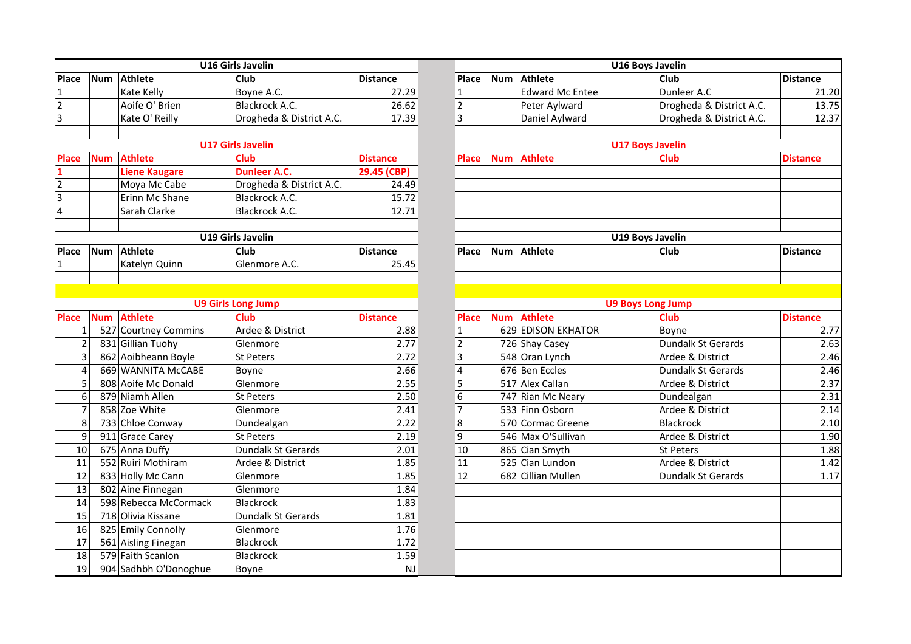|                | <b>U16 Girls Javelin</b> |                       |                           |                 |  |  |  |  |  |  |
|----------------|--------------------------|-----------------------|---------------------------|-----------------|--|--|--|--|--|--|
| Place          | <b>Num</b>               | <b>Athlete</b>        | Club                      | <b>Distance</b> |  |  |  |  |  |  |
| 1              |                          | Kate Kelly            | Boyne A.C.                | 27.29           |  |  |  |  |  |  |
| $\overline{2}$ |                          | Aoife O' Brien        | Blackrock A.C.            | 26.62           |  |  |  |  |  |  |
| $\overline{3}$ |                          | Kate O' Reilly        | Drogheda & District A.C.  | 17.39           |  |  |  |  |  |  |
|                |                          |                       |                           |                 |  |  |  |  |  |  |
|                |                          |                       | <b>U17 Girls Javelin</b>  |                 |  |  |  |  |  |  |
| Place          | <b>Num</b>               | <b>Athlete</b>        | <b>Club</b>               | <b>Distance</b> |  |  |  |  |  |  |
| 1              |                          | <b>Liene Kaugare</b>  | <b>Dunleer A.C.</b>       | 29.45 (CBP)     |  |  |  |  |  |  |
| $\overline{2}$ |                          | Moya Mc Cabe          | Drogheda & District A.C.  | 24.49           |  |  |  |  |  |  |
| 3              |                          | Erinn Mc Shane        | Blackrock A.C.            | 15.72           |  |  |  |  |  |  |
| $\overline{4}$ |                          | Sarah Clarke          | Blackrock A.C.            | 12.71           |  |  |  |  |  |  |
|                |                          |                       |                           |                 |  |  |  |  |  |  |
|                |                          |                       | <b>U19 Girls Javelin</b>  |                 |  |  |  |  |  |  |
| Place          | <b>Num</b>               | <b>Athlete</b>        | Club                      | <b>Distance</b> |  |  |  |  |  |  |
| 1              |                          | Katelyn Quinn         | Glenmore A.C.             | 25.45           |  |  |  |  |  |  |
|                |                          |                       |                           |                 |  |  |  |  |  |  |
|                |                          |                       |                           |                 |  |  |  |  |  |  |
|                |                          |                       | <b>U9 Girls Long Jump</b> |                 |  |  |  |  |  |  |
| <b>Place</b>   |                          | Num Athlete           | <b>Club</b>               | <b>Distance</b> |  |  |  |  |  |  |
| 1              |                          | 527 Courtney Commins  | Ardee & District          | 2.88            |  |  |  |  |  |  |
| 2              |                          | 831 Gillian Tuohy     | Glenmore                  | 2.77            |  |  |  |  |  |  |
| 3              |                          | 862 Aoibheann Boyle   | St Peters                 | 2.72            |  |  |  |  |  |  |
| 4              |                          | 669 WANNITA McCABE    | Boyne                     | 2.66            |  |  |  |  |  |  |
| 5              |                          | 808 Aoife Mc Donald   | Glenmore                  | 2.55            |  |  |  |  |  |  |
| $\overline{6}$ |                          | 879 Niamh Allen       | <b>St Peters</b>          | 2.50            |  |  |  |  |  |  |
| 7              |                          | 858 Zoe White         | Glenmore                  | 2.41            |  |  |  |  |  |  |
| 8              |                          | 733 Chloe Conway      | Dundealgan                | 2.22            |  |  |  |  |  |  |
| 9              |                          | 911 Grace Carey       | <b>St Peters</b>          | 2.19            |  |  |  |  |  |  |
| 10             |                          | 675 Anna Duffy        | Dundalk St Gerards        | 2.01            |  |  |  |  |  |  |
| 11             |                          | 552 Ruiri Mothiram    | Ardee & District          | 1.85            |  |  |  |  |  |  |
| 12             |                          | 833 Holly Mc Cann     | Glenmore                  | 1.85            |  |  |  |  |  |  |
| 13             |                          | 802 Aine Finnegan     | Glenmore                  | 1.84            |  |  |  |  |  |  |
| 14             |                          | 598 Rebecca McCormack | <b>Blackrock</b>          | 1.83            |  |  |  |  |  |  |
| 15             |                          | 718 Olivia Kissane    | Dundalk St Gerards        | 1.81            |  |  |  |  |  |  |
| 16             |                          | 825 Emily Connolly    | Glenmore                  | 1.76            |  |  |  |  |  |  |
| 17             | 561 Aisling Finegan      |                       | <b>Blackrock</b>          | 1.72            |  |  |  |  |  |  |
| 18             |                          | 579 Faith Scanlon     | <b>Blackrock</b>          | 1.59            |  |  |  |  |  |  |
| 19             |                          | 904 Sadhbh O'Donoghue | Boyne                     | <b>NJ</b>       |  |  |  |  |  |  |

|                         |            |                       | <b>U16 Girls Javelin</b>  |                 | <b>U16 Boys Javelin</b> |            |                           |                          |                 |
|-------------------------|------------|-----------------------|---------------------------|-----------------|-------------------------|------------|---------------------------|--------------------------|-----------------|
| Place                   | Num        | Athlete               | <b>Club</b>               | <b>Distance</b> | <b>Place</b>            | <b>Num</b> | <b>Athlete</b>            | <b>Club</b>              | <b>Distance</b> |
| 1                       |            | Kate Kelly            | Boyne A.C.                | 27.29           | $\mathbf{1}$            |            | <b>Edward Mc Entee</b>    | Dunleer A.C              | 21.20           |
| 2                       |            | Aoife O' Brien        | Blackrock A.C.            | 26.62           | $\overline{2}$          |            | Peter Aylward             | Drogheda & District A.C. | 13.75           |
| 3                       |            | Kate O' Reilly        | Drogheda & District A.C.  | 17.39           | 3                       |            | Daniel Aylward            | Drogheda & District A.C. | 12.37           |
|                         |            |                       |                           |                 |                         |            |                           |                          |                 |
|                         |            |                       | <b>U17 Girls Javelin</b>  |                 |                         |            |                           | <b>U17 Boys Javelin</b>  |                 |
| <b>Place</b>            | <b>Num</b> | <b>Athlete</b>        | <b>Club</b>               | <b>Distance</b> | <b>Place</b>            | <b>Num</b> | <b>Athlete</b>            | <b>Club</b>              | <b>Distance</b> |
|                         |            | <b>Liene Kaugare</b>  | <b>Dunleer A.C.</b>       | 29.45 (CBP)     |                         |            |                           |                          |                 |
| $\overline{\mathbf{c}}$ |            | Moya Mc Cabe          | Drogheda & District A.C.  | 24.49           |                         |            |                           |                          |                 |
| $\overline{3}$          |            | Erinn Mc Shane        | <b>Blackrock A.C.</b>     | 15.72           |                         |            |                           |                          |                 |
| 4                       |            | Sarah Clarke          | Blackrock A.C.            | 12.71           |                         |            |                           |                          |                 |
|                         |            |                       |                           |                 |                         |            |                           |                          |                 |
|                         |            |                       | <b>U19 Girls Javelin</b>  |                 |                         |            |                           | <b>U19 Boys Javelin</b>  |                 |
| Place                   | Num        | <b>Athlete</b>        | Club                      | <b>Distance</b> | <b>Place</b>            | <b>Num</b> | Athlete                   | Club                     | <b>Distance</b> |
| 1                       |            | Katelyn Quinn         | Glenmore A.C.             | 25.45           |                         |            |                           |                          |                 |
|                         |            |                       |                           |                 |                         |            |                           |                          |                 |
|                         |            |                       |                           |                 |                         |            |                           |                          |                 |
|                         |            |                       | <b>U9 Girls Long Jump</b> |                 |                         |            |                           | <b>U9 Boys Long Jump</b> |                 |
| <b>Place</b>            | <b>Num</b> | <b>Athlete</b>        | <b>Club</b>               | <b>Distance</b> | <b>Place</b>            | <b>Num</b> | <b>Athlete</b>            | <b>Club</b>              | <b>Distance</b> |
| $\mathbf{1}$            |            | 527 Courtney Commins  | Ardee & District          | 2.88            | $\mathbf{1}$            |            | <b>629 EDISON EKHATOR</b> | Boyne                    | 2.77            |
| $\overline{2}$          |            | 831 Gillian Tuohy     | Glenmore                  | 2.77            | $\mathbf 2$             |            | 726 Shay Casey            | Dundalk St Gerards       | 2.63            |
| $\mathsf{3}$            |            | 862 Aoibheann Boyle   | St Peters                 | 2.72            | $\overline{3}$          |            | 548 Oran Lynch            | Ardee & District         | 2.46            |
| $\overline{4}$          |            | 669 WANNITA McCABE    | Boyne                     | 2.66            | $\overline{\mathbf{4}}$ |            | 676 Ben Eccles            | Dundalk St Gerards       | 2.46            |
| 5                       |            | 808 Aoife Mc Donald   | Glenmore                  | 2.55            | $\overline{5}$          |            | 517 Alex Callan           | Ardee & District         | 2.37            |
| 6                       |            | 879 Niamh Allen       | <b>St Peters</b>          | 2.50            | $\overline{6}$          |            | 747 Rian Mc Neary         | Dundealgan               | 2.31            |
| $\overline{7}$          |            | 858 Zoe White         | Glenmore                  | 2.41            | $\overline{7}$          |            | 533 Finn Osborn           | Ardee & District         | 2.14            |
| 8                       |            | 733 Chloe Conway      | Dundealgan                | 2.22            | 8                       |            | 570 Cormac Greene         | Blackrock                | 2.10            |
| 9                       |            | 911 Grace Carey       | <b>St Peters</b>          | 2.19            | $\overline{9}$          |            | 546 Max O'Sullivan        | Ardee & District         | 1.90            |
| 10                      |            | 675 Anna Duffy        | Dundalk St Gerards        | 2.01            | 10                      |            | 865 Cian Smyth            | St Peters                | 1.88            |
| 11                      |            | 552 Ruiri Mothiram    | Ardee & District          | 1.85            | 11                      |            | 525 Cian Lundon           | Ardee & District         | 1.42            |
| 12                      |            | 833 Holly Mc Cann     | Glenmore                  | 1.85            | 12                      |            | 682 Cillian Mullen        | Dundalk St Gerards       | 1.17            |
| 13                      |            | 802 Aine Finnegan     | Glenmore                  | 1.84            |                         |            |                           |                          |                 |
| 14                      |            | 598 Rebecca McCormack | Blackrock                 | 1.83            |                         |            |                           |                          |                 |
| 15                      |            | 718 Olivia Kissane    | Dundalk St Gerards        | 1.81            |                         |            |                           |                          |                 |
| 16                      |            | 825 Emily Connolly    | Glenmore                  | 1.76            |                         |            |                           |                          |                 |
| 17                      |            | 561 Aisling Finegan   | <b>Blackrock</b>          | 1.72            |                         |            |                           |                          |                 |
| 18                      |            | 579 Faith Scanlon     | Blackrock                 | 1.59            |                         |            |                           |                          |                 |
| 19                      |            | 904 Sadhbh O'Donoghue | Boyne                     | NJ              |                         |            |                           |                          |                 |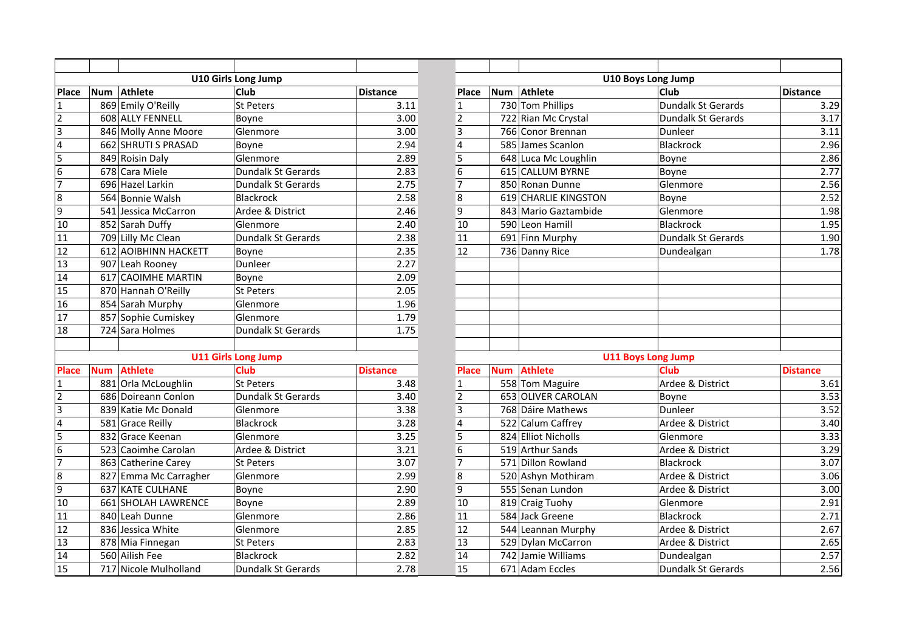|                         |            |                       | <b>U10 Girls Long Jump</b> |                 |
|-------------------------|------------|-----------------------|----------------------------|-----------------|
| Place                   | <b>Num</b> | <b>Athlete</b>        | Club                       | <b>Distance</b> |
| 1                       |            | 869 Emily O'Reilly    | <b>St Peters</b>           | 3.11            |
| $\overline{\mathbf{c}}$ |            | 608 ALLY FENNELL      | Boyne                      | 3.00            |
| 3                       |            | 846 Molly Anne Moore  | Glenmore                   | 3.00            |
| 4                       |            | 662 SHRUTI S PRASAD   | Boyne                      | 2.94            |
| 5                       |            | 849 Roisin Daly       | Glenmore                   | 2.89            |
| 6                       |            | 678 Cara Miele        | <b>Dundalk St Gerards</b>  | 2.83            |
| 7                       |            | 696 Hazel Larkin      | Dundalk St Gerards         | 2.75            |
| 8                       |            | 564 Bonnie Walsh      | <b>Blackrock</b>           | 2.58            |
| 9                       |            | 541 Jessica McCarron  | Ardee & District           | 2.46            |
| 10                      |            | 852 Sarah Duffy       | Glenmore                   | 2.40            |
| 11                      |            | 709 Lilly Mc Clean    | Dundalk St Gerards         | 2.38            |
| 12                      |            | 612 AOIBHINN HACKETT  | Boyne                      | 2.35            |
| 13                      |            | 907 Leah Rooney       | Dunleer                    | 2.27            |
| 14                      |            | 617 CAOIMHE MARTIN    | Boyne                      | 2.09            |
| 15                      |            | 870 Hannah O'Reilly   | <b>St Peters</b>           | 2.05            |
| 16                      |            | 854 Sarah Murphy      | Glenmore                   | 1.96            |
| 17                      |            | 857 Sophie Cumiskey   | Glenmore                   | 1.79            |
| 18                      |            | 724 Sara Holmes       | Dundalk St Gerards         | 1.75            |
|                         |            |                       |                            |                 |
|                         |            |                       | <b>U11 Girls Long Jump</b> |                 |
| <b>Place</b>            | <b>Num</b> | <b>Athlete</b>        | <b>Club</b>                | <b>Distance</b> |
| 1                       |            | 881 Orla McLoughlin   | <b>St Peters</b>           | 3.48            |
| 2                       |            | 686 Doireann Conlon   | <b>Dundalk St Gerards</b>  | 3.40            |
| 3                       |            | 839 Katie Mc Donald   | Glenmore                   | 3.38            |
| 4                       |            | 581 Grace Reilly      | <b>Blackrock</b>           | 3.28            |
| 5                       |            | 832 Grace Keenan      | Glenmore                   | 3.25            |
| 6                       |            | 523 Caoimhe Carolan   | Ardee & District           | 3.21            |
| 7                       |            | 863 Catherine Carey   | St Peters                  | 3.07            |
| 8                       |            | 827 Emma Mc Carragher | Glenmore                   | 2.99            |
| 9                       |            | 637 KATE CULHANE      | Boyne                      | 2.90            |
| 10                      |            | 661 SHOLAH LAWRENCE   | Boyne                      | 2.89            |
| 11                      |            | 840 Leah Dunne        | Glenmore                   | 2.86            |
| 12                      |            | 836 Jessica White     | Glenmore                   | 2.85            |
| 13                      |            | 878 Mia Finnegan      | St Peters                  | 2.83            |
| 14                      |            | 560 Ailish Fee        | Blackrock                  | 2.82            |
| 15                      |            | 717 Nicole Mulholland | <b>Dundalk St Gerards</b>  | 2.78            |

|                         |            |                       | <b>U10 Girls Long Jump</b> |                 |                 |            |                      | <b>U10 Boys Long Jump</b> |                 |
|-------------------------|------------|-----------------------|----------------------------|-----------------|-----------------|------------|----------------------|---------------------------|-----------------|
| Place                   | Num        | Athlete               | <b>Club</b>                | <b>Distance</b> | Place           | Num        | <b>Athlete</b>       | <b>Club</b>               | <b>Distance</b> |
| 1                       |            | 869 Emily O'Reilly    | <b>St Peters</b>           | 3.11            | $\mathbf{1}$    |            | 730 Tom Phillips     | Dundalk St Gerards        | 3.29            |
| $\overline{\mathbf{c}}$ |            | 608 ALLY FENNELL      | Boyne                      | 3.00            | $\overline{2}$  |            | 722 Rian Mc Crystal  | <b>Dundalk St Gerards</b> | 3.17            |
| 3                       |            | 846 Molly Anne Moore  | Glenmore                   | 3.00            | 3               |            | 766 Conor Brennan    | Dunleer                   | 3.11            |
| 4                       |            | 662 SHRUTI S PRASAD   | Boyne                      | 2.94            | 4               |            | 585 James Scanlon    | Blackrock                 | 2.96            |
| 5                       |            | 849 Roisin Daly       | Glenmore                   | 2.89            | $\overline{5}$  |            | 648 Luca Mc Loughlin | Boyne                     | 2.86            |
| 6                       |            | 678 Cara Miele        | <b>Dundalk St Gerards</b>  | 2.83            | $\overline{6}$  |            | 615 CALLUM BYRNE     | Boyne                     | 2.77            |
| 7                       |            | 696 Hazel Larkin      | Dundalk St Gerards         | 2.75            | $\overline{7}$  |            | 850 Ronan Dunne      | Glenmore                  | 2.56            |
| 8                       |            | 564 Bonnie Walsh      | <b>Blackrock</b>           | 2.58            | 8               |            | 619 CHARLIE KINGSTON | Boyne                     | 2.52            |
| 9                       |            | 541 Jessica McCarron  | Ardee & District           | 2.46            | $\overline{9}$  |            | 843 Mario Gaztambide | Glenmore                  | 1.98            |
| 10                      |            | 852 Sarah Duffy       | Glenmore                   | 2.40            | $\overline{10}$ |            | 590 Leon Hamill      | Blackrock                 | 1.95            |
| 11                      |            | 709 Lilly Mc Clean    | Dundalk St Gerards         | 2.38            | $\overline{11}$ |            | 691 Finn Murphy      | Dundalk St Gerards        | 1.90            |
| 12                      |            | 612 AOIBHINN HACKETT  | Boyne                      | 2.35            | 12              |            | 736 Danny Rice       | Dundealgan                | 1.78            |
| 13                      |            | 907 Leah Rooney       | Dunleer                    | 2.27            |                 |            |                      |                           |                 |
| 14                      |            | 617 CAOIMHE MARTIN    | Boyne                      | 2.09            |                 |            |                      |                           |                 |
| 15                      |            | 870 Hannah O'Reilly   | <b>St Peters</b>           | 2.05            |                 |            |                      |                           |                 |
| 16                      |            | 854 Sarah Murphy      | Glenmore                   | 1.96            |                 |            |                      |                           |                 |
| 17                      |            | 857 Sophie Cumiskey   | Glenmore                   | 1.79            |                 |            |                      |                           |                 |
| 18                      |            | 724 Sara Holmes       | Dundalk St Gerards         | 1.75            |                 |            |                      |                           |                 |
|                         |            |                       |                            |                 |                 |            |                      |                           |                 |
|                         |            |                       | <b>U11 Girls Long Jump</b> |                 |                 |            |                      | <b>U11 Boys Long Jump</b> |                 |
| <b>Place</b>            | <b>Num</b> | <b>Athlete</b>        | <b>Club</b>                | <b>Distance</b> | <b>Place</b>    | <b>Num</b> | <b>Athlete</b>       | <b>Club</b>               | <b>Distance</b> |
| 1                       |            | 881 Orla McLoughlin   | <b>St Peters</b>           | 3.48            | $\mathbf{1}$    |            | 558 Tom Maguire      | Ardee & District          | 3.61            |
| 2                       |            | 686 Doireann Conlon   | <b>Dundalk St Gerards</b>  | 3.40            | $\overline{2}$  |            | 653 OLIVER CAROLAN   | Boyne                     | 3.53            |
| 3                       |            | 839 Katie Mc Donald   | Glenmore                   | 3.38            | $\overline{3}$  |            | 768 Dáire Mathews    | Dunleer                   | 3.52            |
| 4                       |            | 581 Grace Reilly      | Blackrock                  | 3.28            | $\overline{4}$  |            | 522 Calum Caffrey    | Ardee & District          | 3.40            |
| 5                       |            | 832 Grace Keenan      | Glenmore                   | 3.25            | $\overline{5}$  |            | 824 Elliot Nicholls  | Glenmore                  | 3.33            |
| 6                       |            | 523 Caoimhe Carolan   | Ardee & District           | 3.21            | $\overline{6}$  |            | 519 Arthur Sands     | Ardee & District          | 3.29            |
| 7                       |            | 863 Catherine Carey   | <b>St Peters</b>           | 3.07            | $\overline{7}$  |            | 571 Dillon Rowland   | Blackrock                 | 3.07            |
| 8                       |            | 827 Emma Mc Carragher | Glenmore                   | 2.99            | 8               |            | 520 Ashyn Mothiram   | Ardee & District          | 3.06            |
| $\overline{9}$          |            | 637 KATE CULHANE      | Boyne                      | 2.90            | $\overline{9}$  |            | 555 Senan Lundon     | Ardee & District          | 3.00            |
| 10                      |            | 661 SHOLAH LAWRENCE   | Boyne                      | 2.89            | $\overline{10}$ |            | 819 Craig Tuohy      | Glenmore                  | 2.91            |
| 11                      |            | 840 Leah Dunne        | Glenmore                   | 2.86            | 11              |            | 584 Jack Greene      | Blackrock                 | 2.71            |
| 12                      |            | 836 Jessica White     | Glenmore                   | 2.85            | 12              |            | 544 Leannan Murphy   | Ardee & District          | 2.67            |
| 13                      |            | 878 Mia Finnegan      | <b>St Peters</b>           | 2.83            | 13              |            | 529 Dylan McCarron   | Ardee & District          | 2.65            |
| 14                      |            | 560 Ailish Fee        | Blackrock                  | 2.82            | 14              |            | 742 Jamie Williams   | Dundealgan                | 2.57            |
| 15                      |            | 717 Nicole Mulholland | <b>Dundalk St Gerards</b>  | 2.78            | 15              |            | 671 Adam Eccles      | Dundalk St Gerards        | 2.56            |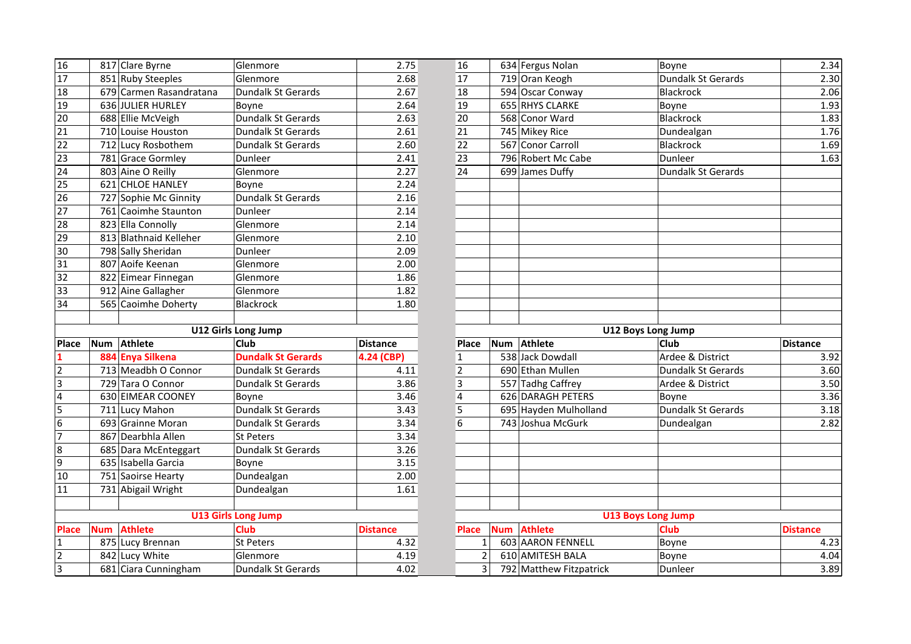| 16               |            | 817 Clare Byrne         | Glenmore                   | 2.75            | 16                      |            | 634 Fergus Nolan        | Boyne                     |
|------------------|------------|-------------------------|----------------------------|-----------------|-------------------------|------------|-------------------------|---------------------------|
| 17               |            | 851 Ruby Steeples       | Glenmore                   | 2.68            | 17                      |            | 719 Oran Keogh          | Dundalk St Gerards        |
| 18               |            | 679 Carmen Rasandratana | Dundalk St Gerards         | 2.67            | 18                      |            | 594 Oscar Conway        | Blackrock                 |
| 19               |            | 636 JULIER HURLEY       | Boyne                      | 2.64            | 19                      |            | 655 RHYS CLARKE         | Boyne                     |
| 20               |            | 688 Ellie McVeigh       | Dundalk St Gerards         | 2.63            | 20                      |            | 568 Conor Ward          | Blackrock                 |
| 21               |            | 710 Louise Houston      | Dundalk St Gerards         | 2.61            | 21                      |            | 745 Mikey Rice          | Dundealgan                |
| 22               |            | 712 Lucy Rosbothem      | Dundalk St Gerards         | 2.60            | 22                      |            | 567 Conor Carroll       | Blackrock                 |
| 23               |            | 781 Grace Gormley       | Dunleer                    | 2.41            | 23                      |            | 796 Robert Mc Cabe      | Dunleer                   |
| 24               |            | 803 Aine O Reilly       | Glenmore                   | 2.27            | 24                      |            | 699 James Duffy         | Dundalk St Gerards        |
| 25               |            | 621 CHLOE HANLEY        | Boyne                      | 2.24            |                         |            |                         |                           |
| 26               |            | 727 Sophie Mc Ginnity   | Dundalk St Gerards         | 2.16            |                         |            |                         |                           |
| 27               |            | 761 Caoimhe Staunton    | Dunleer                    | 2.14            |                         |            |                         |                           |
| 28               |            | 823 Ella Connolly       | Glenmore                   | 2.14            |                         |            |                         |                           |
| 29               |            | 813 Blathnaid Kelleher  | Glenmore                   | 2.10            |                         |            |                         |                           |
| 30               |            | 798 Sally Sheridan      | Dunleer                    | 2.09            |                         |            |                         |                           |
| 31               |            | 807 Aoife Keenan        | Glenmore                   | 2.00            |                         |            |                         |                           |
| 32               |            | 822 Eimear Finnegan     | Glenmore                   | 1.86            |                         |            |                         |                           |
| 33               |            | 912 Aine Gallagher      | Glenmore                   | 1.82            |                         |            |                         |                           |
| 34               |            | 565 Caoimhe Doherty     | <b>Blackrock</b>           | 1.80            |                         |            |                         |                           |
|                  |            |                         |                            |                 |                         |            |                         |                           |
|                  |            |                         | U12 Girls Long Jump        |                 |                         |            |                         | U12 Boys Long Jump        |
| <b>Place</b>     |            | Num Athlete             | Club                       | <b>Distance</b> | <b>Place</b>            |            | Num Athlete             | <b>Club</b>               |
| $\mathbf{1}$     |            | 884 Enya Silkena        | <b>Dundalk St Gerards</b>  | 4.24 (CBP)      | $\mathbf{1}$            |            | 538 Jack Dowdall        | Ardee & District          |
|                  |            |                         |                            |                 |                         |            |                         |                           |
| $\overline{2}$   |            | 713 Meadbh O Connor     | Dundalk St Gerards         | 4.11            | $\overline{2}$          |            | 690 Ethan Mullen        | Dundalk St Gerards        |
| ε                |            | 729 Tara O Connor       | Dundalk St Gerards         | 3.86            | 3                       |            | 557 Tadhg Caffrey       | Ardee & District          |
| $\overline{4}$   |            | 630 EIMEAR COONEY       | Boyne                      | 3.46            | $\overline{\mathbf{4}}$ |            | 626 DARAGH PETERS       | Boyne                     |
| 5                |            | 711 Lucy Mahon          | Dundalk St Gerards         | 3.43            | 5                       |            | 695 Hayden Mulholland   | Dundalk St Gerards        |
| 6                |            | 693 Grainne Moran       | Dundalk St Gerards         | 3.34            | 6                       |            | 743 Joshua McGurk       | Dundealgan                |
| $\overline{7}$   |            | 867 Dearbhla Allen      | <b>St Peters</b>           | 3.34            |                         |            |                         |                           |
| $\boldsymbol{8}$ |            | 685 Dara McEnteggart    | Dundalk St Gerards         | 3.26            |                         |            |                         |                           |
| 9                |            | 635 Isabella Garcia     | Boyne                      | 3.15            |                         |            |                         |                           |
| 10               |            | 751 Saoirse Hearty      | Dundealgan                 | 2.00            |                         |            |                         |                           |
| 11               |            | 731 Abigail Wright      | Dundealgan                 | 1.61            |                         |            |                         |                           |
|                  |            |                         |                            |                 |                         |            |                         |                           |
|                  |            |                         | <b>U13 Girls Long Jump</b> |                 |                         |            |                         | <b>U13 Boys Long Jump</b> |
| <b>Place</b>     | <b>Num</b> | <b>Athlete</b>          | <b>Club</b>                | <b>Distance</b> | Place                   | <b>Num</b> | <b>Athlete</b>          | <b>Club</b>               |
| $\mathbf{1}$     |            | 875 Lucy Brennan        | <b>St Peters</b>           | 4.32            | $\mathbf{1}$            |            | 603 AARON FENNELL       | Boyne                     |
| $\overline{2}$   |            | 842 Lucy White          | Glenmore                   | 4.19            | $\overline{2}$          |            | 610 AMITESH BALA        | Boyne                     |
| $\overline{3}$   |            | 681 Ciara Cunningham    | Dundalk St Gerards         | 4.02            | 3                       |            | 792 Matthew Fitzpatrick | Dunleer                   |

| 16              |            | 817 Clare Byrne                        | Glenmore                              | 2.75            | 16                               |            | 634 Fergus Nolan                            | Boyne              | 2.34            |
|-----------------|------------|----------------------------------------|---------------------------------------|-----------------|----------------------------------|------------|---------------------------------------------|--------------------|-----------------|
| 17              |            | 851 Ruby Steeples                      | Glenmore                              | 2.68            | 17                               |            | 719 Oran Keogh                              | Dundalk St Gerards | 2.30            |
| 18              |            | 679 Carmen Rasandratana                | Dundalk St Gerards                    | 2.67            | 18                               |            | 594 Oscar Conway                            | Blackrock          | 2.06            |
| 19              |            | 636 JULIER HURLEY                      | Boyne                                 | 2.64            | 19                               |            | 655 RHYS CLARKE                             | Boyne              | 1.93            |
| 20              |            | 688 Ellie McVeigh                      | Dundalk St Gerards                    | 2.63            | 20                               |            | 568 Conor Ward                              | <b>Blackrock</b>   | 1.83            |
| 21              |            | 710 Louise Houston                     | Dundalk St Gerards                    | 2.61            | 21                               |            | 745 Mikey Rice                              | Dundealgan         | 1.76            |
| 22              |            | 712 Lucy Rosbothem                     | <b>Dundalk St Gerards</b>             | 2.60            | 22                               |            | 567 Conor Carroll                           | Blackrock          | 1.69            |
| 23              |            | 781 Grace Gormley                      | Dunleer                               | 2.41            | 23                               |            | 796 Robert Mc Cabe                          | Dunleer            | 1.63            |
| 24              |            | 803 Aine O Reilly                      | Glenmore                              | 2.27            | 24                               |            | 699 James Duffy                             | Dundalk St Gerards |                 |
| 25              |            | 621 CHLOE HANLEY                       | Boyne                                 | 2.24            |                                  |            |                                             |                    |                 |
| $\overline{26}$ |            | 727 Sophie Mc Ginnity                  | Dundalk St Gerards                    | 2.16            |                                  |            |                                             |                    |                 |
| 27              |            | 761 Caoimhe Staunton                   | Dunleer                               | 2.14            |                                  |            |                                             |                    |                 |
| 28              |            | 823 Ella Connolly                      | Glenmore                              | 2.14            |                                  |            |                                             |                    |                 |
| 29              |            | 813 Blathnaid Kelleher                 | Glenmore                              | 2.10            |                                  |            |                                             |                    |                 |
| 30              |            | 798 Sally Sheridan                     | Dunleer                               | 2.09            |                                  |            |                                             |                    |                 |
| 31              |            | 807 Aoife Keenan                       | Glenmore                              | 2.00            |                                  |            |                                             |                    |                 |
| 32              |            | 822 Eimear Finnegan                    | Glenmore                              | 1.86            |                                  |            |                                             |                    |                 |
| 33              |            | 912 Aine Gallagher                     | Glenmore                              | 1.82            |                                  |            |                                             |                    |                 |
| 34              |            | 565 Caoimhe Doherty                    | Blackrock                             | 1.80            |                                  |            |                                             |                    |                 |
|                 |            |                                        |                                       |                 |                                  |            |                                             |                    |                 |
|                 |            |                                        |                                       |                 |                                  |            |                                             |                    |                 |
|                 |            |                                        | <b>U12 Girls Long Jump</b>            |                 |                                  |            | <b>U12 Boys Long Jump</b>                   |                    |                 |
| Place           | Num        | Athlete                                | <b>Club</b>                           | <b>Distance</b> | Place                            | Num        | Athlete                                     | <b>Club</b>        | <b>Distance</b> |
|                 |            | 884 Enya Silkena                       | <b>Dundalk St Gerards</b>             | 4.24 (CBP)      | $\mathbf{1}$                     |            | 538 Jack Dowdall                            | Ardee & District   | 3.92            |
| 2               |            | 713 Meadbh O Connor                    | <b>Dundalk St Gerards</b>             | 4.11            | $\overline{2}$                   |            | 690 Ethan Mullen                            | Dundalk St Gerards | 3.60            |
| 3               |            | 729 Tara O Connor                      | Dundalk St Gerards                    | 3.86            | 3                                |            | 557 Tadhg Caffrey                           | Ardee & District   | 3.50            |
| 4               |            | 630 EIMEAR COONEY                      | Boyne                                 | 3.46            | $\overline{4}$                   |            | 626 DARAGH PETERS                           | Boyne              | 3.36            |
|                 |            | 711 Lucy Mahon                         | Dundalk St Gerards                    | 3.43            | 5                                |            | 695 Hayden Mulholland                       | Dundalk St Gerards | 3.18            |
| 5<br>6          |            | 693 Grainne Moran                      | <b>Dundalk St Gerards</b>             | 3.34            | 6                                |            | 743 Joshua McGurk                           | Dundealgan         | 2.82            |
| 7               |            | 867 Dearbhla Allen                     | <b>St Peters</b>                      | 3.34            |                                  |            |                                             |                    |                 |
| 8               |            | 685 Dara McEnteggart                   | Dundalk St Gerards                    | 3.26            |                                  |            |                                             |                    |                 |
| $\overline{9}$  |            | 635 Isabella Garcia                    | Boyne                                 | 3.15            |                                  |            |                                             |                    |                 |
|                 |            | 751 Saoirse Hearty                     | Dundealgan                            | 2.00            |                                  |            |                                             |                    |                 |
| 10<br>11        |            | 731 Abigail Wright                     | Dundealgan                            | 1.61            |                                  |            |                                             |                    |                 |
|                 |            |                                        |                                       |                 |                                  |            |                                             |                    |                 |
|                 |            |                                        | <b>U13 Girls Long Jump</b>            |                 |                                  |            | <b>U13 Boys Long Jump</b>                   |                    |                 |
| <b>Place</b>    | <b>Num</b> | <b>Athlete</b>                         | <b>Club</b>                           | <b>Distance</b> | <b>Place</b>                     | <b>Num</b> | <b>Athlete</b>                              | <b>Club</b>        | <b>Distance</b> |
| 1               |            | 875 Lucy Brennan                       | St Peters                             | 4.32            | $\mathbf{1}$                     |            | 603 AARON FENNELL                           | Boyne              | 4.23            |
| 2<br>3          |            | 842 Lucy White<br>681 Ciara Cunningham | Glenmore<br><b>Dundalk St Gerards</b> | 4.19<br>4.02    | $\overline{2}$<br>$\overline{3}$ |            | 610 AMITESH BALA<br>792 Matthew Fitzpatrick | Boyne<br>Dunleer   | 4.04<br>3.89    |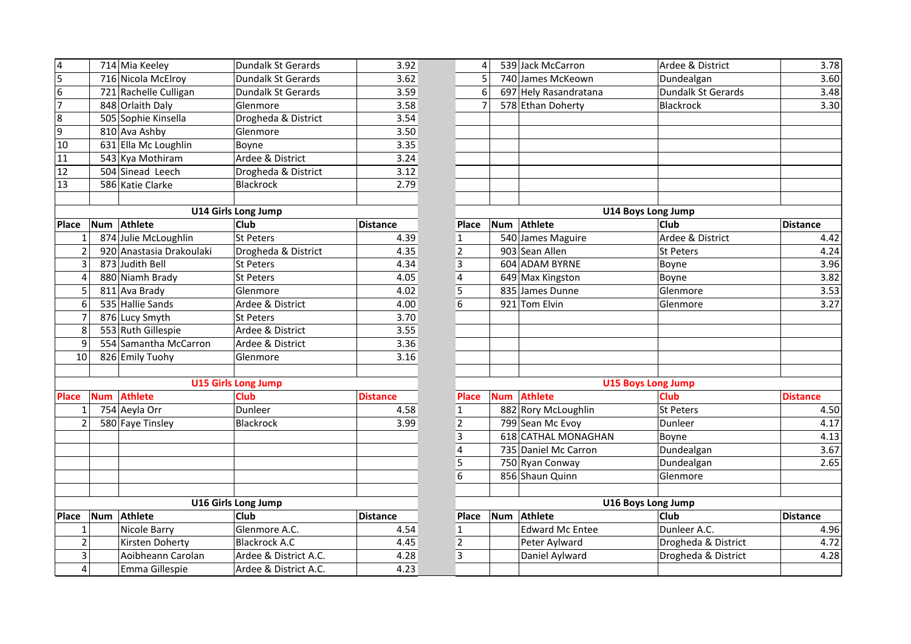| $\overline{\mathbf{4}}$ |            | 714 Mia Keeley           | Dundalk St Gerards         | 3.92            |
|-------------------------|------------|--------------------------|----------------------------|-----------------|
| $\overline{5}$          |            | 716 Nicola McElroy       | Dundalk St Gerards         | 3.62            |
| $\overline{6}$          |            | 721 Rachelle Culligan    | Dundalk St Gerards         | 3.59            |
| 7                       |            | 848 Orlaith Daly         | Glenmore                   | 3.58            |
| 8                       |            | 505 Sophie Kinsella      | Drogheda & District        | 3.54            |
| 9                       |            | 810 Ava Ashby            | Glenmore                   | 3.50            |
| 10                      |            | 631 Ella Mc Loughlin     | Boyne                      | 3.35            |
| 11                      |            | 543 Kya Mothiram         | Ardee & District           | 3.24            |
| 12                      |            | 504 Sinead Leech         | Drogheda & District        | 3.12            |
| 13                      |            | 586 Katie Clarke         | <b>Blackrock</b>           | 2.79            |
|                         |            |                          |                            |                 |
|                         |            |                          | <b>U14 Girls Long Jump</b> |                 |
| Place                   | Num        | <b>Athlete</b>           | Club                       | <b>Distance</b> |
| $\mathbf{1}$            |            | 874 Julie McLoughlin     | <b>St Peters</b>           | 4.39            |
| $\overline{2}$          |            | 920 Anastasia Drakoulaki | Drogheda & District        | 4.35            |
| 3                       |            | 873 Judith Bell          | <b>St Peters</b>           | 4.34            |
| 4                       |            | 880 Niamh Brady          | <b>St Peters</b>           | 4.05            |
| 5                       |            | 811 Ava Brady            | Glenmore                   | 4.02            |
| 6                       |            | 535 Hallie Sands         | Ardee & District           | 4.00            |
| 7                       |            | 876 Lucy Smyth           | <b>St Peters</b>           | 3.70            |
| 8                       |            | 553 Ruth Gillespie       | Ardee & District           | 3.55            |
| 9                       |            | 554 Samantha McCarron    | Ardee & District           | 3.36            |
| 10                      |            | 826 Emily Tuohy          | Glenmore                   | 3.16            |
|                         |            |                          |                            |                 |
|                         |            |                          | <b>U15 Girls Long Jump</b> |                 |
| <b>Place</b>            | <b>Num</b> | <b>Athlete</b>           | <b>Club</b>                | <b>Distance</b> |
| 1                       |            | 754 Aeyla Orr            | Dunleer                    | 4.58            |
| $\overline{2}$          |            | 580 Faye Tinsley         | <b>Blackrock</b>           | 3.99            |
|                         |            |                          |                            |                 |
|                         |            |                          |                            |                 |
|                         |            |                          |                            |                 |
|                         |            |                          |                            |                 |
|                         |            |                          |                            |                 |
|                         |            |                          | U16 Girls Long Jump        |                 |
| Place                   | <b>Num</b> | <b>Athlete</b>           | Club                       | <b>Distance</b> |
| $\mathbf{1}$            |            | Nicole Barry             | Glenmore A.C.              | 4.54            |
| $\overline{2}$          |            | Kirsten Doherty          | <b>Blackrock A.C</b>       | 4.45            |
| 3                       |            | Aoibheann Carolan        | Ardee & District A.C.      | 4.28            |
| 4                       |            | Emma Gillespie           | Ardee & District A.C.      | 4.23            |

| 4              |            | 714 Mia Keeley           | Dundalk St Gerards         | 3.92            | $\overline{4}$          |            | 539 Jack McCarron      | Ardee & District          | 3.78            |
|----------------|------------|--------------------------|----------------------------|-----------------|-------------------------|------------|------------------------|---------------------------|-----------------|
| 5              |            | 716 Nicola McElroy       | Dundalk St Gerards         | 3.62            | 5                       |            | 740 James McKeown      | Dundealgan                | 3.60            |
| $\overline{6}$ |            | 721 Rachelle Culligan    | <b>Dundalk St Gerards</b>  | 3.59            | 6                       |            | 697 Hely Rasandratana  | Dundalk St Gerards        | 3.48            |
| 7              |            | 848 Orlaith Daly         | Glenmore                   | 3.58            | $\overline{7}$          |            | 578 Ethan Doherty      | <b>Blackrock</b>          | 3.30            |
| 8              |            | 505 Sophie Kinsella      | Drogheda & District        | 3.54            |                         |            |                        |                           |                 |
| 9              |            | 810 Ava Ashby            | Glenmore                   | 3.50            |                         |            |                        |                           |                 |
| 10             |            | 631 Ella Mc Loughlin     | Boyne                      | 3.35            |                         |            |                        |                           |                 |
| 11             |            | 543 Kya Mothiram         | Ardee & District           | 3.24            |                         |            |                        |                           |                 |
| 12             |            | 504 Sinead Leech         | Drogheda & District        | 3.12            |                         |            |                        |                           |                 |
| 13             |            | 586 Katie Clarke         | Blackrock                  | 2.79            |                         |            |                        |                           |                 |
|                |            |                          |                            |                 |                         |            |                        |                           |                 |
|                |            |                          | <b>U14 Girls Long Jump</b> |                 |                         |            |                        | <b>U14 Boys Long Jump</b> |                 |
| Place          | Num        | Athlete                  | Club                       | Distance        | Place                   | <b>Num</b> | Athlete                | Club                      | <b>Distance</b> |
| $\mathbf 1$    |            | 874 Julie McLoughlin     | <b>St Peters</b>           | 4.39            | $\mathbf{1}$            |            | 540 James Maguire      | Ardee & District          | 4.42            |
| $\overline{2}$ |            | 920 Anastasia Drakoulaki | Drogheda & District        | 4.35            | $\overline{2}$          |            | 903 Sean Allen         | <b>St Peters</b>          | 4.24            |
| 3              |            | 873 Judith Bell          | St Peters                  | 4.34            | $\overline{3}$          |            | 604 ADAM BYRNE         | Boyne                     | 3.96            |
| $\overline{a}$ |            | 880 Niamh Brady          | St Peters                  | 4.05            | $\overline{\mathbf{4}}$ |            | 649 Max Kingston       | Boyne                     | 3.82            |
| 5              |            | 811 Ava Brady            | Glenmore                   | 4.02            | $\overline{5}$          |            | 835 James Dunne        | Glenmore                  | 3.53            |
| 6              |            | 535 Hallie Sands         | Ardee & District           | 4.00            | 6                       |            | 921 Tom Elvin          | Glenmore                  | 3.27            |
| $\overline{7}$ |            | 876 Lucy Smyth           | St Peters                  | 3.70            |                         |            |                        |                           |                 |
| 8              |            | 553 Ruth Gillespie       | Ardee & District           | 3.55            |                         |            |                        |                           |                 |
| 9              |            | 554 Samantha McCarron    | Ardee & District           | 3.36            |                         |            |                        |                           |                 |
| 10             |            | 826 Emily Tuohy          | Glenmore                   | 3.16            |                         |            |                        |                           |                 |
|                |            |                          |                            |                 |                         |            |                        |                           |                 |
|                |            |                          | <b>U15 Girls Long Jump</b> |                 |                         |            |                        | <b>U15 Boys Long Jump</b> |                 |
| <b>Place</b>   | <b>Num</b> | <b>Athlete</b>           | <b>Club</b>                | <b>Distance</b> | <b>Place</b>            | <b>Num</b> | <b>Athlete</b>         | Club                      | <b>Distance</b> |
| $\mathbf{1}$   |            | 754 Aeyla Orr            | Dunleer                    | 4.58            | $\mathbf{1}$            |            | 882 Rory McLoughlin    | St Peters                 | 4.50            |
| $\overline{2}$ |            | 580 Faye Tinsley         | Blackrock                  | 3.99            | $\mathbf 2$             |            | 799 Sean Mc Evoy       | Dunleer                   | 4.17            |
|                |            |                          |                            |                 | 3                       |            | 618 CATHAL MONAGHAN    | Boyne                     | 4.13            |
|                |            |                          |                            |                 | $\overline{\mathbf{4}}$ |            | 735 Daniel Mc Carron   | Dundealgan                | 3.67            |
|                |            |                          |                            |                 | 5                       |            | 750 Ryan Conway        | Dundealgan                | 2.65            |
|                |            |                          |                            |                 | $\overline{6}$          |            | 856 Shaun Quinn        | Glenmore                  |                 |
|                |            |                          |                            |                 |                         |            |                        |                           |                 |
|                |            |                          | U16 Girls Long Jump        |                 |                         |            |                        | U16 Boys Long Jump        |                 |
| <b>Place</b>   | Num        | Athlete                  | Club                       | <b>Distance</b> | Place                   | <b>Num</b> | Athlete                | Club                      | <b>Distance</b> |
| $\mathbf{1}$   |            | Nicole Barry             | Glenmore A.C.              | 4.54            | $\mathbf{1}$            |            | <b>Edward Mc Entee</b> | Dunleer A.C.              | 4.96            |
| $\overline{2}$ |            | Kirsten Doherty          | <b>Blackrock A.C</b>       | 4.45            | $\overline{2}$          |            | Peter Aylward          | Drogheda & District       | 4.72            |
| 3              |            | Aoibheann Carolan        | Ardee & District A.C.      | 4.28            | 3                       |            | Daniel Aylward         | Drogheda & District       | 4.28            |
| $\overline{4}$ |            | Emma Gillespie           | Ardee & District A.C.      | 4.23            |                         |            |                        |                           |                 |
|                |            |                          |                            |                 |                         |            |                        |                           |                 |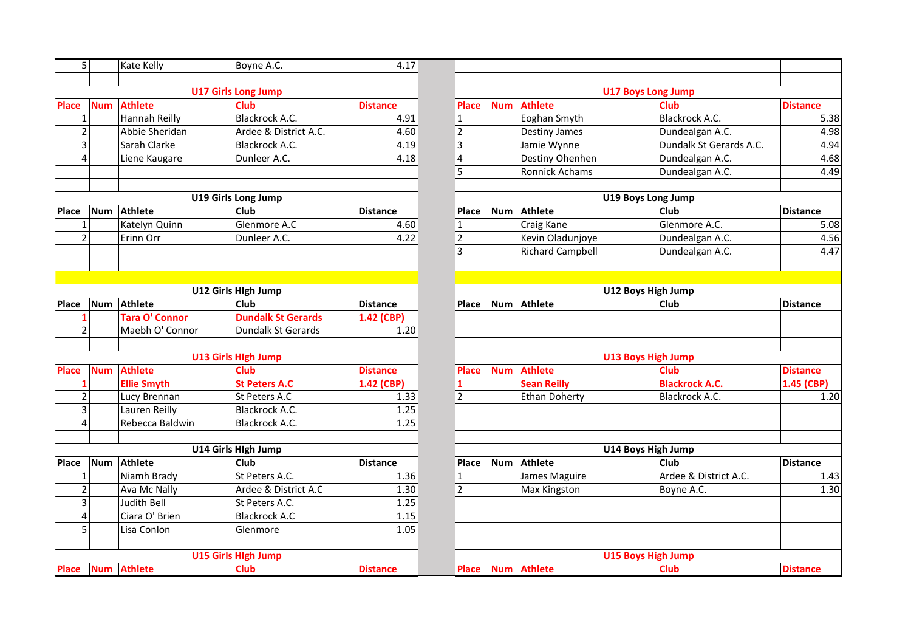| 5              |            | Kate Kelly            | Boyne A.C.                 | 4.17            |
|----------------|------------|-----------------------|----------------------------|-----------------|
|                |            |                       |                            |                 |
|                |            |                       | <b>U17 Girls Long Jump</b> |                 |
| <b>Place</b>   |            | Num Athlete           | <b>Club</b>                | <b>Distance</b> |
| $\mathbf{1}$   |            | Hannah Reilly         | <b>Blackrock A.C.</b>      | 4.91            |
| $\overline{2}$ |            | Abbie Sheridan        | Ardee & District A.C.      | 4.60            |
| 3              |            | Sarah Clarke          | Blackrock A.C.             | 4.19            |
| 4              |            | Liene Kaugare         | Dunleer A.C.               | 4.18            |
|                |            |                       |                            |                 |
|                |            |                       | <b>U19 Girls Long Jump</b> |                 |
| Place          | <b>Num</b> | <b>Athlete</b>        | Club                       | <b>Distance</b> |
| 1              |            | Katelyn Quinn         | Glenmore A.C               | 4.60            |
| $\overline{2}$ |            | Erinn Orr             | Dunleer A.C.               | 4.22            |
|                |            |                       |                            |                 |
|                |            |                       |                            |                 |
|                |            |                       | U12 Girls Hlgh Jump        |                 |
| Place          | <b>Num</b> | <b>Athlete</b>        | Club                       | <b>Distance</b> |
| 1              |            | <b>Tara O' Connor</b> | <b>Dundalk St Gerards</b>  | 1.42 (CBP)      |
| $\overline{2}$ |            | Maebh O' Connor       | <b>Dundalk St Gerards</b>  | 1.20            |
|                |            |                       | <b>U13 Girls High Jump</b> |                 |
| <b>Place</b>   | <b>Num</b> | <b>Athlete</b>        | <b>Club</b>                | <b>Distance</b> |
| 1              |            | <b>Ellie Smyth</b>    | <b>St Peters A.C</b>       | 1.42 (CBP)      |
| $\overline{2}$ |            | Lucy Brennan          | St Peters A.C              | 1.33            |
| $\overline{3}$ |            | Lauren Reilly         | <b>Blackrock A.C.</b>      | 1.25            |
| 4              |            | Rebecca Baldwin       | Blackrock A.C.             | 1.25            |
|                |            |                       | U14 Girls Hlgh Jump        |                 |
| Place          | <b>Num</b> | <b>Athlete</b>        | Club                       | <b>Distance</b> |
| 1              |            | Niamh Brady           | St Peters A.C.             | 1.36            |
| $\overline{2}$ |            | Ava Mc Nally          | Ardee & District A.C       | 1.30            |
| 3              |            | <b>Judith Bell</b>    | St Peters A.C.             | 1.25            |
| 4              |            | Ciara O' Brien        | <b>Blackrock A.C</b>       | 1.15            |
| $\overline{5}$ |            | Lisa Conlon           | Glenmore                   | 1.05            |
|                |            |                       |                            |                 |
|                |            |                       | <b>U15 Girls High Jump</b> |                 |
| <b>Place</b>   | <b>Num</b> | <b>Athlete</b>        | <b>Club</b>                | <b>Distance</b> |

| 5 <sup>1</sup> |            | Kate Kelly            | Boyne A.C.                 | 4.17            |                         |            |                         |                           |                 |
|----------------|------------|-----------------------|----------------------------|-----------------|-------------------------|------------|-------------------------|---------------------------|-----------------|
|                |            |                       |                            |                 |                         |            |                         |                           |                 |
|                |            |                       | <b>U17 Girls Long Jump</b> |                 |                         |            |                         | <b>U17 Boys Long Jump</b> |                 |
| <b>Place</b>   | <b>Num</b> | <b>Athlete</b>        | <b>Club</b>                | <b>Distance</b> | <b>Place</b>            | <b>Num</b> | <b>Athlete</b>          | <b>Club</b>               | <b>Distance</b> |
| 1              |            | Hannah Reilly         | <b>Blackrock A.C.</b>      | 4.91            | $\mathbf{1}$            |            | Eoghan Smyth            | Blackrock A.C.            | 5.38            |
| $\overline{2}$ |            | Abbie Sheridan        | Ardee & District A.C.      | 4.60            | $\overline{2}$          |            | Destiny James           | Dundealgan A.C.           | 4.98            |
| 3              |            | Sarah Clarke          | Blackrock A.C.             | 4.19            | 3                       |            | Jamie Wynne             | Dundalk St Gerards A.C.   | 4.94            |
| 4              |            | Liene Kaugare         | Dunleer A.C.               | 4.18            | $\overline{4}$          |            | Destiny Ohenhen         | Dundealgan A.C.           | 4.68            |
|                |            |                       |                            |                 | 5                       |            | Ronnick Achams          | Dundealgan A.C.           | 4.49            |
|                |            |                       |                            |                 |                         |            |                         |                           |                 |
|                |            |                       | <b>U19 Girls Long Jump</b> |                 |                         |            |                         | <b>U19 Boys Long Jump</b> |                 |
| Place          | <b>Num</b> | Athlete               | <b>Club</b>                | <b>Distance</b> | Place                   | Num        | <b>Athlete</b>          | <b>Club</b>               | <b>Distance</b> |
| $\mathbf{1}$   |            | Katelyn Quinn         | Glenmore A.C               | 4.60            | $\mathbf{1}$            |            | Craig Kane              | Glenmore A.C.             | 5.08            |
| $\overline{2}$ |            | Erinn Orr             | Dunleer A.C.               | 4.22            | $\overline{2}$          |            | Kevin Oladunjoye        | Dundealgan A.C.           | 4.56            |
|                |            |                       |                            |                 | $\overline{\mathbf{3}}$ |            | <b>Richard Campbell</b> | Dundealgan A.C.           | 4.47            |
|                |            |                       |                            |                 |                         |            |                         |                           |                 |
|                |            |                       |                            |                 |                         |            |                         |                           |                 |
|                |            |                       | U12 Girls Hlgh Jump        |                 |                         |            |                         | U12 Boys High Jump        |                 |
| Place          | <b>Num</b> | Athlete               | <b>Club</b>                | <b>Distance</b> | <b>Place</b>            | Num        | Athlete                 | Club                      | <b>Distance</b> |
| 1              |            | <b>Tara O' Connor</b> | <b>Dundalk St Gerards</b>  | 1.42 (CBP)      |                         |            |                         |                           |                 |
| $\overline{2}$ |            | Maebh O' Connor       | <b>Dundalk St Gerards</b>  | 1.20            |                         |            |                         |                           |                 |
|                |            |                       |                            |                 |                         |            |                         |                           |                 |
|                |            |                       | <b>U13 Girls High Jump</b> |                 |                         |            |                         | <b>U13 Boys High Jump</b> |                 |
| <b>Place</b>   | <b>Num</b> | <b>Athlete</b>        | Club                       | <b>Distance</b> | <b>Place</b>            | <b>Num</b> | <b>Athlete</b>          | <b>Club</b>               | <b>Distance</b> |
| $\mathbf{1}$   |            | <b>Ellie Smyth</b>    | <b>St Peters A.C</b>       | 1.42 (CBP)      | 1                       |            | <b>Sean Reilly</b>      | <b>Blackrock A.C.</b>     | 1.45 (CBP)      |
| $\overline{2}$ |            | Lucy Brennan          | St Peters A.C              | 1.33            | $\overline{2}$          |            | <b>Ethan Doherty</b>    | Blackrock A.C.            | 1.20            |
| $\overline{3}$ |            | Lauren Reilly         | Blackrock A.C.             | 1.25            |                         |            |                         |                           |                 |
| 4              |            | Rebecca Baldwin       | Blackrock A.C.             | 1.25            |                         |            |                         |                           |                 |
|                |            |                       |                            |                 |                         |            |                         |                           |                 |
|                |            |                       | U14 Girls Hlgh Jump        |                 |                         |            |                         | U14 Boys High Jump        |                 |
| Place          | <b>Num</b> | Athlete               | <b>Club</b>                | <b>Distance</b> | Place                   | <b>Num</b> | Athlete                 | Club                      | <b>Distance</b> |
| 1              |            | Niamh Brady           | St Peters A.C.             | 1.36            | $\mathbf{1}$            |            | James Maguire           | Ardee & District A.C.     | 1.43            |
| $\overline{2}$ |            | Ava Mc Nally          | Ardee & District A.C       | 1.30            | $\overline{2}$          |            | Max Kingston            | Boyne A.C.                | 1.30            |
| 3              |            | Judith Bell           | St Peters A.C.             | 1.25            |                         |            |                         |                           |                 |
| 4              |            | Ciara O' Brien        | <b>Blackrock A.C</b>       | 1.15            |                         |            |                         |                           |                 |
| 5              |            | Lisa Conlon           | Glenmore                   | 1.05            |                         |            |                         |                           |                 |
|                |            |                       |                            |                 |                         |            |                         |                           |                 |
|                |            |                       | <b>U15 Girls High Jump</b> |                 |                         |            |                         | <b>U15 Boys High Jump</b> |                 |
|                |            | Place Num Athlete     | <b>Club</b>                | <b>Distance</b> | Place                   |            | Num Athlete             | <b>Club</b>               | <b>Distance</b> |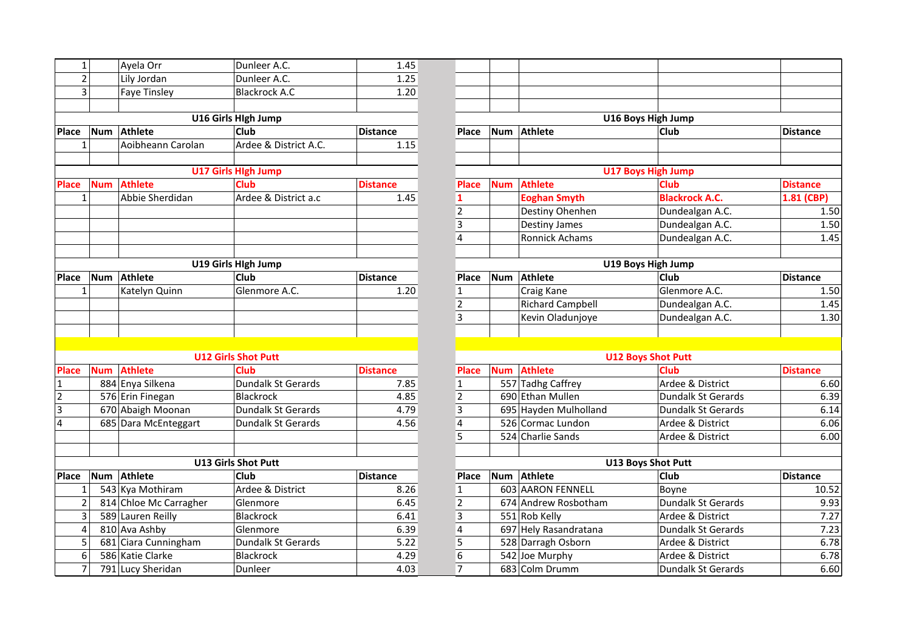| $\mathbf{1}$   |            | Ayela Orr              | Dunleer A.C.               | 1.45            |                         |            |                         |                           |                 |
|----------------|------------|------------------------|----------------------------|-----------------|-------------------------|------------|-------------------------|---------------------------|-----------------|
| $\overline{2}$ |            | Lily Jordan            | Dunleer A.C.               | 1.25            |                         |            |                         |                           |                 |
| 3              |            | <b>Faye Tinsley</b>    | <b>Blackrock A.C</b>       | 1.20            |                         |            |                         |                           |                 |
|                |            |                        |                            |                 |                         |            |                         |                           |                 |
|                |            |                        | U16 Girls Hlgh Jump        |                 |                         |            |                         | U16 Boys High Jump        |                 |
| <b>Place</b>   | <b>Num</b> | Athlete                | Club                       | <b>Distance</b> | <b>Place</b>            | <b>Num</b> | <b>Athlete</b>          | Club                      | <b>Distance</b> |
| $\mathbf{1}$   |            | Aoibheann Carolan      | Ardee & District A.C.      | 1.15            |                         |            |                         |                           |                 |
|                |            |                        |                            |                 |                         |            |                         |                           |                 |
|                |            |                        | <b>U17 Girls High Jump</b> |                 |                         |            |                         | <b>U17 Boys High Jump</b> |                 |
| <b>Place</b>   | <b>Num</b> | <b>Athlete</b>         | <b>Club</b>                | <b>Distance</b> | <b>Place</b>            | <b>Num</b> | <b>Athlete</b>          | <b>Club</b>               | <b>Distance</b> |
| $\mathbf{1}$   |            | Abbie Sherdidan        | Ardee & District a.c       | 1.45            | 1                       |            | <b>Eoghan Smyth</b>     | <b>Blackrock A.C.</b>     | 1.81 (CB        |
|                |            |                        |                            |                 | $\mathbf 2$             |            | Destiny Ohenhen         | Dundealgan A.C.           |                 |
|                |            |                        |                            |                 | $\mathbf{3}$            |            | <b>Destiny James</b>    | Dundealgan A.C.           |                 |
|                |            |                        |                            |                 | $\overline{\mathbf{4}}$ |            | Ronnick Achams          | Dundealgan A.C.           |                 |
|                |            |                        |                            |                 |                         |            |                         |                           |                 |
|                |            |                        | U19 Girls Hlgh Jump        |                 |                         |            |                         | U19 Boys High Jump        |                 |
| Place          | <b>Num</b> | <b>Athlete</b>         | Club                       | <b>Distance</b> | Place                   | <b>Num</b> | <b>Athlete</b>          | Club                      | <b>Distance</b> |
| 1              |            | Katelyn Quinn          | Glenmore A.C.              | 1.20            | $\mathbf{1}$            |            | Craig Kane              | Glenmore A.C.             |                 |
|                |            |                        |                            |                 | $\overline{2}$          |            | <b>Richard Campbell</b> | Dundealgan A.C.           |                 |
|                |            |                        |                            |                 | 3                       |            | Kevin Oladunjoye        | Dundealgan A.C.           |                 |
|                |            |                        |                            |                 |                         |            |                         |                           |                 |
|                |            |                        |                            |                 |                         |            |                         |                           |                 |
|                |            |                        | <b>U12 Girls Shot Putt</b> |                 |                         |            |                         | <b>U12 Boys Shot Putt</b> |                 |
| <b>Place</b>   | <b>Num</b> | <b>Athlete</b>         | <b>Club</b>                | <b>Distance</b> | <b>Place</b>            | <b>Num</b> | Athlete                 | <b>Club</b>               | <b>Distance</b> |
| 1              |            | 884 Enya Silkena       | Dundalk St Gerards         | 7.85            | $\mathbf{1}$            |            | 557 Tadhg Caffrey       | Ardee & District          |                 |
| $\overline{2}$ |            | 576 Erin Finegan       | <b>Blackrock</b>           | 4.85            | $\overline{2}$          |            | 690 Ethan Mullen        | <b>Dundalk St Gerards</b> |                 |
| 3              |            | 670 Abaigh Moonan      | Dundalk St Gerards         | 4.79            | 3                       |            | 695 Hayden Mulholland   | <b>Dundalk St Gerards</b> |                 |
| 4              |            | 685 Dara McEnteggart   | Dundalk St Gerards         | 4.56            | $\overline{\mathbf{4}}$ |            | 526 Cormac Lundon       | Ardee & District          |                 |
|                |            |                        |                            |                 | 5                       |            | 524 Charlie Sands       | Ardee & District          |                 |
|                |            |                        |                            |                 |                         |            |                         |                           |                 |
|                |            |                        | <b>U13 Girls Shot Putt</b> |                 |                         |            |                         | <b>U13 Boys Shot Putt</b> |                 |
| <b>Place</b>   | <b>Num</b> | Athlete                | Club                       | <b>Distance</b> | Place                   | Num        | <b>Athlete</b>          | <b>Club</b>               | <b>Distance</b> |
| 1              |            | 543 Kya Mothiram       | Ardee & District           | 8.26            | $\mathbf{1}$            |            | 603 AARON FENNELL       | Boyne                     | 1               |
| $\overline{2}$ |            | 814 Chloe Mc Carragher | Glenmore                   | 6.45            | $\overline{2}$          |            | 674 Andrew Rosbotham    | Dundalk St Gerards        |                 |
| 3              |            | 589 Lauren Reilly      | <b>Blackrock</b>           | 6.41            | 3                       |            | 551 Rob Kelly           | Ardee & District          |                 |
| 4              |            | 810 Ava Ashby          | Glenmore                   | 6.39            | $\overline{4}$          |            | 697 Hely Rasandratana   | <b>Dundalk St Gerards</b> |                 |
| 5              |            | 681 Ciara Cunningham   | Dundalk St Gerards         | 5.22            | 5                       |            | 528 Darragh Osborn      | Ardee & District          |                 |
| 6              |            | 586 Katie Clarke       | Blackrock                  | 4.29            | 6                       |            | 542 Joe Murphy          | Ardee & District          |                 |
| $\overline{7}$ |            | 791 Lucy Sheridan      | Dunleer                    | 4.03            | $\overline{7}$          |            | 683 Colm Drumm          | Dundalk St Gerards        |                 |

| $\mathbf{1}$   |            | Ayela Orr              | Dunleer A.C.               | 1.45            |                         |            |                         |                           |                 |
|----------------|------------|------------------------|----------------------------|-----------------|-------------------------|------------|-------------------------|---------------------------|-----------------|
| $\overline{2}$ |            | Lily Jordan            | Dunleer A.C.               | 1.25            |                         |            |                         |                           |                 |
| $\overline{3}$ |            | <b>Faye Tinsley</b>    | <b>Blackrock A.C</b>       | 1.20            |                         |            |                         |                           |                 |
|                |            |                        |                            |                 |                         |            |                         |                           |                 |
|                |            |                        | U16 Girls Hlgh Jump        |                 |                         |            |                         | U16 Boys High Jump        |                 |
| Place          | <b>Num</b> | Athlete                | <b>Club</b>                | <b>Distance</b> | <b>Place</b>            | Num        | Athlete                 | Club                      | <b>Distance</b> |
| $\mathbf{1}$   |            | Aoibheann Carolan      | Ardee & District A.C.      | 1.15            |                         |            |                         |                           |                 |
|                |            |                        |                            |                 |                         |            |                         |                           |                 |
|                |            |                        | <b>U17 Girls High Jump</b> |                 |                         |            |                         | <b>U17 Boys High Jump</b> |                 |
| <b>Place</b>   | <b>Num</b> | <b>Athlete</b>         | <b>Club</b>                | <b>Distance</b> | <b>Place</b>            | <b>Num</b> | <b>Athlete</b>          | Club                      | <b>Distance</b> |
| $\mathbf{1}$   |            | Abbie Sherdidan        | Ardee & District a.c       | 1.45            | $\mathbf{1}$            |            | <b>Eoghan Smyth</b>     | <b>Blackrock A.C.</b>     | 1.81 (CBP)      |
|                |            |                        |                            |                 | $\overline{2}$          |            | Destiny Ohenhen         | Dundealgan A.C.           | 1.50            |
|                |            |                        |                            |                 | 3                       |            | <b>Destiny James</b>    | Dundealgan A.C.           | 1.50            |
|                |            |                        |                            |                 | $\overline{4}$          |            | Ronnick Achams          | Dundealgan A.C.           | 1.45            |
|                |            |                        |                            |                 |                         |            |                         |                           |                 |
|                |            |                        | U19 Girls Hlgh Jump        |                 |                         |            |                         | U19 Boys High Jump        |                 |
| <b>Place</b>   | Num        | Athlete                | <b>Club</b>                | <b>Distance</b> | Place                   | <b>Num</b> | <b>Athlete</b>          | Club                      | <b>Distance</b> |
| $\mathbf{1}$   |            | Katelyn Quinn          | Glenmore A.C.              | 1.20            | $\mathbf 1$             |            | Craig Kane              | Glenmore A.C.             | 1.50            |
|                |            |                        |                            |                 | $\mathbf 2$             |            | <b>Richard Campbell</b> | Dundealgan A.C.           | 1.45            |
|                |            |                        |                            |                 | $\overline{3}$          |            | Kevin Oladunjoye        | Dundealgan A.C.           | 1.30            |
|                |            |                        |                            |                 |                         |            |                         |                           |                 |
|                |            |                        |                            |                 |                         |            |                         |                           |                 |
|                |            |                        | <b>U12 Girls Shot Putt</b> |                 |                         |            |                         | <b>U12 Boys Shot Putt</b> |                 |
| <b>Place</b>   | <b>Num</b> | <b>Athlete</b>         | Club                       | <b>Distance</b> | <b>Place</b>            | <b>Num</b> | <b>Athlete</b>          | <b>Club</b>               | <b>Distance</b> |
| 1              |            | 884 Enya Silkena       | Dundalk St Gerards         | 7.85            | $\mathbf{1}$            |            | 557 Tadhg Caffrey       | Ardee & District          | 6.60            |
| $\overline{2}$ |            | 576 Erin Finegan       | <b>Blackrock</b>           | 4.85            | $\overline{2}$          |            | 690 Ethan Mullen        | <b>Dundalk St Gerards</b> | 6.39            |
| 3              |            | 670 Abaigh Moonan      | Dundalk St Gerards         | 4.79            | 3                       |            | 695 Hayden Mulholland   | <b>Dundalk St Gerards</b> | 6.14            |
| 4              |            | 685 Dara McEnteggart   | <b>Dundalk St Gerards</b>  | 4.56            | $\overline{4}$          |            | 526 Cormac Lundon       | Ardee & District          | 6.06            |
|                |            |                        |                            |                 | 5                       |            | 524 Charlie Sands       | Ardee & District          | 6.00            |
|                |            |                        |                            |                 |                         |            |                         |                           |                 |
|                |            |                        | <b>U13 Girls Shot Putt</b> |                 |                         |            |                         | <b>U13 Boys Shot Putt</b> |                 |
| Place          | <b>Num</b> | Athlete                | Club                       | <b>Distance</b> | Place                   | <b>Num</b> | <b>Athlete</b>          | <b>Club</b>               | <b>Distance</b> |
| $\mathbf{1}$   |            | 543 Kya Mothiram       | Ardee & District           | 8.26            | $\mathbf{1}$            |            | 603 AARON FENNELL       | Boyne                     | 10.52           |
| $\overline{2}$ |            | 814 Chloe Mc Carragher | Glenmore                   | 6.45            | $\overline{2}$          |            | 674 Andrew Rosbotham    | Dundalk St Gerards        | 9.93            |
| 3              |            | 589 Lauren Reilly      | Blackrock                  | 6.41            | $\overline{\mathbf{3}}$ |            | 551 Rob Kelly           | Ardee & District          | 7.27            |
| 4              |            | 810 Ava Ashby          | Glenmore                   | 6.39            | $\overline{\mathbf{4}}$ |            | 697 Hely Rasandratana   | Dundalk St Gerards        | 7.23            |
| 5              |            | 681 Ciara Cunningham   | Dundalk St Gerards         | 5.22            | 5                       |            | 528 Darragh Osborn      | Ardee & District          | 6.78            |
| 6              |            | 586 Katie Clarke       | Blackrock                  | 4.29            | 6                       |            | 542 Joe Murphy          | Ardee & District          | 6.78            |
| $\overline{7}$ |            | 791 Lucy Sheridan      | Dunleer                    | 4.03            | $\overline{7}$          |            | 683 Colm Drumm          | Dundalk St Gerards        | 6.60            |
|                |            |                        |                            |                 |                         |            |                         |                           |                 |